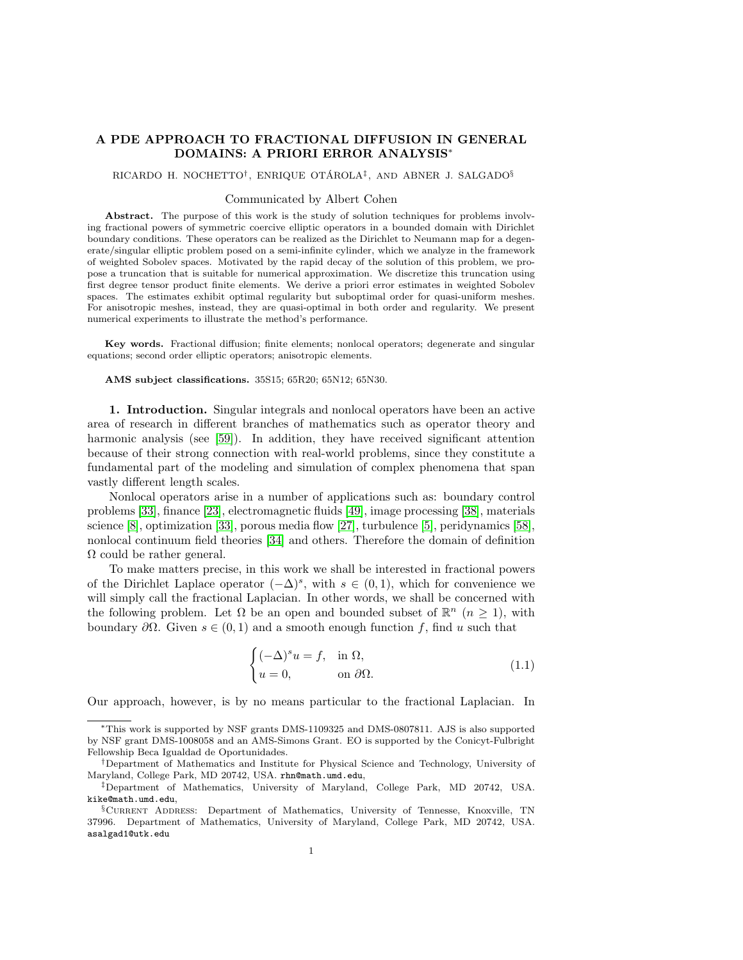# A PDE APPROACH TO FRACTIONAL DIFFUSION IN GENERAL DOMAINS: A PRIORI ERROR ANALYSIS∗

RICARDO H. NOCHETTO<sup>†</sup>, ENRIQUE OTÁROLA<sup>‡</sup>, AND ABNER J. SALGADO<sup>§</sup>

# Communicated by Albert Cohen

Abstract. The purpose of this work is the study of solution techniques for problems involving fractional powers of symmetric coercive elliptic operators in a bounded domain with Dirichlet boundary conditions. These operators can be realized as the Dirichlet to Neumann map for a degenerate/singular elliptic problem posed on a semi-infinite cylinder, which we analyze in the framework of weighted Sobolev spaces. Motivated by the rapid decay of the solution of this problem, we propose a truncation that is suitable for numerical approximation. We discretize this truncation using first degree tensor product finite elements. We derive a priori error estimates in weighted Sobolev spaces. The estimates exhibit optimal regularity but suboptimal order for quasi-uniform meshes. For anisotropic meshes, instead, they are quasi-optimal in both order and regularity. We present numerical experiments to illustrate the method's performance.

Key words. Fractional diffusion; finite elements; nonlocal operators; degenerate and singular equations; second order elliptic operators; anisotropic elements.

### AMS subject classifications. 35S15; 65R20; 65N12; 65N30.

1. Introduction. Singular integrals and nonlocal operators have been an active area of research in different branches of mathematics such as operator theory and harmonic analysis (see [\[59\]](#page-45-0)). In addition, they have received significant attention because of their strong connection with real-world problems, since they constitute a fundamental part of the modeling and simulation of complex phenomena that span vastly different length scales.

Nonlocal operators arise in a number of applications such as: boundary control problems [\[33\]](#page-44-0), finance [\[23\]](#page-44-1), electromagnetic fluids [\[49\]](#page-45-1), image processing [\[38\]](#page-45-2), materials science [\[8\]](#page-44-2), optimization [\[33\]](#page-44-0), porous media flow [\[27\]](#page-44-3), turbulence [\[5\]](#page-44-4), peridynamics [\[58\]](#page-45-3), nonlocal continuum field theories [\[34\]](#page-45-4) and others. Therefore the domain of definition  $\Omega$  could be rather general.

To make matters precise, in this work we shall be interested in fractional powers of the Dirichlet Laplace operator  $(-\Delta)^s$ , with  $s \in (0,1)$ , which for convenience we will simply call the fractional Laplacian. In other words, we shall be concerned with the following problem. Let  $\Omega$  be an open and bounded subset of  $\mathbb{R}^n$   $(n \geq 1)$ , with boundary  $\partial\Omega$ . Given  $s \in (0,1)$  and a smooth enough function f, find u such that

<span id="page-0-0"></span>
$$
\begin{cases}\n(-\Delta)^s u = f, & \text{in } \Omega, \\
u = 0, & \text{on } \partial\Omega.\n\end{cases}
$$
\n(1.1)

Our approach, however, is by no means particular to the fractional Laplacian. In

<sup>∗</sup>This work is supported by NSF grants DMS-1109325 and DMS-0807811. AJS is also supported by NSF grant DMS-1008058 and an AMS-Simons Grant. EO is supported by the Conicyt-Fulbright Fellowship Beca Igualdad de Oportunidades.

<sup>†</sup>Department of Mathematics and Institute for Physical Science and Technology, University of Maryland, College Park, MD 20742, USA. rhn@math.umd.edu,

<sup>‡</sup>Department of Mathematics, University of Maryland, College Park, MD 20742, USA. kike@math.umd.edu,

<sup>§</sup>Current Address: Department of Mathematics, University of Tennesse, Knoxville, TN 37996. Department of Mathematics, University of Maryland, College Park, MD 20742, USA. asalgad1@utk.edu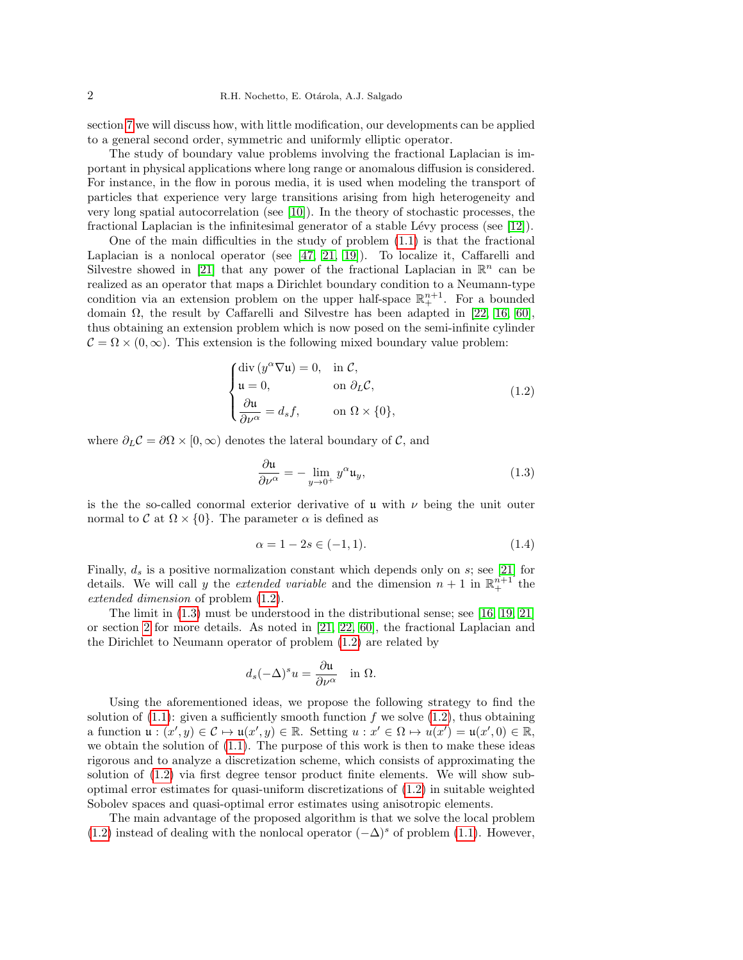section [7](#page-40-0) we will discuss how, with little modification, our developments can be applied to a general second order, symmetric and uniformly elliptic operator.

The study of boundary value problems involving the fractional Laplacian is important in physical applications where long range or anomalous diffusion is considered. For instance, in the flow in porous media, it is used when modeling the transport of particles that experience very large transitions arising from high heterogeneity and very long spatial autocorrelation (see [\[10\]](#page-44-5)). In the theory of stochastic processes, the fractional Laplacian is the infinitesimal generator of a stable Lévy process (see  $[12]$ ).

One of the main difficulties in the study of problem  $(1.1)$  is that the fractional Laplacian is a nonlocal operator (see  $[47, 21, 19]$  $[47, 21, 19]$  $[47, 21, 19]$ ). To localize it, Caffarelli and Silvestre showed in [\[21\]](#page-44-7) that any power of the fractional Laplacian in  $\mathbb{R}^n$  can be realized as an operator that maps a Dirichlet boundary condition to a Neumann-type condition via an extension problem on the upper half-space  $\mathbb{R}^{n+1}_+$ . For a bounded domain  $\Omega$ , the result by Caffarelli and Silvestre has been adapted in [\[22,](#page-44-9) [16,](#page-44-10) [60\]](#page-45-6), thus obtaining an extension problem which is now posed on the semi-infinite cylinder  $C = \Omega \times (0, \infty)$ . This extension is the following mixed boundary value problem:

<span id="page-1-0"></span>
$$
\begin{cases}\n\text{div}\left(y^{\alpha}\nabla\mathfrak{u}\right) = 0, & \text{in } \mathcal{C}, \\
\mathfrak{u} = 0, & \text{on } \partial_L \mathcal{C}, \\
\frac{\partial\mathfrak{u}}{\partial\nu^{\alpha}} = d_s f, & \text{on } \Omega \times \{0\},\n\end{cases}
$$
\n(1.2)

where  $\partial_L C = \partial \Omega \times [0, \infty)$  denotes the lateral boundary of C, and

<span id="page-1-1"></span>
$$
\frac{\partial \mathfrak{u}}{\partial \nu^{\alpha}} = -\lim_{y \to 0^+} y^{\alpha} \mathfrak{u}_y,
$$
\n(1.3)

is the the so-called conormal exterior derivative of u with  $\nu$  being the unit outer normal to  $\mathcal C$  at  $\Omega \times \{0\}$ . The parameter  $\alpha$  is defined as

$$
\alpha = 1 - 2s \in (-1, 1). \tag{1.4}
$$

Finally,  $d_s$  is a positive normalization constant which depends only on s; see [\[21\]](#page-44-7) for details. We will call y the *extended variable* and the dimension  $n + 1$  in  $\mathbb{R}^{n+1}$  the extended dimension of problem [\(1.2\)](#page-1-0).

The limit in [\(1.3\)](#page-1-1) must be understood in the distributional sense; see [\[16,](#page-44-10) [19,](#page-44-8) [21\]](#page-44-7) or section [2](#page-2-0) for more details. As noted in [\[21,](#page-44-7) [22,](#page-44-9) [60\]](#page-45-6), the fractional Laplacian and the Dirichlet to Neumann operator of problem [\(1.2\)](#page-1-0) are related by

$$
d_s(-\Delta)^s u = \frac{\partial \mathfrak{u}}{\partial \nu^{\alpha}} \quad \text{in } \Omega.
$$

Using the aforementioned ideas, we propose the following strategy to find the solution of  $(1.1)$ : given a sufficiently smooth function f we solve  $(1.2)$ , thus obtaining a function  $\mathfrak{u}: (x', y) \in \mathcal{C} \mapsto \mathfrak{u}(x', y) \in \mathbb{R}$ . Setting  $u : x' \in \Omega \mapsto u(x') = \mathfrak{u}(x', 0) \in \mathbb{R}$ , we obtain the solution of [\(1.1\)](#page-0-0). The purpose of this work is then to make these ideas rigorous and to analyze a discretization scheme, which consists of approximating the solution of [\(1.2\)](#page-1-0) via first degree tensor product finite elements. We will show suboptimal error estimates for quasi-uniform discretizations of [\(1.2\)](#page-1-0) in suitable weighted Sobolev spaces and quasi-optimal error estimates using anisotropic elements.

The main advantage of the proposed algorithm is that we solve the local problem [\(1.2\)](#page-1-0) instead of dealing with the nonlocal operator  $(-\Delta)^s$  of problem [\(1.1\)](#page-0-0). However,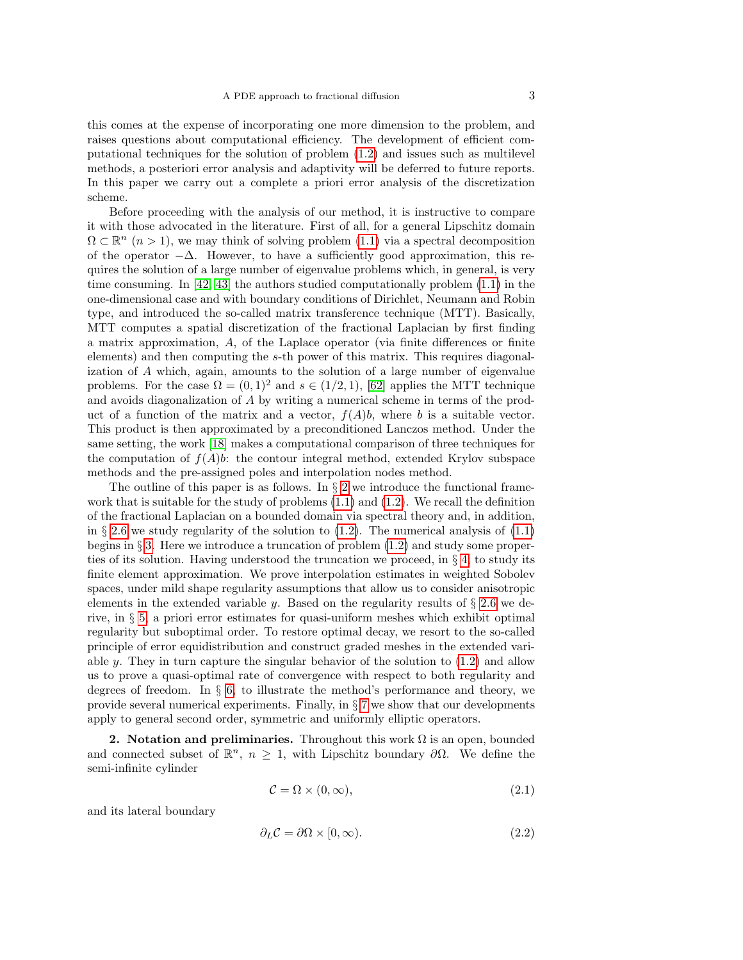this comes at the expense of incorporating one more dimension to the problem, and raises questions about computational efficiency. The development of efficient computational techniques for the solution of problem [\(1.2\)](#page-1-0) and issues such as multilevel methods, a posteriori error analysis and adaptivity will be deferred to future reports. In this paper we carry out a complete a priori error analysis of the discretization scheme.

Before proceeding with the analysis of our method, it is instructive to compare it with those advocated in the literature. First of all, for a general Lipschitz domain  $\Omega \subset \mathbb{R}^n$   $(n > 1)$ , we may think of solving problem  $(1.1)$  via a spectral decomposition of the operator  $-\Delta$ . However, to have a sufficiently good approximation, this requires the solution of a large number of eigenvalue problems which, in general, is very time consuming. In  $[42, 43]$  $[42, 43]$  the authors studied computationally problem  $(1.1)$  in the one-dimensional case and with boundary conditions of Dirichlet, Neumann and Robin type, and introduced the so-called matrix transference technique (MTT). Basically, MTT computes a spatial discretization of the fractional Laplacian by first finding a matrix approximation, A, of the Laplace operator (via finite differences or finite elements) and then computing the s-th power of this matrix. This requires diagonalization of A which, again, amounts to the solution of a large number of eigenvalue problems. For the case  $\Omega = (0, 1)^2$  and  $s \in (1/2, 1)$ , [\[62\]](#page-46-0) applies the MTT technique and avoids diagonalization of A by writing a numerical scheme in terms of the product of a function of the matrix and a vector,  $f(A)b$ , where b is a suitable vector. This product is then approximated by a preconditioned Lanczos method. Under the same setting, the work [\[18\]](#page-44-11) makes a computational comparison of three techniques for the computation of  $f(A)b$ : the contour integral method, extended Krylov subspace methods and the pre-assigned poles and interpolation nodes method.

The outline of this paper is as follows. In  $\S 2$  $\S 2$  we introduce the functional framework that is suitable for the study of problems  $(1.1)$  and  $(1.2)$ . We recall the definition of the fractional Laplacian on a bounded domain via spectral theory and, in addition, in § [2.6](#page-10-0) we study regularity of the solution to  $(1.2)$ . The numerical analysis of  $(1.1)$ begins in § [3.](#page-13-0) Here we introduce a truncation of problem [\(1.2\)](#page-1-0) and study some properties of its solution. Having understood the truncation we proceed, in  $\S 4$ , to study its finite element approximation. We prove interpolation estimates in weighted Sobolev spaces, under mild shape regularity assumptions that allow us to consider anisotropic elements in the extended variable y. Based on the regularity results of  $\S 2.6$  $\S 2.6$  we derive, in § [5,](#page-32-0) a priori error estimates for quasi-uniform meshes which exhibit optimal regularity but suboptimal order. To restore optimal decay, we resort to the so-called principle of error equidistribution and construct graded meshes in the extended variable y. They in turn capture the singular behavior of the solution to  $(1.2)$  and allow us to prove a quasi-optimal rate of convergence with respect to both regularity and degrees of freedom. In  $\S$  [6,](#page-37-0) to illustrate the method's performance and theory, we provide several numerical experiments. Finally, in § [7](#page-40-0) we show that our developments apply to general second order, symmetric and uniformly elliptic operators.

<span id="page-2-0"></span>2. Notation and preliminaries. Throughout this work  $\Omega$  is an open, bounded and connected subset of  $\mathbb{R}^n$ ,  $n \geq 1$ , with Lipschitz boundary  $\partial \Omega$ . We define the semi-infinite cylinder

$$
\mathcal{C} = \Omega \times (0, \infty), \tag{2.1}
$$

and its lateral boundary

$$
\partial_L \mathcal{C} = \partial \Omega \times [0, \infty). \tag{2.2}
$$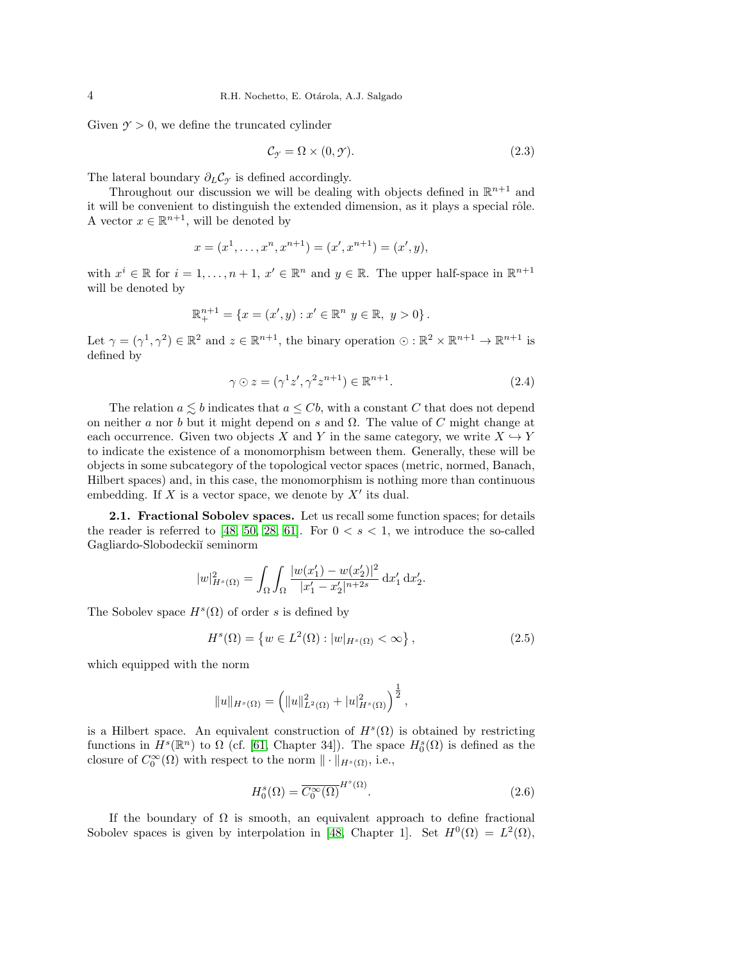Given  $\gamma > 0$ , we define the truncated cylinder

$$
\mathcal{C}_{\mathcal{I}} = \Omega \times (0, \mathcal{I}). \tag{2.3}
$$

The lateral boundary  $\partial_L C_\gamma$  is defined accordingly.

Throughout our discussion we will be dealing with objects defined in  $\mathbb{R}^{n+1}$  and it will be convenient to distinguish the extended dimension, as it plays a special rôle. A vector  $x \in \mathbb{R}^{n+1}$ , will be denoted by

$$
x = (x1,..., xn, xn+1) = (x', xn+1) = (x', y),
$$

with  $x^i \in \mathbb{R}$  for  $i = 1, ..., n + 1, x' \in \mathbb{R}^n$  and  $y \in \mathbb{R}$ . The upper half-space in  $\mathbb{R}^{n+1}$ will be denoted by

$$
\mathbb{R}^{n+1}_{+} = \{ x = (x', y) : x' \in \mathbb{R}^n \ y \in \mathbb{R}, \ y > 0 \}.
$$

Let  $\gamma = (\gamma^1, \gamma^2) \in \mathbb{R}^2$  and  $z \in \mathbb{R}^{n+1}$ , the binary operation  $\odot : \mathbb{R}^2 \times \mathbb{R}^{n+1} \to \mathbb{R}^{n+1}$  is defined by

<span id="page-3-2"></span>
$$
\gamma \odot z = (\gamma^1 z', \gamma^2 z^{n+1}) \in \mathbb{R}^{n+1}.
$$
\n(2.4)

The relation  $a \leq b$  indicates that  $a \leq Cb$ , with a constant C that does not depend on neither a nor b but it might depend on s and  $\Omega$ . The value of C might change at each occurrence. Given two objects X and Y in the same category, we write  $X \hookrightarrow Y$ to indicate the existence of a monomorphism between them. Generally, these will be objects in some subcategory of the topological vector spaces (metric, normed, Banach, Hilbert spaces) and, in this case, the monomorphism is nothing more than continuous embedding. If X is a vector space, we denote by  $X'$  its dual.

2.1. Fractional Sobolev spaces. Let us recall some function spaces; for details the reader is referred to [\[48,](#page-45-9) [50,](#page-45-10) [28,](#page-44-12) [61\]](#page-45-11). For  $0 < s < 1$ , we introduce the so-called Gagliardo-Slobodecki˘ı seminorm

$$
|w|_{H^s(\Omega)}^2 = \int_{\Omega} \int_{\Omega} \frac{|w(x_1') - w(x_2')|^2}{|x_1' - x_2'|^{n+2s}} \, \mathrm{d}x_1' \, \mathrm{d}x_2'.
$$

The Sobolev space  $H^s(\Omega)$  of order s is defined by

<span id="page-3-0"></span>
$$
H^{s}(\Omega) = \{ w \in L^{2}(\Omega) : |w|_{H^{s}(\Omega)} < \infty \},
$$
\n(2.5)

which equipped with the norm

$$
||u||_{H^s(\Omega)} = \left(||u||_{L^2(\Omega)}^2 + |u|_{H^s(\Omega)}^2\right)^{\frac{1}{2}},
$$

is a Hilbert space. An equivalent construction of  $H^s(\Omega)$  is obtained by restricting functions in  $H^s(\mathbb{R}^n)$  to  $\Omega$  (cf. [\[61,](#page-45-11) Chapter 34]). The space  $H_0^s(\Omega)$  is defined as the closure of  $C_0^{\infty}(\Omega)$  with respect to the norm  $\|\cdot\|_{H^s(\Omega)}$ , i.e.,

<span id="page-3-1"></span>
$$
H_0^s(\Omega) = \overline{C_0^\infty(\Omega)}^{H^s(\Omega)}.
$$
\n(2.6)

If the boundary of  $\Omega$  is smooth, an equivalent approach to define fractional Sobolev spaces is given by interpolation in [\[48,](#page-45-9) Chapter 1]. Set  $H^0(\Omega) = L^2(\Omega)$ ,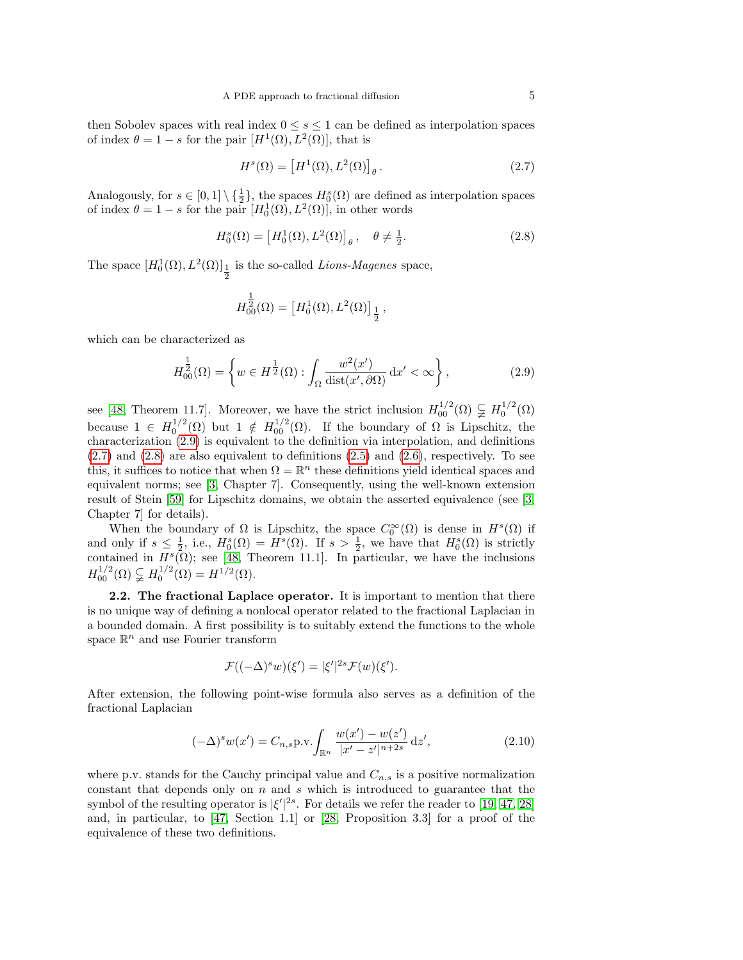then Sobolev spaces with real index  $0 \leq s \leq 1$  can be defined as interpolation spaces of index  $\theta = 1 - s$  for the pair  $[H^1(\Omega), L^2(\Omega)]$ , that is

<span id="page-4-1"></span>
$$
H^{s}(\Omega) = \left[H^{1}(\Omega), L^{2}(\Omega)\right]_{\theta}.
$$
\n(2.7)

Analogously, for  $s \in [0,1] \setminus {\frac{1}{2}}$ , the spaces  $H_0^s(\Omega)$  are defined as interpolation spaces of index  $\theta = 1 - s$  for the pair  $[H_0^1(\Omega), L^2(\Omega)]$ , in other words

<span id="page-4-2"></span>
$$
H_0^s(\Omega) = \left[H_0^1(\Omega), L^2(\Omega)\right]_\theta, \quad \theta \neq \frac{1}{2}.\tag{2.8}
$$

The space  $[H_0^1(\Omega), L^2(\Omega)]_{\frac{1}{2}}$  is the so-called *Lions-Magenes* space,

$$
H^{\tfrac{1}{2}}_{00}(\Omega) = \left[H^1_0(\Omega),L^2(\Omega)\right]_{\tfrac{1}{2}},
$$

which can be characterized as

<span id="page-4-0"></span>
$$
H_{00}^{\frac{1}{2}}(\Omega) = \left\{ w \in H^{\frac{1}{2}}(\Omega) : \int_{\Omega} \frac{w^2(x')}{\text{dist}(x', \partial \Omega)} \, \mathrm{d}x' < \infty \right\},\tag{2.9}
$$

see [\[48,](#page-45-9) Theorem 11.7]. Moreover, we have the strict inclusion  $H_{00}^{1/2}(\Omega) \subsetneq H_0^{1/2}(\Omega)$ because  $1 \in H_0^{1/2}(\Omega)$  but  $1 \notin H_{00}^{1/2}(\Omega)$ . If the boundary of  $\Omega$  is Lipschitz, the characterization [\(2.9\)](#page-4-0) is equivalent to the definition via interpolation, and definitions  $(2.7)$  and  $(2.8)$  are also equivalent to definitions  $(2.5)$  and  $(2.6)$ , respectively. To see this, it suffices to notice that when  $\Omega = \mathbb{R}^n$  these definitions yield identical spaces and equivalent norms; see [\[3,](#page-43-0) Chapter 7]. Consequently, using the well-known extension result of Stein [\[59\]](#page-45-0) for Lipschitz domains, we obtain the asserted equivalence (see [\[3,](#page-43-0) Chapter 7] for details).

When the boundary of  $\Omega$  is Lipschitz, the space  $C_0^{\infty}(\Omega)$  is dense in  $H^s(\Omega)$  if and only if  $s \leq \frac{1}{2}$ , i.e.,  $H_0^s(\Omega) = H^s(\Omega)$ . If  $s > \frac{1}{2}$ , we have that  $H_0^s(\Omega)$  is strictly contained in  $H^s(\Omega)$ ; see [\[48,](#page-45-9) Theorem 11.1]. In particular, we have the inclusions  $H_{00}^{1/2}(\Omega) \subsetneq H_0^{1/2}(\Omega) = H^{1/2}(\Omega).$ 

2.2. The fractional Laplace operator. It is important to mention that there is no unique way of defining a nonlocal operator related to the fractional Laplacian in a bounded domain. A first possibility is to suitably extend the functions to the whole space  $\mathbb{R}^n$  and use Fourier transform

$$
\mathcal{F}((-\Delta)^s w)(\xi') = |\xi'|^{2s} \mathcal{F}(w)(\xi').
$$

After extension, the following point-wise formula also serves as a definition of the fractional Laplacian

<span id="page-4-3"></span>
$$
(-\Delta)^s w(x') = C_{n,s} \text{p.v.} \int_{\mathbb{R}^n} \frac{w(x') - w(z')}{|x' - z'|^{n+2s}} \,\mathrm{d}z',\tag{2.10}
$$

where p.v. stands for the Cauchy principal value and  $C_{n,s}$  is a positive normalization constant that depends only on  $n$  and  $s$  which is introduced to guarantee that the symbol of the resulting operator is  $|\xi'|^{2s}$ . For details we refer the reader to [\[19,](#page-44-8) [47,](#page-45-5) [28\]](#page-44-12) and, in particular, to [\[47,](#page-45-5) Section 1.1] or [\[28,](#page-44-12) Proposition 3.3] for a proof of the equivalence of these two definitions.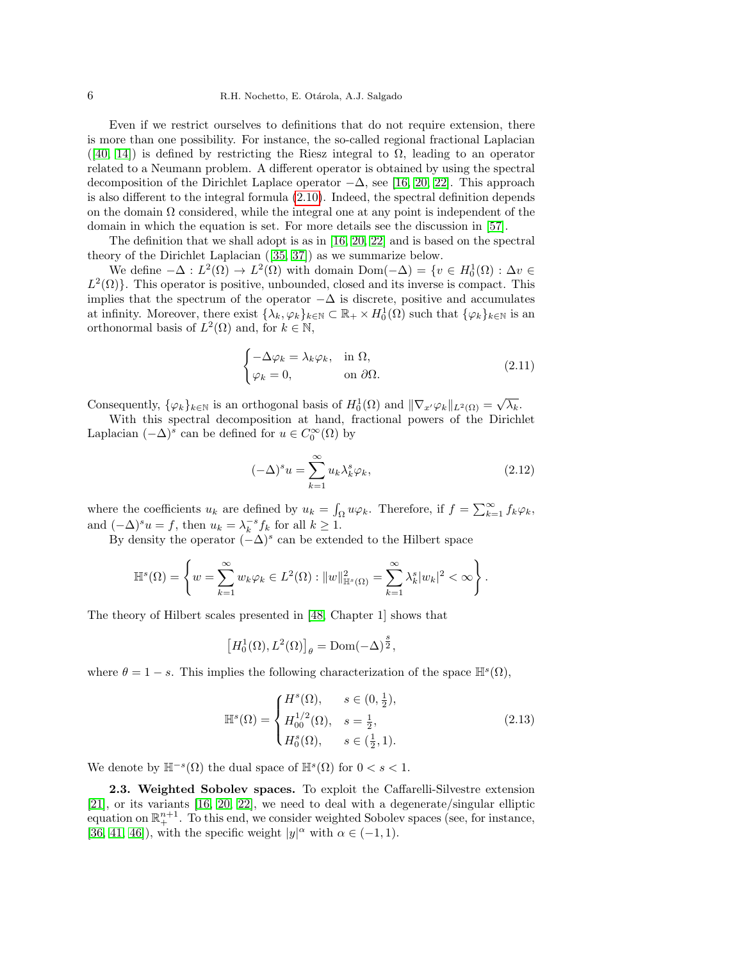Even if we restrict ourselves to definitions that do not require extension, there is more than one possibility. For instance, the so-called regional fractional Laplacian  $([40, 14])$  $([40, 14])$  $([40, 14])$  $([40, 14])$  is defined by restricting the Riesz integral to  $\Omega$ , leading to an operator related to a Neumann problem. A different operator is obtained by using the spectral decomposition of the Dirichlet Laplace operator  $-\Delta$ , see [\[16,](#page-44-10) [20,](#page-44-14) [22\]](#page-44-9). This approach is also different to the integral formula [\(2.10\)](#page-4-3). Indeed, the spectral definition depends on the domain  $\Omega$  considered, while the integral one at any point is independent of the domain in which the equation is set. For more details see the discussion in [\[57\]](#page-45-13).

The definition that we shall adopt is as in [\[16,](#page-44-10) [20,](#page-44-14) [22\]](#page-44-9) and is based on the spectral theory of the Dirichlet Laplacian([\[35,](#page-45-14) [37\]](#page-45-15)) as we summarize below.

We define  $-\Delta : L^2(\Omega) \to L^2(\Omega)$  with domain Dom $(-\Delta) = \{v \in H_0^1(\Omega) : \Delta v \in$  $L^2(\Omega)$ . This operator is positive, unbounded, closed and its inverse is compact. This implies that the spectrum of the operator  $-\Delta$  is discrete, positive and accumulates at infinity. Moreover, there exist  $\{\lambda_k, \varphi_k\}_{k\in\mathbb{N}} \subset \mathbb{R}_+ \times H_0^1(\Omega)$  such that  $\{\varphi_k\}_{k\in\mathbb{N}}$  is an orthonormal basis of  $L^2(\Omega)$  and, for  $k \in \mathbb{N}$ ,

$$
\begin{cases}\n-\Delta \varphi_k = \lambda_k \varphi_k, & \text{in } \Omega, \\
\varphi_k = 0, & \text{on } \partial \Omega.\n\end{cases}
$$
\n(2.11)

Consequently,  $\{\varphi_k\}_{k\in\mathbb{N}}$  is an orthogonal basis of  $H_0^1(\Omega)$  and  $\|\nabla_{x'}\varphi_k\|_{L^2(\Omega)} = \sqrt{\lambda_k}$ .

With this spectral decomposition at hand, fractional powers of the Dirichlet Laplacian  $(-\Delta)^s$  can be defined for  $u \in C_0^{\infty}(\Omega)$  by

<span id="page-5-0"></span>
$$
(-\Delta)^s u = \sum_{k=1}^{\infty} u_k \lambda_k^s \varphi_k, \qquad (2.12)
$$

where the coefficients  $u_k$  are defined by  $u_k = \int_{\Omega} u \varphi_k$ . Therefore, if  $f = \sum_{k=1}^{\infty} f_k \varphi_k$ , and  $(-\Delta)^s u = f$ , then  $u_k = \lambda_k^{-s} f_k$  for all  $k \ge 1$ .

By density the operator  $(-\Delta)^s$  can be extended to the Hilbert space

$$
\mathbb{H}^s(\Omega) = \left\{ w = \sum_{k=1}^{\infty} w_k \varphi_k \in L^2(\Omega) : ||w||^2_{\mathbb{H}^s(\Omega)} = \sum_{k=1}^{\infty} \lambda_k^s |w_k|^2 < \infty \right\}.
$$

The theory of Hilbert scales presented in [\[48,](#page-45-9) Chapter 1] shows that

$$
\left[H^1_0(\Omega),L^2(\Omega)\right]_\theta = \mathrm{Dom}(-\Delta)^{\frac{s}{2}},
$$

where  $\theta = 1 - s$ . This implies the following characterization of the space  $\mathbb{H}^s(\Omega)$ ,

<span id="page-5-1"></span>
$$
\mathbb{H}^{s}(\Omega) = \begin{cases} H^{s}(\Omega), & s \in (0, \frac{1}{2}), \\ H_{00}^{1/2}(\Omega), & s = \frac{1}{2}, \\ H_{0}^{s}(\Omega), & s \in (\frac{1}{2}, 1). \end{cases}
$$
(2.13)

We denote by  $\mathbb{H}^{-s}(\Omega)$  the dual space of  $\mathbb{H}^{s}(\Omega)$  for  $0 < s < 1$ .

<span id="page-5-2"></span>2.3. Weighted Sobolev spaces. To exploit the Caffarelli-Silvestre extension [\[21\]](#page-44-7), or its variants [\[16,](#page-44-10) [20,](#page-44-14) [22\]](#page-44-9), we need to deal with a degenerate/singular elliptic equation on  $\mathbb{R}^{n+1}_+$ . To this end, we consider weighted Sobolev spaces (see, for instance, [\[36,](#page-45-16) [41,](#page-45-17) [46\]](#page-45-18)), with the specific weight  $|y|^{\alpha}$  with  $\alpha \in (-1, 1)$ .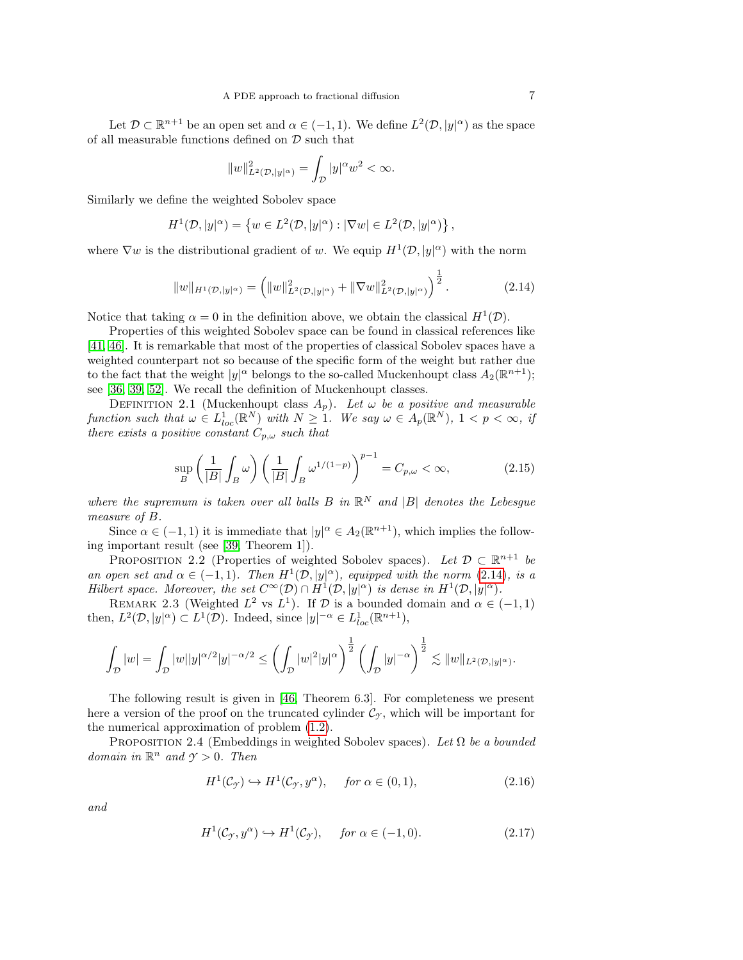Let  $\mathcal{D} \subset \mathbb{R}^{n+1}$  be an open set and  $\alpha \in (-1,1)$ . We define  $L^2(\mathcal{D}, |y|^{\alpha})$  as the space of all measurable functions defined on  ${\mathcal D}$  such that

$$
||w||^2_{L^2(\mathcal{D},|y|^\alpha)}=\int_{\mathcal{D}}|y|^\alpha w^2<\infty.
$$

Similarly we define the weighted Sobolev space

$$
H^{1}(\mathcal{D}, |y|^{\alpha}) = \left\{ w \in L^{2}(\mathcal{D}, |y|^{\alpha}) : |\nabla w| \in L^{2}(\mathcal{D}, |y|^{\alpha}) \right\},\
$$

where  $\nabla w$  is the distributional gradient of w. We equip  $H^1(\mathcal{D}, |y|^\alpha)$  with the norm

<span id="page-6-0"></span>
$$
||w||_{H^1(\mathcal{D}, |y|^{\alpha})} = \left(||w||^2_{L^2(\mathcal{D}, |y|^{\alpha})} + ||\nabla w||^2_{L^2(\mathcal{D}, |y|^{\alpha})}\right)^{\frac{1}{2}}.
$$
 (2.14)

Notice that taking  $\alpha = 0$  in the definition above, we obtain the classical  $H^1(\mathcal{D})$ .

Properties of this weighted Sobolev space can be found in classical references like [\[41,](#page-45-17) [46\]](#page-45-18). It is remarkable that most of the properties of classical Sobolev spaces have a weighted counterpart not so because of the specific form of the weight but rather due to the fact that the weight  $|y|^{\alpha}$  belongs to the so-called Muckenhoupt class  $A_2(\mathbb{R}^{n+1})$ ; see [\[36,](#page-45-16) [39,](#page-45-19) [52\]](#page-45-20). We recall the definition of Muckenhoupt classes.

<span id="page-6-3"></span>DEFINITION 2.1 (Muckenhoupt class  $A_p$ ). Let  $\omega$  be a positive and measurable function such that  $\omega \in L^1_{loc}(\mathbb{R}^N)$  with  $N \geq 1$ . We say  $\omega \in A_p(\mathbb{R}^N)$ ,  $1 < p < \infty$ , if there exists a positive constant  $C_{p,\omega}$  such that

<span id="page-6-5"></span>
$$
\sup_{B} \left( \frac{1}{|B|} \int_{B} \omega \right) \left( \frac{1}{|B|} \int_{B} \omega^{1/(1-p)} \right)^{p-1} = C_{p,\omega} < \infty,\tag{2.15}
$$

where the supremum is taken over all balls  $B$  in  $\mathbb{R}^N$  and  $|B|$  denotes the Lebesgue measure of B.

Since  $\alpha \in (-1,1)$  it is immediate that  $|y|^{\alpha} \in A_2(\mathbb{R}^{n+1})$ , which implies the following important result (see [\[39,](#page-45-19) Theorem 1]).

PROPOSITION 2.2 (Properties of weighted Sobolev spaces). Let  $\mathcal{D} \subset \mathbb{R}^{n+1}$  be an open set and  $\alpha \in (-1,1)$ . Then  $H^1(\mathcal{D}, |y|^\alpha)$ , equipped with the norm [\(2.14\)](#page-6-0), is a Hilbert space. Moreover, the set  $C^{\infty}(\mathcal{D}) \cap H^{1}(\mathcal{D}, |y|^{\alpha})$  is dense in  $H^{1}(\mathcal{D}, |y|^{\alpha})$ .

<span id="page-6-4"></span>REMARK 2.3 (Weighted  $L^2$  vs  $L^1$ ). If  $\mathcal D$  is a bounded domain and  $\alpha \in (-1,1)$ then,  $L^2(\mathcal{D}, |y|^\alpha) \subset L^1(\mathcal{D})$ . Indeed, since  $|y|^{-\alpha} \in L^1_{loc}(\mathbb{R}^{n+1}),$ 

$$
\int_{\mathcal{D}} |w| = \int_{\mathcal{D}} |w| |y|^{\alpha/2} |y|^{-\alpha/2} \le \left( \int_{\mathcal{D}} |w|^2 |y|^\alpha \right)^{\frac{1}{2}} \left( \int_{\mathcal{D}} |y|^{-\alpha} \right)^{\frac{1}{2}} \lesssim \|w\|_{L^2(\mathcal{D}, |y|^\alpha)}.
$$

The following result is given in [\[46,](#page-45-18) Theorem 6.3]. For completeness we present here a version of the proof on the truncated cylinder  $\mathcal{C}_{\gamma}$ , which will be important for the numerical approximation of problem [\(1.2\)](#page-1-0).

PROPOSITION 2.4 (Embeddings in weighted Sobolev spaces). Let  $\Omega$  be a bounded domain in  $\mathbb{R}^n$  and  $\gamma > 0$ . Then

<span id="page-6-1"></span>
$$
H^{1}(\mathcal{C}_{\mathcal{I}}) \hookrightarrow H^{1}(\mathcal{C}_{\mathcal{I}}, y^{\alpha}), \quad \text{for } \alpha \in (0, 1), \tag{2.16}
$$

and

<span id="page-6-2"></span>
$$
H^{1}(\mathcal{C}_{\mathcal{I}}, y^{\alpha}) \hookrightarrow H^{1}(\mathcal{C}_{\mathcal{I}}), \quad \text{for } \alpha \in (-1, 0). \tag{2.17}
$$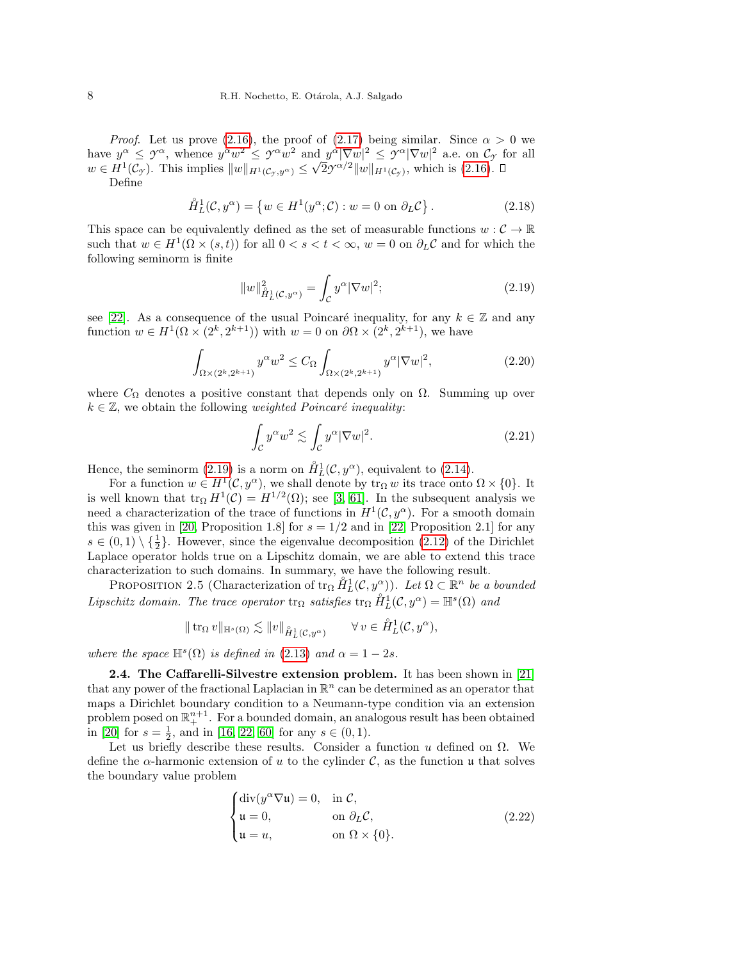*Proof.* Let us prove [\(2.16\)](#page-6-1), the proof of [\(2.17\)](#page-6-2) being similar. Since  $\alpha > 0$  we have  $y^{\alpha} \leq y^{\alpha}$ , whence  $y^{\alpha}w^2 \leq y^{\alpha}w^2$  and  $y^{\alpha}|\nabla w|^2 \leq y^{\alpha}|\nabla w|^2$  a.e. on  $\mathcal{C}_{\mathcal{I}}$  for all  $w \in H^1(\mathcal{C}_{\gamma})$ . This implies  $||w||_{H^1(\mathcal{C}_{\gamma},y^{\alpha})} \leq \sqrt{2}\gamma^{\alpha/2}||w||_{H^1(\mathcal{C}_{\gamma})}$ , which is [\(2.16\)](#page-6-1).

Define

$$
\mathring{H}_L^1(\mathcal{C}, y^\alpha) = \left\{ w \in H^1(y^\alpha; \mathcal{C}) : w = 0 \text{ on } \partial_L \mathcal{C} \right\}.
$$
 (2.18)

This space can be equivalently defined as the set of measurable functions  $w : \mathcal{C} \to \mathbb{R}$ such that  $w \in H^1(\Omega \times (s,t))$  for all  $0 < s < t < \infty$ ,  $w = 0$  on  $\partial_L C$  and for which the following seminorm is finite

<span id="page-7-0"></span>
$$
||w||_{\hat{H}^1_L(\mathcal{C}, y^{\alpha})}^2 = \int_{\mathcal{C}} y^{\alpha} |\nabla w|^2; \tag{2.19}
$$

see [\[22\]](#page-44-9). As a consequence of the usual Poincaré inequality, for any  $k \in \mathbb{Z}$  and any function  $w \in H^1(\Omega \times (2^k, 2^{k+1}))$  with  $w = 0$  on  $\partial \Omega \times (2^k, 2^{k+1})$ , we have

<span id="page-7-3"></span>
$$
\int_{\Omega \times (2^k, 2^{k+1})} y^{\alpha} w^2 \le C_{\Omega} \int_{\Omega \times (2^k, 2^{k+1})} y^{\alpha} |\nabla w|^2, \tag{2.20}
$$

where  $C_{\Omega}$  denotes a positive constant that depends only on  $\Omega$ . Summing up over  $k \in \mathbb{Z}$ , we obtain the following *weighted Poincaré inequality*:

<span id="page-7-4"></span><span id="page-7-1"></span>
$$
\int_{\mathcal{C}} y^{\alpha} w^2 \lesssim \int_{\mathcal{C}} y^{\alpha} |\nabla w|^2. \tag{2.21}
$$

Hence, the seminorm  $(2.19)$  is a norm on  $\overset{\circ}{H}_{L}^{1}(\mathcal{C}, y^{\alpha})$ , equivalent to  $(2.14)$ .

For a function  $w \in H^1(\mathcal{C}, y^{\alpha})$ , we shall denote by  $\text{tr}_{\Omega} w$  its trace onto  $\Omega \times \{0\}$ . It is well known that  $\text{tr}_{\Omega} H^1(\mathcal{C}) = H^{1/2}(\Omega)$ ; see [\[3,](#page-43-0) [61\]](#page-45-11). In the subsequent analysis we need a characterization of the trace of functions in  $H^1(\mathcal{C}, y^{\alpha})$ . For a smooth domain this was given in [\[20,](#page-44-14) Proposition 1.8] for  $s = 1/2$  and in [\[22,](#page-44-9) Proposition 2.1] for any  $s \in (0,1) \setminus \{\frac{1}{2}\}.$  However, since the eigenvalue decomposition [\(2.12\)](#page-5-0) of the Dirichlet Laplace operator holds true on a Lipschitz domain, we are able to extend this trace characterization to such domains. In summary, we have the following result.

PROPOSITION 2.5 (Characterization of  $\text{tr}_{\Omega} \ H_L^1(\mathcal{C}, y^{\alpha})$ ). Let  $\Omega \subset \mathbb{R}^n$  be a bounded Lipschitz domain. The trace operator  $\text{tr}_{\Omega}$  satisfies  $\text{tr}_{\Omega} \ H_L^1(\mathcal{C}, y^{\alpha}) = \mathbb{H}^s(\Omega)$  and

$$
\|\operatorname{tr}_\Omega v\|_{\mathbb{H}^s(\Omega)} \lesssim \|v\|_{\mathring{H}^1_L(\mathcal{C},y^\alpha)} \qquad \forall\, v\in \mathring{H}^1_L(\mathcal{C},y^\alpha),
$$

where the space  $\mathbb{H}^s(\Omega)$  is defined in [\(2.13\)](#page-5-1) and  $\alpha = 1 - 2s$ .

<span id="page-7-5"></span>2.4. The Caffarelli-Silvestre extension problem. It has been shown in [\[21\]](#page-44-7) that any power of the fractional Laplacian in  $\mathbb{R}^n$  can be determined as an operator that maps a Dirichlet boundary condition to a Neumann-type condition via an extension problem posed on  $\mathbb{R}^{n+1}_+$ . For a bounded domain, an analogous result has been obtained in [\[20\]](#page-44-14) for  $s = \frac{1}{2}$ , and in [\[16,](#page-44-10) [22,](#page-44-9) [60\]](#page-45-6) for any  $s \in (0, 1)$ .

Let us briefly describe these results. Consider a function  $u$  defined on  $\Omega$ . We define the  $\alpha$ -harmonic extension of u to the cylinder C, as the function u that solves the boundary value problem

<span id="page-7-2"></span>
$$
\begin{cases}\n\text{div}(y^{\alpha}\nabla u) = 0, & \text{in } C, \\
u = 0, & \text{on } \partial_L C, \\
u = u, & \text{on } \Omega \times \{0\}.\n\end{cases}
$$
\n(2.22)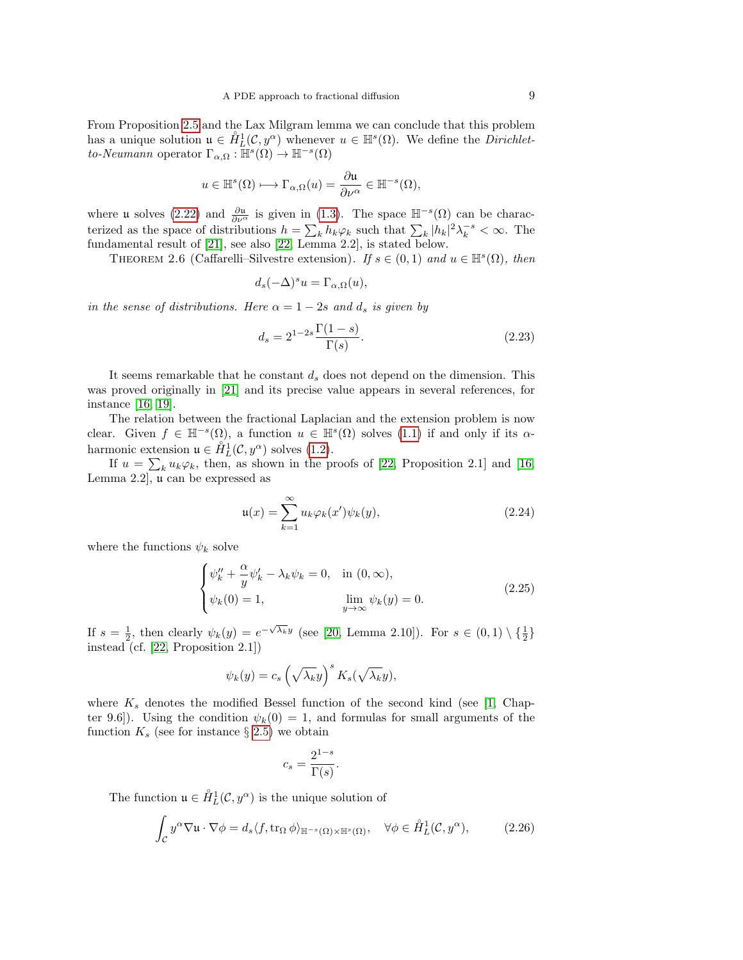From Proposition [2.5](#page-7-1) and the Lax Milgram lemma we can conclude that this problem has a unique solution  $u \in \hat{H}_L^1(\mathcal{C}, y^\alpha)$  whenever  $u \in \mathbb{H}^s(\Omega)$ . We define the *Dirichlet*to-Neumann operator  $\Gamma_{\alpha,\Omega} : \mathbb{H}^s(\Omega) \to \mathbb{H}^{-s}(\Omega)$ 

$$
u\in \mathbb{H}^s(\Omega)\longmapsto \Gamma_{\alpha,\Omega}(u)=\frac{\partial \mathfrak{u}}{\partial \nu^\alpha}\in \mathbb{H}^{-s}(\Omega),
$$

where **u** solves [\(2.22\)](#page-7-2) and  $\frac{\partial u}{\partial \nu^{\alpha}}$  is given in [\(1.3\)](#page-1-1). The space  $\mathbb{H}^{-s}(\Omega)$  can be characterized as the space of distributions  $h = \sum_k h_k \varphi_k$  such that  $\sum_k |h_k|^2 \lambda_k^{-s} < \infty$ . The fundamental result of [\[21\]](#page-44-7), see also [\[22,](#page-44-9) Lemma 2.2], is stated below.

THEOREM 2.6 (Caffarelli–Silvestre extension). If  $s \in (0,1)$  and  $u \in \mathbb{H}^s(\Omega)$ , then

$$
d_s(-\Delta)^s u = \Gamma_{\alpha,\Omega}(u),
$$

in the sense of distributions. Here  $\alpha = 1 - 2s$  and  $d_s$  is given by

<span id="page-8-3"></span>
$$
d_s = 2^{1-2s} \frac{\Gamma(1-s)}{\Gamma(s)}.\tag{2.23}
$$

It seems remarkable that he constant  $d_s$  does not depend on the dimension. This was proved originally in [\[21\]](#page-44-7) and its precise value appears in several references, for instance [\[16,](#page-44-10) [19\]](#page-44-8).

The relation between the fractional Laplacian and the extension problem is now clear. Given  $f \in \mathbb{H}^{-s}(\Omega)$ , a function  $u \in \mathbb{H}^{s}(\Omega)$  solves  $(1.1)$  if and only if its  $\alpha$ harmonic extension  $\mathfrak{u} \in \overset{\circ}{H}_{L}^{1}(\mathcal{C}, y^{\alpha})$  solves [\(1.2\)](#page-1-0).

If  $u = \sum_{k} u_k \varphi_k$ , then, as shown in the proofs of [\[22,](#page-44-9) Proposition 2.1] and [\[16,](#page-44-10) Lemma 2.2], u can be expressed as

<span id="page-8-1"></span>
$$
\mathfrak{u}(x) = \sum_{k=1}^{\infty} u_k \varphi_k(x') \psi_k(y), \qquad (2.24)
$$

where the functions  $\psi_k$  solve

<span id="page-8-2"></span>
$$
\begin{cases}\n\psi_k'' + \frac{\alpha}{y}\psi_k' - \lambda_k \psi_k = 0, & \text{in } (0, \infty), \\
\psi_k(0) = 1, & \lim_{y \to \infty} \psi_k(y) = 0.\n\end{cases}
$$
\n(2.25)

If  $s = \frac{1}{2}$ , then clearly  $\psi_k(y) = e^{-\sqrt{\lambda_k}y}$  (see [\[20,](#page-44-14) Lemma 2.10]). For  $s \in (0,1) \setminus {\frac{1}{2}}$ instead (cf. [\[22,](#page-44-9) Proposition 2.1])

$$
\psi_k(y) = c_s \left(\sqrt{\lambda_k}y\right)^s K_s(\sqrt{\lambda_k}y),
$$

where  $K_s$  denotes the modified Bessel function of the second kind (see [\[1,](#page-43-1) Chapter 9.6]). Using the condition  $\psi_k(0) = 1$ , and formulas for small arguments of the function  $K_s$  (see for instance  $\S 2.5$ ) we obtain

$$
c_s = \frac{2^{1-s}}{\Gamma(s)}.
$$

The function  $\mathfrak{u} \in \mathring{H}_L^1(\mathcal{C}, y^{\alpha})$  is the unique solution of

<span id="page-8-0"></span>
$$
\int_{\mathcal{C}} y^{\alpha} \nabla \mathfrak{u} \cdot \nabla \phi = d_s \langle f, \text{tr}_{\Omega} \phi \rangle_{\mathbb{H}^{-s}(\Omega) \times \mathbb{H}^s(\Omega)}, \quad \forall \phi \in \mathring{H}_L^1(\mathcal{C}, y^{\alpha}), \tag{2.26}
$$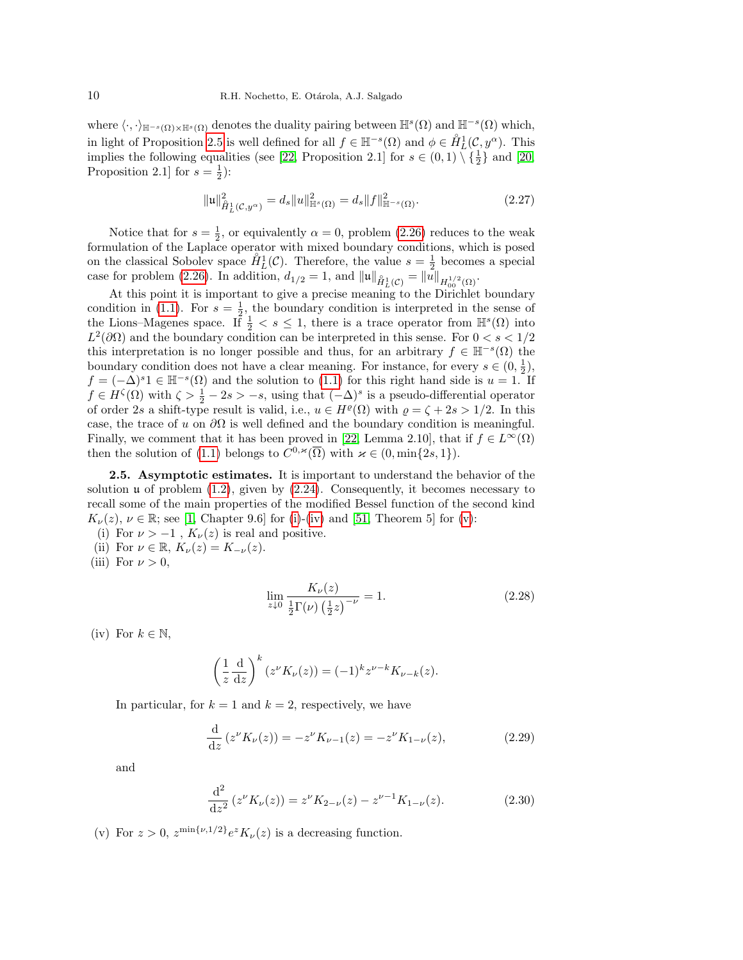where  $\langle \cdot, \cdot \rangle_{\mathbb{H}^{-s}(\Omega) \times \mathbb{H}^{s}(\Omega)}$  denotes the duality pairing between  $\mathbb{H}^{s}(\Omega)$  and  $\mathbb{H}^{-s}(\Omega)$  which, in light of Proposition [2.5](#page-7-1) is well defined for all  $f \in \mathbb{H}^{-s}(\Omega)$  and  $\phi \in \mathring{H}_L^1(\mathcal{C}, y^{\alpha})$ . This implies the following equalities (see [\[22,](#page-44-9) Proposition 2.1] for  $s \in (0,1) \setminus {\frac{1}{2}}$  and [\[20,](#page-44-14) Proposition 2.1] for  $s = \frac{1}{2}$ :

$$
\|\mathfrak{u}\|_{\hat{H}_L^1(\mathcal{C},y^{\alpha})}^2 = d_s \|u\|_{\mathbb{H}^s(\Omega)}^2 = d_s \|f\|_{\mathbb{H}^{-s}(\Omega)}^2.
$$
\n(2.27)

Notice that for  $s = \frac{1}{2}$ , or equivalently  $\alpha = 0$ , problem [\(2.26\)](#page-8-0) reduces to the weak formulation of the Laplace operator with mixed boundary conditions, which is posed on the classical Sobolev space  $\mathring{H}_L^1(\mathcal{C})$ . Therefore, the value  $s = \frac{1}{2}$  becomes a special case for problem [\(2.26\)](#page-8-0). In addition,  $d_{1/2} = 1$ , and  $||\mathbf{u}||_{\hat{H}^1_L(\mathcal{C})} = ||\mathbf{u}||_{H^{1/2}_{00}(\Omega)}$ .

At this point it is important to give a precise meaning to the Dirichlet boundary condition in [\(1.1\)](#page-0-0). For  $s = \frac{1}{2}$ , the boundary condition is interpreted in the sense of the Lions–Magenes space. If  $\frac{1}{2} < s \leq 1$ , there is a trace operator from  $\mathbb{H}^s(\Omega)$  into  $L^2(\partial\Omega)$  and the boundary condition can be interpreted in this sense. For  $0 < s < 1/2$ this interpretation is no longer possible and thus, for an arbitrary  $f \in \mathbb{H}^{-s}(\Omega)$  the boundary condition does not have a clear meaning. For instance, for every  $s \in (0, \frac{1}{2})$ ,  $f = (-\Delta)^s 1 \in \mathbb{H}^{-s}(\Omega)$  and the solution to  $(1.1)$  for this right hand side is  $u = 1$ . If  $f \in H^{\zeta}(\Omega)$  with  $\zeta > \frac{1}{2} - 2s > -s$ , using that  $(-\Delta)^s$  is a pseudo-differential operator of order 2s a shift-type result is valid, i.e.,  $u \in H^{\rho}(\Omega)$  with  $\rho = \zeta + 2s > 1/2$ . In this case, the trace of u on  $\partial\Omega$  is well defined and the boundary condition is meaningful. Finally, we comment that it has been proved in [\[22,](#page-44-9) Lemma 2.10], that if  $f \in L^{\infty}(\Omega)$ then the solution of [\(1.1\)](#page-0-0) belongs to  $\hat{C}^{0,\varkappa}(\overline{\Omega})$  with  $\varkappa \in (0, \min\{2s, 1\}).$ 

<span id="page-9-0"></span>2.5. Asymptotic estimates. It is important to understand the behavior of the solution  $\mu$  of problem [\(1.2\)](#page-1-0), given by [\(2.24\)](#page-8-1). Consequently, it becomes necessary to recall some of the main properties of the modified Bessel function of the second kind  $K_{\nu}(z), \nu \in \mathbb{R}$ ; see [\[1,](#page-43-1) Chapter 9.6] for [\(i\)](#page-9-1)-[\(iv\)](#page-9-2) and [\[51,](#page-45-21) Theorem 5] for [\(v\)](#page-9-3):

- <span id="page-9-1"></span>(i) For  $\nu > -1$ ,  $K_{\nu}(z)$  is real and positive.
- <span id="page-9-4"></span>(ii) For  $\nu \in \mathbb{R}$ ,  $K_{\nu}(z) = K_{-\nu}(z)$ .
- <span id="page-9-5"></span>(iii) For  $\nu > 0$ ,

<span id="page-9-7"></span>
$$
\lim_{z \downarrow 0} \frac{K_{\nu}(z)}{\frac{1}{2} \Gamma(\nu) \left(\frac{1}{2} z\right)^{-\nu}} = 1. \tag{2.28}
$$

<span id="page-9-2"></span>(iv) For  $k \in \mathbb{N}$ ,

$$
\left(\frac{1}{z}\frac{\mathrm{d}}{\mathrm{d}z}\right)^k (z^{\nu}K_{\nu}(z)) = (-1)^k z^{\nu-k} K_{\nu-k}(z).
$$

In particular, for  $k = 1$  and  $k = 2$ , respectively, we have

$$
\frac{\mathrm{d}}{\mathrm{d}z} \left( z^{\nu} K_{\nu}(z) \right) = -z^{\nu} K_{\nu-1}(z) = -z^{\nu} K_{1-\nu}(z),\tag{2.29}
$$

and

<span id="page-9-6"></span>
$$
\frac{\mathrm{d}^2}{\mathrm{d}z^2} \left( z^\nu K_\nu(z) \right) = z^\nu K_{2-\nu}(z) - z^{\nu-1} K_{1-\nu}(z). \tag{2.30}
$$

<span id="page-9-3"></span>(v) For  $z > 0$ ,  $z^{\min\{\nu,1/2\}} e^z K_\nu(z)$  is a decreasing function.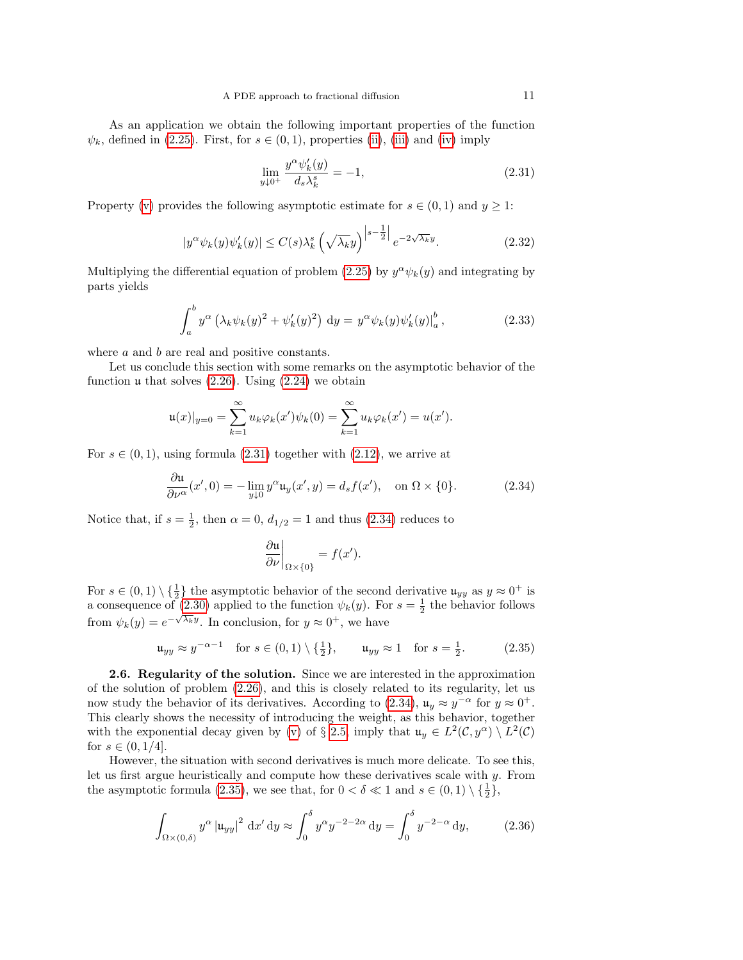As an application we obtain the following important properties of the function  $\psi_k$ , defined in [\(2.25\)](#page-8-2). First, for  $s \in (0,1)$ , properties [\(ii\)](#page-9-4), [\(iii\)](#page-9-5) and [\(iv\)](#page-9-2) imply

<span id="page-10-1"></span>
$$
\lim_{y \downarrow 0^+} \frac{y^{\alpha} \psi_k'(y)}{d_s \lambda_k^s} = -1,\tag{2.31}
$$

Property [\(v\)](#page-9-3) provides the following asymptotic estimate for  $s \in (0,1)$  and  $y \ge 1$ :

<span id="page-10-5"></span>
$$
|y^{\alpha}\psi_k(y)\psi'_k(y)| \le C(s)\lambda_k^s \left(\sqrt{\lambda_k}y\right)^{\left|s-\frac{1}{2}\right|}e^{-2\sqrt{\lambda_k}y}.\tag{2.32}
$$

Multiplying the differential equation of problem [\(2.25\)](#page-8-2) by  $y^{\alpha}\psi_k(y)$  and integrating by parts yields

<span id="page-10-4"></span>
$$
\int_{a}^{b} y^{\alpha} \left(\lambda_{k} \psi_{k}(y)^{2} + \psi'_{k}(y)^{2}\right) dy = y^{\alpha} \psi_{k}(y) \psi'_{k}(y) \big|_{a}^{b}, \qquad (2.33)
$$

where *a* and *b* are real and positive constants.

Let us conclude this section with some remarks on the asymptotic behavior of the function  $\mu$  that solves [\(2.26\)](#page-8-0). Using [\(2.24\)](#page-8-1) we obtain

$$
\mathfrak{u}(x)|_{y=0} = \sum_{k=1}^{\infty} u_k \varphi_k(x') \psi_k(0) = \sum_{k=1}^{\infty} u_k \varphi_k(x') = u(x').
$$

For  $s \in (0, 1)$ , using formula  $(2.31)$  together with  $(2.12)$ , we arrive at

<span id="page-10-2"></span>
$$
\frac{\partial \mathfrak{u}}{\partial \nu^{\alpha}}(x',0) = -\lim_{y \downarrow 0} y^{\alpha} \mathfrak{u}_y(x',y) = d_s f(x'), \quad \text{on } \Omega \times \{0\}.
$$
 (2.34)

Notice that, if  $s = \frac{1}{2}$ , then  $\alpha = 0$ ,  $d_{1/2} = 1$  and thus [\(2.34\)](#page-10-2) reduces to

<span id="page-10-3"></span>
$$
\left. \frac{\partial \mathfrak{u}}{\partial \nu} \right|_{\Omega \times \{0\}} = f(x').
$$

For  $s \in (0,1) \setminus \{\frac{1}{2}\}\)$  the asymptotic behavior of the second derivative  $\mathfrak{u}_{yy}$  as  $y \approx 0^+$  is a consequence of [\(2.30\)](#page-9-6) applied to the function  $\psi_k(y)$ . For  $s = \frac{1}{2}$  the behavior follows from  $\psi_k(y) = e^{-\sqrt{\lambda_k}y}$ . In conclusion, for  $y \approx 0^+$ , we have

$$
\mathfrak{u}_{yy} \approx y^{-\alpha - 1}
$$
 for  $s \in (0, 1) \setminus \{\frac{1}{2}\},$   $\mathfrak{u}_{yy} \approx 1$  for  $s = \frac{1}{2}$ . (2.35)

<span id="page-10-0"></span>2.6. Regularity of the solution. Since we are interested in the approximation of the solution of problem [\(2.26\)](#page-8-0), and this is closely related to its regularity, let us now study the behavior of its derivatives. According to [\(2.34\)](#page-10-2),  $\mathfrak{u}_y \approx y^{-\alpha}$  for  $y \approx 0^+$ . This clearly shows the necessity of introducing the weight, as this behavior, together with the exponential decay given by [\(v\)](#page-9-3) of § [2.5,](#page-9-0) imply that  $u_y \in L^2(\mathcal{C}, y^{\alpha}) \setminus L^2(\mathcal{C})$ for  $s \in (0, 1/4]$ .

However, the situation with second derivatives is much more delicate. To see this, let us first argue heuristically and compute how these derivatives scale with y. From the asymptotic formula [\(2.35\)](#page-10-3), we see that, for  $0 < \delta \ll 1$  and  $s \in (0,1) \setminus {\frac{1}{2}}$ ,

$$
\int_{\Omega \times (0,\delta)} y^{\alpha} |u_{yy}|^2 dx' dy \approx \int_0^{\delta} y^{\alpha} y^{-2-2\alpha} dy = \int_0^{\delta} y^{-2-\alpha} dy,
$$
 (2.36)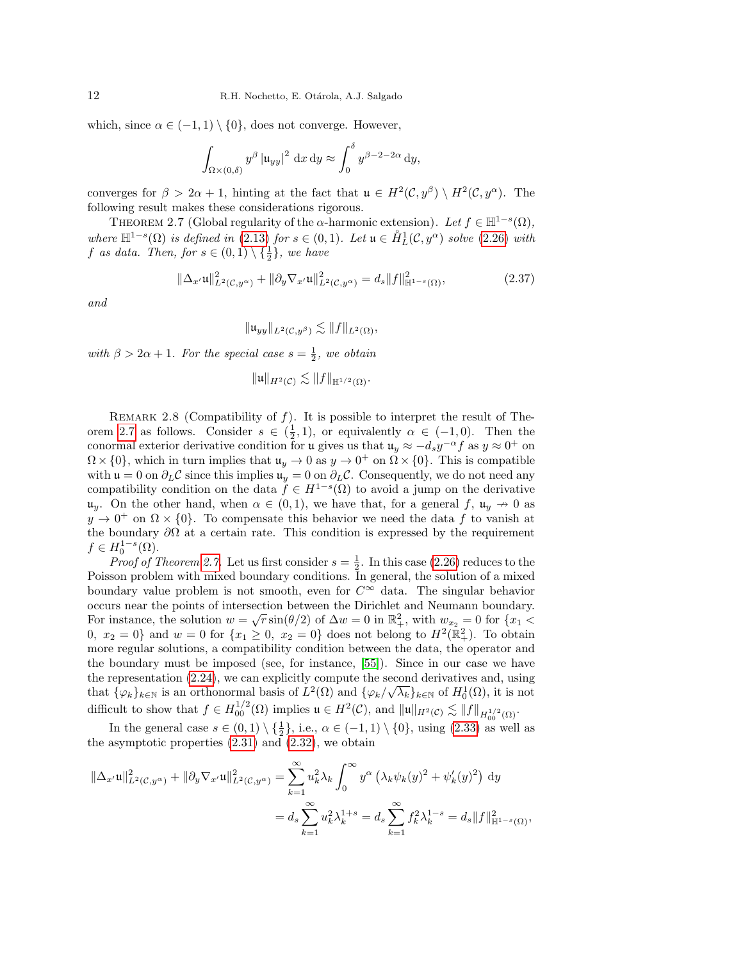which, since  $\alpha \in (-1,1) \setminus \{0\}$ , does not converge. However,

$$
\int_{\Omega \times (0,\delta)} y^{\beta} |u_{yy}|^2 dx dy \approx \int_0^{\delta} y^{\beta - 2 - 2\alpha} dy,
$$

converges for  $\beta > 2\alpha + 1$ , hinting at the fact that  $\mathfrak{u} \in H^2(\mathcal{C}, y^{\beta}) \setminus H^2(\mathcal{C}, y^{\alpha})$ . The following result makes these considerations rigorous.

<span id="page-11-0"></span>THEOREM 2.7 (Global regularity of the  $\alpha$ -harmonic extension). Let  $f \in \mathbb{H}^{1-s}(\Omega)$ , where  $\mathbb{H}^{1-s}(\Omega)$  is defined in [\(2.13\)](#page-5-1) for  $s \in (0,1)$ . Let  $\mathfrak{u} \in \overset{\circ}{H}_L^1(\mathcal{C}, y^\alpha)$  solve [\(2.26\)](#page-8-0) with f as data. Then, for  $s \in (0,1) \setminus {\frac{1}{2}}$ , we have

<span id="page-11-1"></span>
$$
\|\Delta_{x'}\mathfrak{u}\|_{L^2(\mathcal{C},y^{\alpha})}^2 + \|\partial_y \nabla_{x'}\mathfrak{u}\|_{L^2(\mathcal{C},y^{\alpha})}^2 = d_s \|f\|_{\mathbb{H}^{1-s}(\Omega)}^2,
$$
\n(2.37)

and

$$
\|\mathfrak{u}_{yy}\|_{L^2(\mathcal{C},y^\beta)} \lesssim \|f\|_{L^2(\Omega)},
$$

with  $\beta > 2\alpha + 1$ . For the special case  $s = \frac{1}{2}$ , we obtain

$$
\|\mathfrak{u}\|_{H^2(\mathcal{C})}\lesssim \|f\|_{\mathbb{H}^{1/2}(\Omega)}.
$$

<span id="page-11-2"></span>REMARK 2.8 (Compatibility of  $f$ ). It is possible to interpret the result of The-orem [2.7](#page-11-0) as follows. Consider  $s \in (\frac{1}{2}, 1)$ , or equivalently  $\alpha \in (-1, 0)$ . Then the conormal exterior derivative condition for u gives us that  $u_y \approx -d_s y^{-\alpha} f$  as  $y \approx 0^+$  on  $\Omega \times \{0\}$ , which in turn implies that  $\mathfrak{u}_y \to 0$  as  $y \to 0^+$  on  $\Omega \times \{0\}$ . This is compatible with  $\mathfrak{u} = 0$  on  $\partial_L C$  since this implies  $\mathfrak{u}_y = 0$  on  $\partial_L C$ . Consequently, we do not need any compatibility condition on the data  $f \in H^{1-s}(\Omega)$  to avoid a jump on the derivative  $\mathfrak{u}_y$ . On the other hand, when  $\alpha \in (0,1)$ , we have that, for a general f,  $\mathfrak{u}_y \to 0$  as  $y \to 0^+$  on  $\Omega \times \{0\}$ . To compensate this behavior we need the data f to vanish at the boundary  $\partial\Omega$  at a certain rate. This condition is expressed by the requirement  $f \in H_0^{1-s}(\Omega)$ .

*Proof of Theorem [2.7.](#page-11-0)* Let us first consider  $s = \frac{1}{2}$ . In this case [\(2.26\)](#page-8-0) reduces to the Poisson problem with mixed boundary conditions. In general, the solution of a mixed boundary value problem is not smooth, even for  $C^{\infty}$  data. The singular behavior occurs near the points of intersection between the Dirichlet and Neumann boundary. For instance, the solution  $w = \sqrt{r} \sin(\theta/2)$  of  $\Delta w = 0$  in  $\mathbb{R}^2_+$ , with  $w_{x_2} = 0$  for  $\{x_1 \leq$ 0,  $x_2 = 0$  and  $w = 0$  for  $\{x_1 \ge 0, x_2 = 0\}$  does not belong to  $H^2(\mathbb{R}^2_+)$ . To obtain more regular solutions, a compatibility condition between the data, the operator and the boundary must be imposed (see, for instance, [\[55\]](#page-45-22)). Since in our case we have the representation [\(2.24\)](#page-8-1), we can explicitly compute the second derivatives and, using that  $\{\varphi_k\}_{k\in\mathbb{N}}$  is an orthonormal basis of  $L^2(\Omega)$  and  $\{\varphi_k/\sqrt{\lambda_k}\}_{k\in\mathbb{N}}$  of  $H_0^1(\Omega)$ , it is not difficult to show that  $f \in H^{1/2}_{00}(\Omega)$  implies  $\mathfrak{u} \in H^2(\mathcal{C})$ , and  $\|\mathfrak{u}\|_{H^2(\mathcal{C})} \lesssim \|f\|_{H^{1/2}_{00}(\Omega)}$ .

In the general case  $s \in (0,1) \setminus \{\frac{1}{2}\}\)$ , i.e.,  $\alpha \in (-1,1) \setminus \{0\}$ , using  $(2.33)$  as well as the asymptotic properties  $(2.31)$  and  $(2.32)$ , we obtain

$$
\|\Delta_{x'}\mathfrak{u}\|_{L^2(\mathcal{C},y^{\alpha})}^2 + \|\partial_y \nabla_{x'}\mathfrak{u}\|_{L^2(\mathcal{C},y^{\alpha})}^2 = \sum_{k=1}^{\infty} u_k^2 \lambda_k \int_0^{\infty} y^{\alpha} \left(\lambda_k \psi_k(y)^2 + \psi'_k(y)^2\right) dy
$$
  

$$
= d_s \sum_{k=1}^{\infty} u_k^2 \lambda_k^{1+s} = d_s \sum_{k=1}^{\infty} f_k^2 \lambda_k^{1-s} = d_s \|f\|_{\mathbb{H}^{1-s}(\Omega)}^2,
$$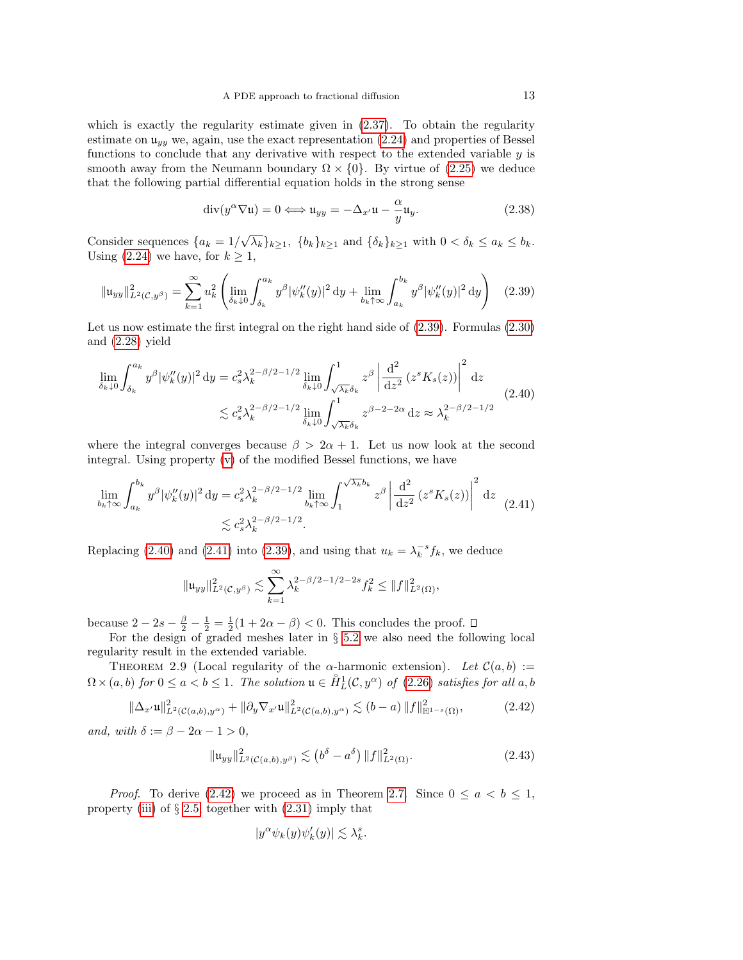which is exactly the regularity estimate given in  $(2.37)$ . To obtain the regularity estimate on  $\mathfrak{u}_{yy}$  we, again, use the exact representation [\(2.24\)](#page-8-1) and properties of Bessel functions to conclude that any derivative with respect to the extended variable y is smooth away from the Neumann boundary  $\Omega \times \{0\}$ . By virtue of [\(2.25\)](#page-8-2) we deduce that the following partial differential equation holds in the strong sense

$$
\operatorname{div}(y^{\alpha}\nabla\mathfrak{u})=0 \Longleftrightarrow \mathfrak{u}_{yy}=-\Delta_{x'}\mathfrak{u}-\frac{\alpha}{y}\mathfrak{u}_y.
$$
 (2.38)

Consider sequences  $\{a_k = 1/\sqrt{\lambda_k}\}_{k\geq 1}$ ,  $\{b_k\}_{k\geq 1}$  and  $\{\delta_k\}_{k\geq 1}$  with  $0 < \delta_k \leq a_k \leq b_k$ . Using [\(2.24\)](#page-8-1) we have, for  $k \geq 1$ ,

<span id="page-12-0"></span>
$$
\|\mathfrak{u}_{yy}\|_{L^{2}(\mathcal{C},y^{\beta})}^{2} = \sum_{k=1}^{\infty} u_{k}^{2} \left( \lim_{\delta_{k}\downarrow 0} \int_{\delta_{k}}^{a_{k}} y^{\beta} |\psi_{k}''(y)|^{2} dy + \lim_{b_{k}\uparrow \infty} \int_{a_{k}}^{b_{k}} y^{\beta} |\psi_{k}''(y)|^{2} dy \right) \tag{2.39}
$$

Let us now estimate the first integral on the right hand side of [\(2.39\)](#page-12-0). Formulas [\(2.30\)](#page-9-6) and [\(2.28\)](#page-9-7) yield

<span id="page-12-1"></span>
$$
\lim_{\delta_k \downarrow 0} \int_{\delta_k}^{a_k} y^\beta |\psi_k''(y)|^2 dy = c_s^2 \lambda_k^{2-\beta/2-1/2} \lim_{\delta_k \downarrow 0} \int_{\sqrt{\lambda_k} \delta_k}^1 z^\beta \left| \frac{d^2}{dz^2} (z^s K_s(z)) \right|^2 dz
$$
\n
$$
\lesssim c_s^2 \lambda_k^{2-\beta/2-1/2} \lim_{\delta_k \downarrow 0} \int_{\sqrt{\lambda_k} \delta_k}^1 z^{\beta - 2 - 2\alpha} dz \approx \lambda_k^{2-\beta/2 - 1/2}
$$
\n(2.40)

where the integral converges because  $\beta > 2\alpha + 1$ . Let us now look at the second integral. Using property [\(v\)](#page-9-3) of the modified Bessel functions, we have

<span id="page-12-2"></span>
$$
\lim_{b_k \uparrow \infty} \int_{a_k}^{b_k} y^{\beta} |\psi_k''(y)|^2 dy = c_s^2 \lambda_k^{2-\beta/2 - 1/2} \lim_{b_k \uparrow \infty} \int_1^{\sqrt{\lambda_k} b_k} z^{\beta} \left| \frac{d^2}{dz^2} (z^s K_s(z)) \right|^2 dz
$$
\n
$$
\lesssim c_s^2 \lambda_k^{2-\beta/2 - 1/2}.
$$
\n(2.41)

Replacing [\(2.40\)](#page-12-1) and [\(2.41\)](#page-12-2) into [\(2.39\)](#page-12-0), and using that  $u_k = \lambda_k^{-s} f_k$ , we deduce

$$
\|\mathfrak{u}_{yy}\|_{L^2(\mathcal{C},y^\beta)}^2 \lesssim \sum_{k=1}^\infty \lambda_k^{2-\beta/2-1/2-2s} f_k^2 \le \|f\|_{L^2(\Omega)}^2,
$$

because  $2 - 2s - \frac{\beta}{2} - \frac{1}{2} = \frac{1}{2}(1 + 2\alpha - \beta) < 0$ . This concludes the proof.

For the design of graded meshes later in § [5.2](#page-34-0) we also need the following local regularity result in the extended variable.

<span id="page-12-5"></span>THEOREM 2.9 (Local regularity of the  $\alpha$ -harmonic extension). Let  $\mathcal{C}(a, b) :=$  $\Omega \times (a, b)$  for  $0 \le a < b \le 1$ . The solution  $\mathfrak{u} \in \mathring{H}_L^1(\mathcal{C}, y^{\alpha})$  of  $(2.26)$  satisfies for all  $a, b$ 

<span id="page-12-3"></span>
$$
\|\Delta_{x'}\mathfrak{u}\|_{L^{2}(\mathcal{C}(a,b),y^{\alpha})}^{2} + \|\partial_{y}\nabla_{x'}\mathfrak{u}\|_{L^{2}(\mathcal{C}(a,b),y^{\alpha})}^{2} \lesssim (b-a) \|f\|_{\mathbb{H}^{1-s}(\Omega)}^{2}, \tag{2.42}
$$

and, with  $\delta := \beta - 2\alpha - 1 > 0$ ,

<span id="page-12-4"></span>
$$
\|\mathfrak{u}_{yy}\|_{L^2(\mathcal{C}(a,b),y^\beta)}^2 \lesssim (b^\delta - a^\delta) \|f\|_{L^2(\Omega)}^2.
$$
 (2.43)

*Proof.* To derive [\(2.42\)](#page-12-3) we proceed as in Theorem [2.7.](#page-11-0) Since  $0 \le a \le b \le 1$ , property [\(iii\)](#page-9-5) of  $\S 2.5$ , together with  $(2.31)$  imply that

$$
|y^{\alpha}\psi_k(y)\psi'_k(y)| \lesssim \lambda_k^s.
$$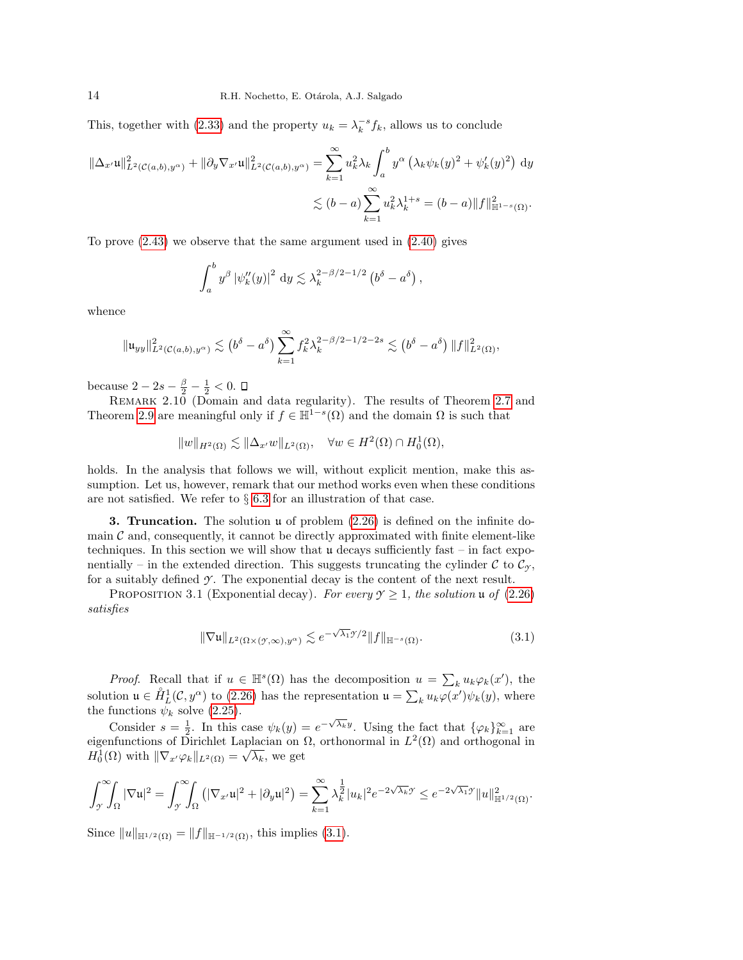This, together with [\(2.33\)](#page-10-4) and the property  $u_k = \lambda_k^{-s} f_k$ , allows us to conclude

$$
\|\Delta_{x'}\mathfrak{u}\|_{L^{2}(\mathcal{C}(a,b),y^{\alpha})}^{2} + \|\partial_{y}\nabla_{x'}\mathfrak{u}\|_{L^{2}(\mathcal{C}(a,b),y^{\alpha})}^{2} = \sum_{k=1}^{\infty} u_{k}^{2}\lambda_{k} \int_{a}^{b} y^{\alpha} \left(\lambda_{k}\psi_{k}(y)^{2} + \psi_{k}'(y)^{2}\right) dy
$$
  

$$
\lesssim (b-a) \sum_{k=1}^{\infty} u_{k}^{2}\lambda_{k}^{1+s} = (b-a) \|f\|_{\mathbb{H}^{1-s}(\Omega)}^{2}.
$$

To prove [\(2.43\)](#page-12-4) we observe that the same argument used in [\(2.40\)](#page-12-1) gives

$$
\int_a^b y^{\beta} |\psi_k''(y)|^2 dy \lesssim \lambda_k^{2-\beta/2-1/2} (b^{\delta} - a^{\delta}),
$$

whence

$$
\|\mathfrak{u}_{yy}\|_{L^2(\mathcal{C}(a,b),y^{\alpha})}^2 \lesssim (b^{\delta}-a^{\delta}) \sum_{k=1}^{\infty} f_k^2 \lambda_k^{2-\beta/2-1/2-2s} \lesssim (b^{\delta}-a^{\delta}) \|f\|_{L^2(\Omega)}^2,
$$

because  $2 - 2s - \frac{\beta}{2} - \frac{1}{2} < 0$ .

<span id="page-13-3"></span>REMARK 2.10 (Domain and data regularity). The results of Theorem [2.7](#page-11-0) and Theorem [2.9](#page-12-5) are meaningful only if  $f \in \mathbb{H}^{1-s}(\Omega)$  and the domain  $\Omega$  is such that

$$
||w||_{H^2(\Omega)} \lesssim ||\Delta_{x'} w||_{L^2(\Omega)}, \quad \forall w \in H^2(\Omega) \cap H_0^1(\Omega),
$$

holds. In the analysis that follows we will, without explicit mention, make this assumption. Let us, however, remark that our method works even when these conditions are not satisfied. We refer to  $\S 6.3$  $\S 6.3$  for an illustration of that case.

<span id="page-13-0"></span>**3. Truncation.** The solution  $\mu$  of problem  $(2.26)$  is defined on the infinite domain  $\mathcal C$  and, consequently, it cannot be directly approximated with finite element-like techniques. In this section we will show that  $\mu$  decays sufficiently fast – in fact exponentially – in the extended direction. This suggests truncating the cylinder C to  $\mathcal{C}_{\gamma}$ , for a suitably defined  $\mathcal Y$ . The exponential decay is the content of the next result.

<span id="page-13-2"></span>PROPOSITION 3.1 (Exponential decay). For every  $\mathcal{Y} \geq 1$ , the solution u of [\(2.26\)](#page-8-0) satisfies

<span id="page-13-1"></span>
$$
\|\nabla \mathfrak{u}\|_{L^{2}(\Omega\times(\mathcal{Y},\infty),y^{\alpha})} \lesssim e^{-\sqrt{\lambda_{1}}\mathcal{Y}/2} \|f\|_{\mathbb{H}^{-s}(\Omega)}.
$$
\n(3.1)

*Proof.* Recall that if  $u \in \mathbb{H}^s(\Omega)$  has the decomposition  $u = \sum_k u_k \varphi_k(x')$ , the solution  $\mathfrak{u} \in \mathring{H}_L^1(\mathcal{C}, y^\alpha)$  to [\(2.26\)](#page-8-0) has the representation  $\mathfrak{u} = \sum_k u_k \varphi(x') \psi_k(y)$ , where the functions  $\psi_k$  solve [\(2.25\)](#page-8-2).

Consider  $s = \frac{1}{2}$ . In this case  $\psi_k(y) = e^{-\sqrt{\lambda_k}y}$ . Using the fact that  $\{\varphi_k\}_{k=1}^{\infty}$  are  $\psi_{k}$  ( $\psi_{k+1}$  are eigenfunctions of Dirichlet Laplacian on Ω, orthonormal in  $L^2(\Omega)$  and orthogonal in  $H_0^1(\Omega)$  with  $\|\nabla_x \varphi_k\|_{L^2(\Omega)} = \sqrt{\lambda_k}$ , we get

$$
\int_{\mathcal{I}}^{\infty} \int_{\Omega} |\nabla \mathfrak{u}|^2 = \int_{\mathcal{I}}^{\infty} \int_{\Omega} (|\nabla_{x'} \mathfrak{u}|^2 + |\partial_y \mathfrak{u}|^2) = \sum_{k=1}^{\infty} \lambda_k^{\frac{1}{2}} |u_k|^2 e^{-2\sqrt{\lambda_k} \mathcal{I}} \leq e^{-2\sqrt{\lambda_1} \mathcal{I}} \|u\|_{\mathbb{H}^{1/2}(\Omega)}^2.
$$

Since  $||u||_{\mathbb{H}^{1/2}(\Omega)} = ||f||_{\mathbb{H}^{-1/2}(\Omega)}$ , this implies [\(3.1\)](#page-13-1).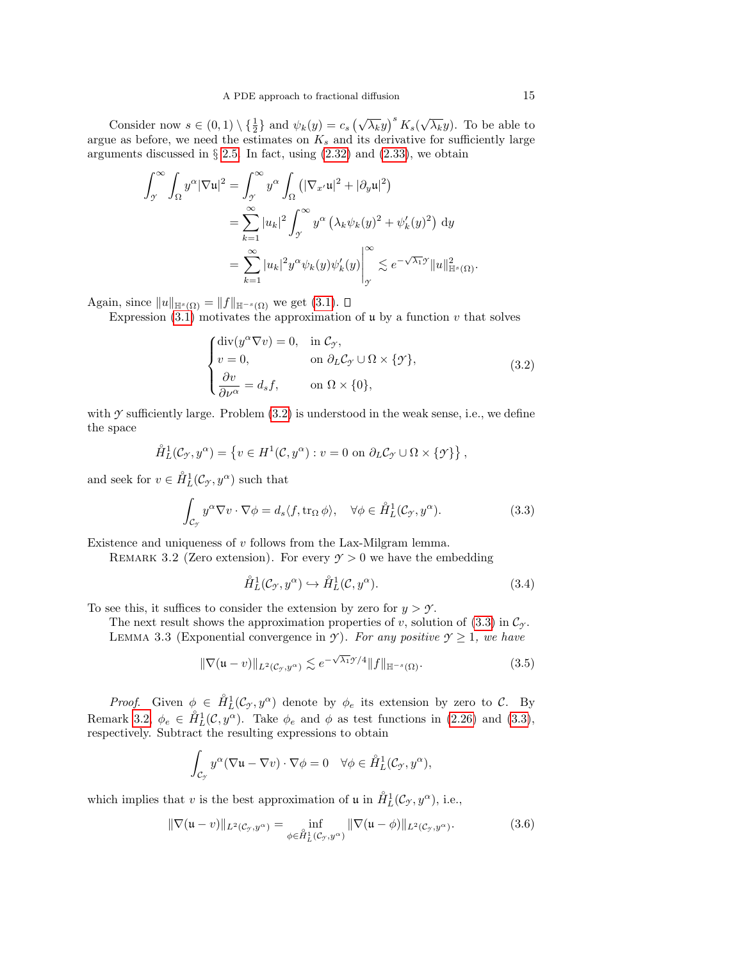Consider now  $s \in (0,1) \setminus {\frac{1}{2}}$  and  $\psi_k(y) = c_s \left(\sqrt{\lambda_k}y\right)^s K_s(\sqrt{\lambda_k}y)$ . To be able to argue as before, we need the estimates on  $K_s$  and its derivative for sufficiently large arguments discussed in  $\S 2.5$ . In fact, using  $(2.32)$  and  $(2.33)$ , we obtain

$$
\int_{\mathcal{I}}^{\infty} \int_{\Omega} y^{\alpha} |\nabla \mathbf{u}|^{2} = \int_{\mathcal{I}}^{\infty} y^{\alpha} \int_{\Omega} \left( |\nabla_{x'} \mathbf{u}|^{2} + |\partial_{y} \mathbf{u}|^{2} \right)
$$
  

$$
= \sum_{k=1}^{\infty} |u_{k}|^{2} \int_{\mathcal{I}}^{\infty} y^{\alpha} \left( \lambda_{k} \psi_{k}(y)^{2} + \psi_{k}'(y)^{2} \right) dy
$$
  

$$
= \sum_{k=1}^{\infty} |u_{k}|^{2} y^{\alpha} \psi_{k}(y) \psi_{k}'(y) \Big|_{\mathcal{I}}^{\infty} \lesssim e^{-\sqrt{\lambda_{1}} \mathcal{I}} ||u||_{\mathbb{H}^{s}(\Omega)}^{2}.
$$

Again, since  $||u||_{\mathbb{H}^{s}(\Omega)} = ||f||_{\mathbb{H}^{-s}(\Omega)}$  we get  $(3.1)$ .

Expression  $(3.1)$  motivates the approximation of  $\mathfrak u$  by a function  $v$  that solves

<span id="page-14-0"></span>
$$
\begin{cases}\n\text{div}(y^{\alpha}\nabla v) = 0, & \text{in } \mathcal{C}_{\mathcal{F}}, \\
v = 0, & \text{on } \partial_L \mathcal{C}_{\mathcal{F}} \cup \Omega \times \{\mathcal{F}\}, \\
\frac{\partial v}{\partial \nu^{\alpha}} = d_s f, & \text{on } \Omega \times \{0\},\n\end{cases}
$$
\n(3.2)

with  $\gamma$  sufficiently large. Problem  $(3.2)$  is understood in the weak sense, i.e., we define the space

$$
\mathring{H}_L^1(\mathcal{C}_{\mathcal{I}}, y^{\alpha}) = \left\{ v \in H^1(\mathcal{C}, y^{\alpha}) : v = 0 \text{ on } \partial_L \mathcal{C}_{\mathcal{I}} \cup \Omega \times \{\mathcal{I}\}\right\},\
$$

and seek for  $v \in \overset{\circ}{H}_{L}^{1}(\mathcal{C}_{\mathcal{I}}, y^{\alpha})$  such that

<span id="page-14-1"></span>
$$
\int_{\mathcal{C}_{\mathcal{I}}} y^{\alpha} \nabla v \cdot \nabla \phi = d_s \langle f, \text{tr}_{\Omega} \phi \rangle, \quad \forall \phi \in \mathring{H}_L^1(\mathcal{C}_{\mathcal{I}}, y^{\alpha}). \tag{3.3}
$$

<span id="page-14-2"></span>Existence and uniqueness of v follows from the Lax-Milgram lemma.

REMARK 3.2 (Zero extension). For every  $\gamma > 0$  we have the embedding

<span id="page-14-5"></span>
$$
\mathring{H}^1_L(\mathcal{C}_\mathcal{I}, y^\alpha) \hookrightarrow \mathring{H}^1_L(\mathcal{C}, y^\alpha). \tag{3.4}
$$

To see this, it suffices to consider the extension by zero for  $y > \gamma$ .

The next result shows the approximation properties of v, solution of  $(3.3)$  in  $\mathcal{C}_{\gamma}$ . LEMMA 3.3 (Exponential convergence in *Y*). For any positive  $\mathcal{Y} \geq 1$ , we have

<span id="page-14-4"></span>
$$
\|\nabla(\mathfrak{u}-v)\|_{L^{2}(\mathcal{C}_{\mathcal{I}},y^{\alpha})} \lesssim e^{-\sqrt{\lambda_1}\mathcal{I}/4} \|f\|_{\mathbb{H}^{-s}(\Omega)}.
$$
\n(3.5)

*Proof.* Given  $\phi \in \hat{H}_L^1(\mathcal{C}_{\gamma}, y^{\alpha})$  denote by  $\phi_e$  its extension by zero to  $\mathcal{C}$ . By Remark [3.2,](#page-14-2)  $\phi_e \in \mathring{H}_L^1(\mathcal{C}, y^{\alpha})$ . Take  $\phi_e$  and  $\phi$  as test functions in [\(2.26\)](#page-8-0) and [\(3.3\)](#page-14-1), respectively. Subtract the resulting expressions to obtain

$$
\int_{\mathcal{C}_{\mathcal{I}}} y^{\alpha} (\nabla \mathfrak{u} - \nabla v) \cdot \nabla \phi = 0 \quad \forall \phi \in \mathring{H}_L^1(\mathcal{C}_{\mathcal{I}}, y^{\alpha}),
$$

which implies that v is the best approximation of u in  $\mathring{H}^1_L(\mathcal{C}_{\mathcal{Y}}, y^{\alpha})$ , i.e.,

<span id="page-14-3"></span>
$$
\|\nabla(\mathfrak{u}-v)\|_{L^2(\mathcal{C}_{\mathcal{I}},y^{\alpha})}=\inf_{\phi\in\hat{H}_L^1(\mathcal{C}_{\mathcal{I}},y^{\alpha})}\|\nabla(\mathfrak{u}-\phi)\|_{L^2(\mathcal{C}_{\mathcal{I}},y^{\alpha})}.
$$
(3.6)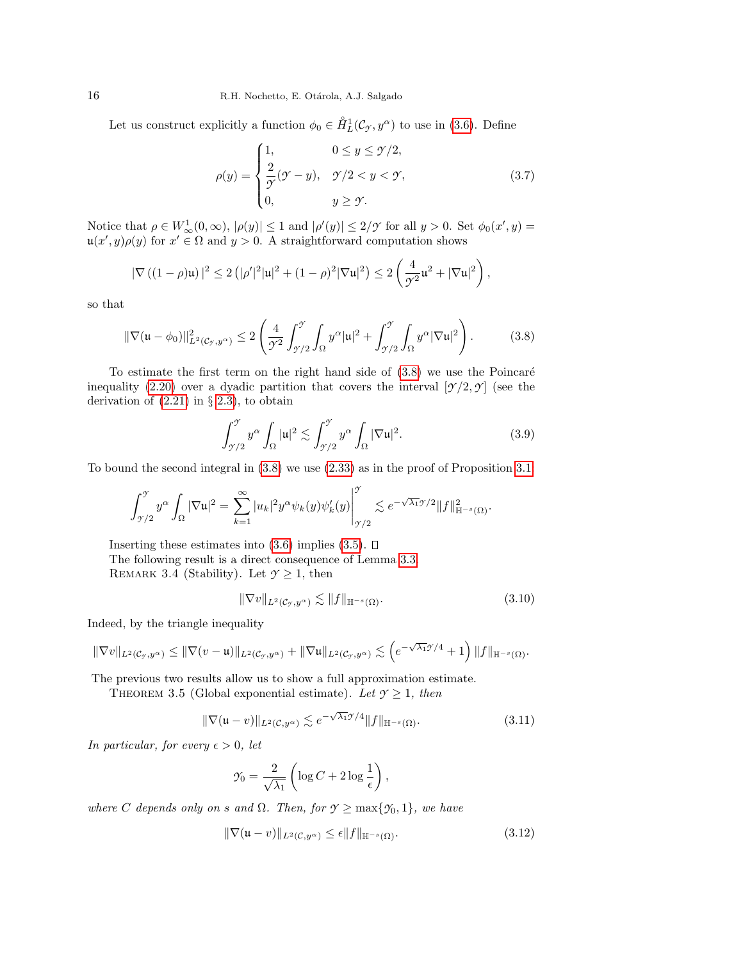Let us construct explicitly a function  $\phi_0 \in \mathring{H}_L^1(\mathcal{C}_{\mathcal{I}}, y^\alpha)$  to use in [\(3.6\)](#page-14-3). Define

$$
\rho(y) = \begin{cases} 1, & 0 \le y \le \mathcal{Y}/2, \\ \frac{2}{\mathcal{Y}}(\mathcal{Y} - y), & \mathcal{Y}/2 < y < \mathcal{Y}, \\ 0, & y \ge \mathcal{Y}. \end{cases} \tag{3.7}
$$

Notice that  $\rho \in W^1_\infty(0, \infty)$ ,  $|\rho(y)| \leq 1$  and  $|\rho'(y)| \leq 2/\mathcal{I}$  for all  $y > 0$ . Set  $\phi_0(x', y) =$  $\mathfrak{u}(x',y)\rho(y)$  for  $x' \in \Omega$  and  $y > 0$ . A straightforward computation shows

$$
|\nabla ((1 - \rho)u)|^2 \le 2(|\rho'|^2|u|^2 + (1 - \rho)^2|\nabla u|^2) \le 2\left(\frac{4}{\mathcal{T}^2}u^2 + |\nabla u|^2\right),
$$

so that

<span id="page-15-0"></span>
$$
\|\nabla(\mathbf{u} - \phi_0)\|_{L^2(\mathcal{C}_{\mathcal{I}}, y^{\alpha})}^2 \le 2 \left( \frac{4}{\mathcal{I}^2} \int_{\mathcal{I}/2}^{\mathcal{I}} \int_{\Omega} y^{\alpha} |\mathbf{u}|^2 + \int_{\mathcal{I}/2}^{\mathcal{I}} \int_{\Omega} y^{\alpha} |\nabla \mathbf{u}|^2 \right). \tag{3.8}
$$

To estimate the first term on the right hand side of  $(3.8)$  we use the Poincaré inequality [\(2.20\)](#page-7-3) over a dyadic partition that covers the interval  $[\gamma/2, \gamma]$  (see the derivation of  $(2.21)$  in § [2.3\)](#page-5-2), to obtain

$$
\int_{\gamma/2}^{\gamma} y^{\alpha} \int_{\Omega} |u|^2 \lesssim \int_{\gamma/2}^{\gamma} y^{\alpha} \int_{\Omega} |\nabla u|^2. \tag{3.9}
$$

To bound the second integral in [\(3.8\)](#page-15-0) we use [\(2.33\)](#page-10-4) as in the proof of Proposition [3.1:](#page-13-2)

$$
\int_{\mathcal{I}/2}^{\mathcal{I}} y^{\alpha} \int_{\Omega} |\nabla \mathfrak{u}|^2 = \sum_{k=1}^{\infty} |u_k|^2 y^{\alpha} \psi_k(y) \psi_k'(y) \bigg|_{\mathcal{I}/2}^{\mathcal{I}} \lesssim e^{-\sqrt{\lambda_1} \mathcal{I}/2} \|f\|_{\mathbb{H}^{-s}(\Omega)}^2.
$$

Inserting these estimates into  $(3.6)$  implies  $(3.5)$ .  $\Box$ The following result is a direct consequence of Lemma [3.3.](#page-14-5) REMARK 3.4 (Stability). Let  $\mathcal{Y} \geq 1$ , then

<span id="page-15-2"></span>
$$
\|\nabla v\|_{L^2(\mathcal{C}_{\mathcal{I}},y^{\alpha})} \lesssim \|f\|_{\mathbb{H}^{-s}(\Omega)}.
$$
\n(3.10)

Indeed, by the triangle inequality

$$
\|\nabla v\|_{L^2(\mathcal{C}_{\gamma},y^{\alpha})}\leq \|\nabla (v-\mathfrak{u})\|_{L^2(\mathcal{C}_{\gamma},y^{\alpha})}+\|\nabla \mathfrak{u}\|_{L^2(\mathcal{C}_{\gamma},y^{\alpha})}\lesssim \left(e^{-\sqrt{\lambda_1}\gamma/4}+1\right)\|f\|_{\mathbb{H}^{-s}(\Omega)}.
$$

The previous two results allow us to show a full approximation estimate.

THEOREM 3.5 (Global exponential estimate). Let  $\gamma \geq 1$ , then

$$
\|\nabla(\mathfrak{u}-v)\|_{L^2(\mathcal{C},y^{\alpha})} \lesssim e^{-\sqrt{\lambda_1}\mathcal{Y}/4} \|f\|_{\mathbb{H}^{-s}(\Omega)}.
$$
\n(3.11)

In particular, for every  $\epsilon > 0$ , let

$$
\mathcal{Y}_0 = \frac{2}{\sqrt{\lambda_1}} \left( \log C + 2 \log \frac{1}{\epsilon} \right),\,
$$

where C depends only on s and  $\Omega$ . Then, for  $\mathcal{Y} \geq \max{\{\mathcal{Y}_0, 1\}}$ , we have

<span id="page-15-1"></span>
$$
\|\nabla(\mathfrak{u}-v)\|_{L^{2}(\mathcal{C},y^{\alpha})} \leq \epsilon \|f\|_{\mathbb{H}^{-s}(\Omega)}.
$$
\n(3.12)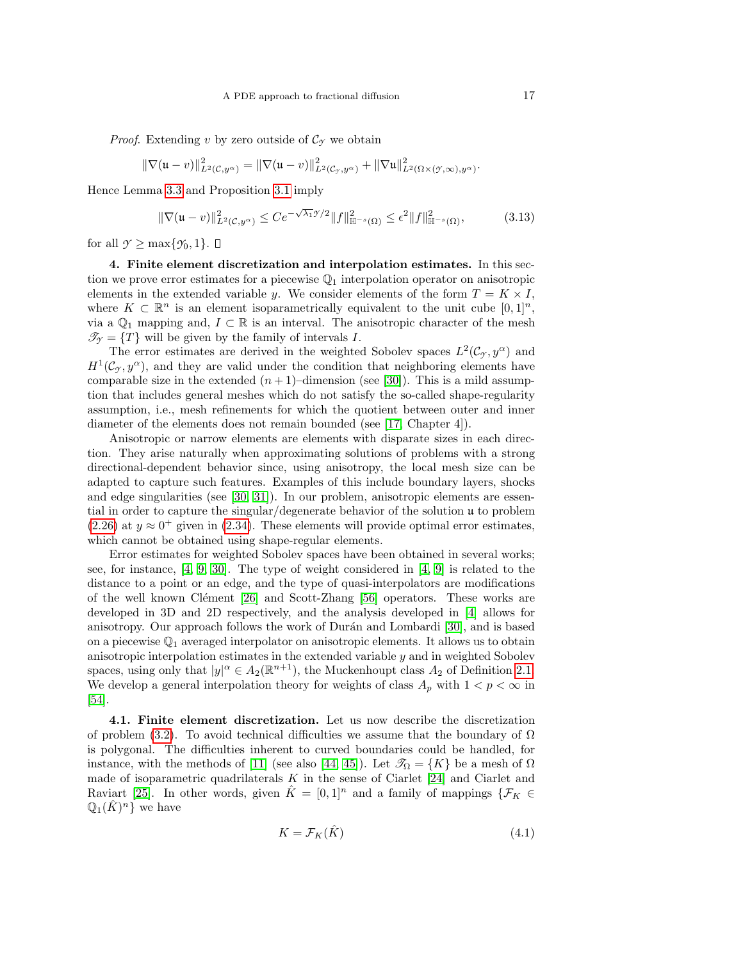*Proof.* Extending v by zero outside of  $\mathcal{C}_{\gamma}$  we obtain

$$
\|\nabla(\mathfrak{u}-v)\|_{L^2(\mathcal{C},y^{\alpha})}^2=\|\nabla(\mathfrak{u}-v)\|_{L^2(\mathcal{C}_y,y^{\alpha})}^2+\|\nabla\mathfrak{u}\|_{L^2(\Omega\times(\mathcal{Y},\infty),y^{\alpha})}^2.
$$

Hence Lemma [3.3](#page-14-5) and Proposition [3.1](#page-13-2) imply

$$
\|\nabla(\mathfrak{u}-v)\|_{L^{2}(\mathcal{C},y^{\alpha})}^{2} \leq Ce^{-\sqrt{\lambda_{1}}\mathcal{I}/2} \|f\|_{\mathbb{H}^{-s}(\Omega)}^{2} \leq \epsilon^{2} \|f\|_{\mathbb{H}^{-s}(\Omega)}^{2},\tag{3.13}
$$

for all  $\gamma \geq \max\{\gamma_0, 1\}$ .  $\Box$ 

<span id="page-16-0"></span>4. Finite element discretization and interpolation estimates. In this section we prove error estimates for a piecewise  $\mathbb{Q}_1$  interpolation operator on anisotropic elements in the extended variable y. We consider elements of the form  $T = K \times I$ , where  $K \subset \mathbb{R}^n$  is an element isoparametrically equivalent to the unit cube  $[0,1]^n$ , via a  $\mathbb{Q}_1$  mapping and,  $I \subset \mathbb{R}$  is an interval. The anisotropic character of the mesh  $\mathscr{T}_{\gamma} = \{T\}$  will be given by the family of intervals I.

The error estimates are derived in the weighted Sobolev spaces  $L^2(\mathcal{C}_{\gamma}, y^{\alpha})$  and  $H<sup>1</sup>(\mathcal{C}<sub>y</sub>, y<sup>\alpha</sup>)$ , and they are valid under the condition that neighboring elements have comparable size in the extended  $(n + 1)$ –dimension (see [\[30\]](#page-44-15)). This is a mild assumption that includes general meshes which do not satisfy the so-called shape-regularity assumption, i.e., mesh refinements for which the quotient between outer and inner diameter of the elements does not remain bounded (see [\[17,](#page-44-16) Chapter 4]).

Anisotropic or narrow elements are elements with disparate sizes in each direction. They arise naturally when approximating solutions of problems with a strong directional-dependent behavior since, using anisotropy, the local mesh size can be adapted to capture such features. Examples of this include boundary layers, shocks and edge singularities (see [\[30,](#page-44-15) [31\]](#page-44-17)). In our problem, anisotropic elements are essential in order to capture the singular/degenerate behavior of the solution u to problem [\(2.26\)](#page-8-0) at  $y \approx 0^+$  given in [\(2.34\)](#page-10-2). These elements will provide optimal error estimates, which cannot be obtained using shape-regular elements.

Error estimates for weighted Sobolev spaces have been obtained in several works; see, for instance, [\[4,](#page-43-2) [9,](#page-44-18) [30\]](#page-44-15). The type of weight considered in [\[4,](#page-43-2) [9\]](#page-44-18) is related to the distance to a point or an edge, and the type of quasi-interpolators are modifications of the well known Clément  $[26]$  and Scott-Zhang  $[56]$  operators. These works are developed in 3D and 2D respectively, and the analysis developed in [\[4\]](#page-43-2) allows for anisotropy. Our approach follows the work of Durán and Lombardi [\[30\]](#page-44-15), and is based on a piecewise  $\mathbb{Q}_1$  averaged interpolator on anisotropic elements. It allows us to obtain anisotropic interpolation estimates in the extended variable  $y$  and in weighted Sobolev spaces, using only that  $|y|^{\alpha} \in A_2(\mathbb{R}^{n+1})$ , the Muckenhoupt class  $A_2$  of Definition [2.1.](#page-6-3) We develop a general interpolation theory for weights of class  $A_p$  with  $1 < p < \infty$  in [\[54\]](#page-45-24).

<span id="page-16-2"></span>4.1. Finite element discretization. Let us now describe the discretization of problem [\(3.2\)](#page-14-0). To avoid technical difficulties we assume that the boundary of  $\Omega$ is polygonal. The difficulties inherent to curved boundaries could be handled, for instance, with the methods of [\[11\]](#page-44-20) (see also [\[44,](#page-45-25) [45\]](#page-45-26)). Let  $\mathscr{T}_{\Omega} = \{K\}$  be a mesh of  $\Omega$ made of isoparametric quadrilaterals  $K$  in the sense of Ciarlet [\[24\]](#page-44-21) and Ciarlet and Raviart [\[25\]](#page-44-22). In other words, given  $\tilde{K} = [0, 1]^n$  and a family of mappings  $\{\mathcal{F}_K \in$  $\mathbb{Q}_1(\hat{K})^n$  we have

<span id="page-16-1"></span>
$$
K = \mathcal{F}_K(\hat{K})\tag{4.1}
$$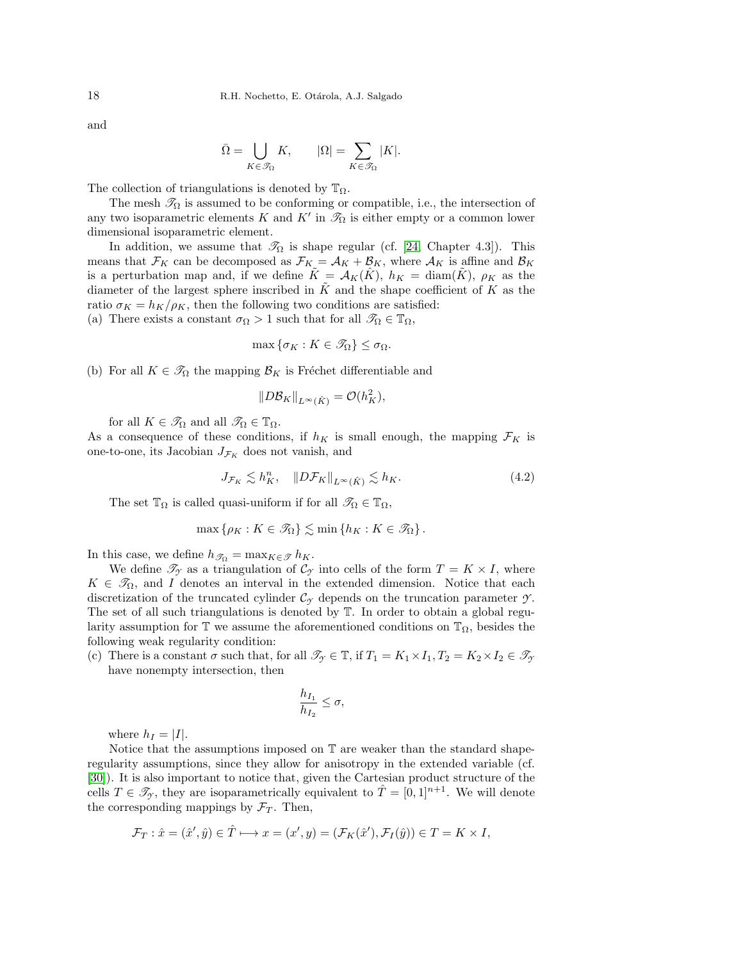and

$$
\bar{\Omega} = \bigcup_{K \in \mathcal{S}_{\Omega}} K, \qquad |\Omega| = \sum_{K \in \mathcal{S}_{\Omega}} |K|.
$$

The collection of triangulations is denoted by  $\mathbb{T}_{\Omega}$ .

The mesh  $\mathcal{T}_{\Omega}$  is assumed to be conforming or compatible, i.e., the intersection of any two isoparametric elements K and K' in  $\mathcal{I}_{\Omega}$  is either empty or a common lower dimensional isoparametric element.

In addition, we assume that  $\mathcal{T}_{\Omega}$  is shape regular (cf. [\[24,](#page-44-21) Chapter 4.3]). This means that  $\mathcal{F}_K$  can be decomposed as  $\mathcal{F}_K = \mathcal{A}_K + \mathcal{B}_K$ , where  $\mathcal{A}_K$  is affine and  $\mathcal{B}_K$ is a perturbation map and, if we define  $\tilde{K} = \mathcal{A}_K(\hat{K})$ ,  $h_K = \text{diam}(\tilde{K})$ ,  $\rho_K$  as the diameter of the largest sphere inscribed in  $\tilde{K}$  and the shape coefficient of K as the ratio  $\sigma_K = h_K/\rho_K$ , then the following two conditions are satisfied: (a) There exists a constant  $\sigma_{\Omega} > 1$  such that for all  $\mathscr{T}_{\Omega} \in \mathbb{T}_{\Omega}$ ,

$$
\max \{\sigma_K : K \in \mathcal{I}_{\Omega}\} \leq \sigma_{\Omega}.
$$

(b) For all  $K \in \mathscr{T}_{\Omega}$  the mapping  $\mathcal{B}_K$  is Fréchet differentiable and

$$
||D\mathcal{B}_K||_{L^{\infty}(\hat{K})} = \mathcal{O}(h_K^2),
$$

for all  $K \in \mathcal{I}_{\Omega}$  and all  $\mathcal{I}_{\Omega} \in \mathbb{T}_{\Omega}$ .

As a consequence of these conditions, if  $h_K$  is small enough, the mapping  $\mathcal{F}_K$  is one-to-one, its Jacobian  $J_{\mathcal{F}_K}$  does not vanish, and

<span id="page-17-0"></span>
$$
J_{\mathcal{F}_K} \lesssim h_K^n, \quad \|D\mathcal{F}_K\|_{L^\infty(\hat{K})} \lesssim h_K. \tag{4.2}
$$

The set  $\mathbb{T}_{\Omega}$  is called quasi-uniform if for all  $\mathscr{T}_{\Omega} \in \mathbb{T}_{\Omega}$ ,

$$
\max\left\{\rho_K: K\in\mathscr{T}_{\Omega}\right\}\lesssim \min\left\{h_K: K\in\mathscr{T}_{\Omega}\right\}.
$$

In this case, we define  $h_{\mathscr{T}_{\Omega}} = \max_{K \in \mathscr{T}} h_K$ .

We define  $\mathscr{T}_{\gamma}$  as a triangulation of  $\mathcal{C}_{\gamma}$  into cells of the form  $T = K \times I$ , where  $K \in \mathscr{T}_{\Omega}$ , and I denotes an interval in the extended dimension. Notice that each discretization of the truncated cylinder  $\mathcal{C}_{\gamma}$  depends on the truncation parameter  $\gamma$ . The set of all such triangulations is denoted by T. In order to obtain a global regularity assumption for  $\mathbb T$  we assume the aforementioned conditions on  $\mathbb T_{\Omega}$ , besides the following weak regularity condition:

(c) There is a constant  $\sigma$  such that, for all  $\mathcal{T}_{\gamma} \in \mathbb{T}$ , if  $T_1 = K_1 \times I_1$ ,  $T_2 = K_2 \times I_2 \in \mathcal{T}_{\gamma}$ have nonempty intersection, then

$$
\frac{h_{I_1}}{h_{I_2}} \le \sigma,
$$

where  $h_I = |I|$ .

Notice that the assumptions imposed on  $\mathbb T$  are weaker than the standard shaperegularity assumptions, since they allow for anisotropy in the extended variable (cf. [\[30\]](#page-44-15)). It is also important to notice that, given the Cartesian product structure of the cells  $T \in \mathscr{T}_{\gamma}$ , they are isoparametrically equivalent to  $\hat{T} = [0, 1]^{n+1}$ . We will denote the corresponding mappings by  $\mathcal{F}_T$ . Then,

$$
\mathcal{F}_T: \hat{x} = (\hat{x}', \hat{y}) \in \hat{T} \longmapsto x = (x', y) = (\mathcal{F}_K(\hat{x}'), \mathcal{F}_I(\hat{y})) \in T = K \times I,
$$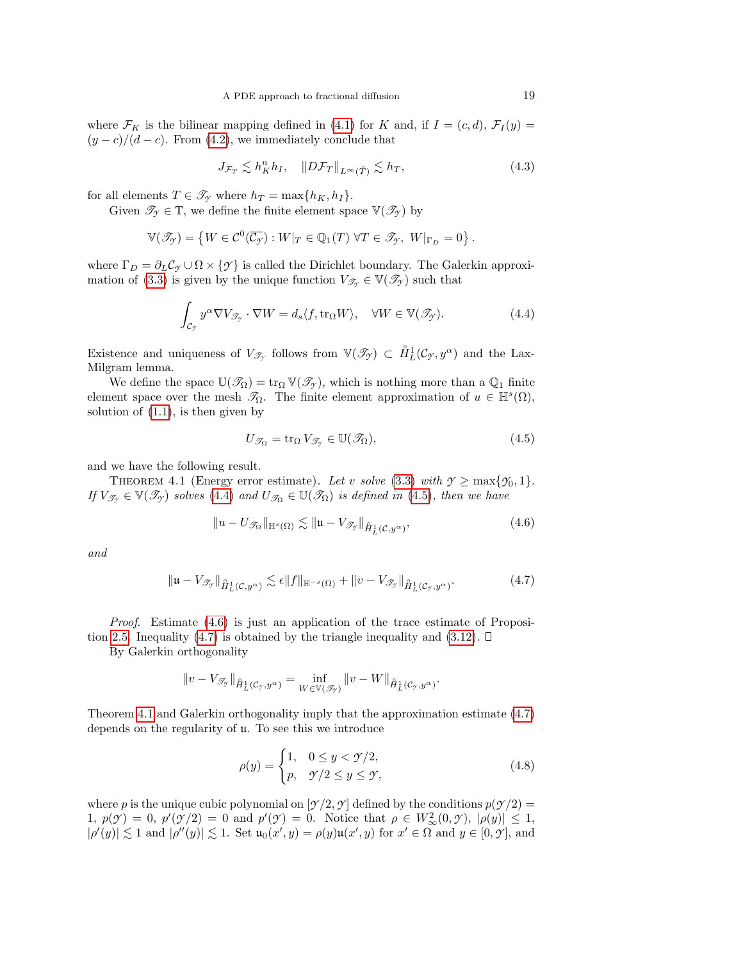where  $\mathcal{F}_K$  is the bilinear mapping defined in [\(4.1\)](#page-16-1) for K and, if  $I = (c, d)$ ,  $\mathcal{F}_I(y) =$  $(y - c)/(d - c)$ . From [\(4.2\)](#page-17-0), we immediately conclude that

$$
J_{\mathcal{F}_T} \lesssim h_K^n h_I, \quad \|D\mathcal{F}_T\|_{L^\infty(\hat{T})} \lesssim h_T,\tag{4.3}
$$

for all elements  $T \in \mathcal{T}_{\gamma}$  where  $h_T = \max\{h_K, h_I\}.$ 

Given  $\mathcal{T}_{\gamma} \in \mathbb{T}$ , we define the finite element space  $\mathbb{V}(\mathcal{I}_{\gamma})$  by

$$
\mathbb{V}(\mathscr{T}_{\mathcal{Y}}) = \left\{ W \in \mathcal{C}^0(\overline{\mathcal{C}_{\mathcal{Y}}}) : W|_{T} \in \mathbb{Q}_1(T) \; \forall T \in \mathscr{T}_{\mathcal{Y}}, \; W|_{\Gamma_D} = 0 \right\}.
$$

where  $\Gamma_D = \partial_L C_{\mathcal{I}} \cup \Omega \times \{\mathcal{I}\}\$ is called the Dirichlet boundary. The Galerkin approxi-mation of [\(3.3\)](#page-14-1) is given by the unique function  $V_{\mathscr{T}_{\gamma}} \in \mathbb{V}(\mathscr{T}_{\gamma})$  such that

<span id="page-18-0"></span>
$$
\int_{\mathcal{C}_{\mathcal{I}}} y^{\alpha} \nabla V_{\mathcal{I}_{\mathcal{I}}} \cdot \nabla W = d_s \langle f, \text{tr}_{\Omega} W \rangle, \quad \forall W \in \mathbb{V}(\mathcal{I}_{\mathcal{I}}).
$$
\n(4.4)

Existence and uniqueness of  $V_{\mathscr{T}_{\gamma}}$  follows from  $\mathbb{V}(\mathscr{T}_{\gamma}) \subset \mathring{H}_L^1(\mathcal{C}_{\gamma}, y^{\alpha})$  and the Lax-Milgram lemma.

We define the space  $\mathbb{U}(\mathscr{T}_{\Omega}) = \text{tr}_{\Omega} \mathbb{V}(\mathscr{T}_{\gamma})$ , which is nothing more than a  $\mathbb{Q}_1$  finite element space over the mesh  $\mathscr{T}_{\Omega}$ . The finite element approximation of  $u \in \mathbb{H}^{s}(\Omega)$ , solution of  $(1.1)$ , is then given by

<span id="page-18-1"></span>
$$
U_{\mathcal{T}_{\Omega}} = \text{tr}_{\Omega} \, V_{\mathcal{T}_{\mathcal{T}}} \in \mathbb{U}(\mathcal{T}_{\Omega}), \tag{4.5}
$$

and we have the following result.

<span id="page-18-4"></span>THEOREM 4.1 (Energy error estimate). Let v solve [\(3.3\)](#page-14-1) with  $\gamma \ge \max{\gamma_0, 1}$ . If  $V_{\mathscr{T}_{\gamma}} \in \mathbb{V}(\mathscr{T}_{\gamma})$  solves [\(4.4\)](#page-18-0) and  $U_{\mathscr{T}_{\Omega}} \in \mathbb{U}(\mathscr{T}_{\Omega})$  is defined in [\(4.5\)](#page-18-1), then we have

<span id="page-18-2"></span>
$$
||u - U_{\mathcal{T}_{\Omega}}||_{\mathbb{H}^{s}(\Omega)} \lesssim ||u - V_{\mathcal{T}_{\mathcal{T}}}||_{\hat{H}^{1}_{L}(\mathcal{C}, y^{\alpha})},
$$
\n(4.6)

and

<span id="page-18-3"></span>
$$
\|\mathfrak{u} - V_{\mathscr{T}_{\mathcal{I}}}\|_{\mathring{H}^1_L(\mathcal{C}, y^{\alpha})} \lesssim \epsilon \|f\|_{\mathbb{H}^{-s}(\Omega)} + \|v - V_{\mathscr{T}_{\mathcal{I}}}\|_{\mathring{H}^1_L(\mathcal{C}_{\mathcal{I}}, y^{\alpha})}.
$$
\n(4.7)

*Proof.* Estimate  $(4.6)$  is just an application of the trace estimate of Proposi-tion [2.5.](#page-7-1) Inequality [\(4.7\)](#page-18-3) is obtained by the triangle inequality and [\(3.12\)](#page-15-1).  $\Box$ 

By Galerkin orthogonality

$$
||v - V_{\mathscr{T}_{\mathcal{I}}}||_{\hat{H}^1_L(\mathcal{C}_{\mathcal{I}},y^{\alpha})} = \inf_{W \in \mathbb{V}(\mathscr{T}_{\mathcal{I}})} ||v - W||_{\hat{H}^1_L(\mathcal{C}_{\mathcal{I}},y^{\alpha})}.
$$

Theorem [4.1](#page-18-4) and Galerkin orthogonality imply that the approximation estimate [\(4.7\)](#page-18-3) depends on the regularity of u. To see this we introduce

$$
\rho(y) = \begin{cases} 1, & 0 \le y < \mathcal{Y}/2, \\ p, & \mathcal{Y}/2 \le y \le \mathcal{Y}, \end{cases} \tag{4.8}
$$

where p is the unique cubic polynomial on  $[\gamma/2, \gamma]$  defined by the conditions  $p(\gamma/2)$  = 1,  $p(\mathcal{Y}) = 0$ ,  $p'(\mathcal{Y}/2) = 0$  and  $p'(\mathcal{Y}) = 0$ . Notice that  $\rho \in W^2_{\infty}(0, \mathcal{Y})$ ,  $|\rho(y)| \leq 1$ ,  $|\rho'(y)| \lesssim 1$  and  $|\rho''(y)| \lesssim 1$ . Set  $\mathfrak{u}_0(x', y) = \rho(y)\mathfrak{u}(x', y)$  for  $x' \in \Omega$  and  $y \in [0, \mathcal{Y}]$ , and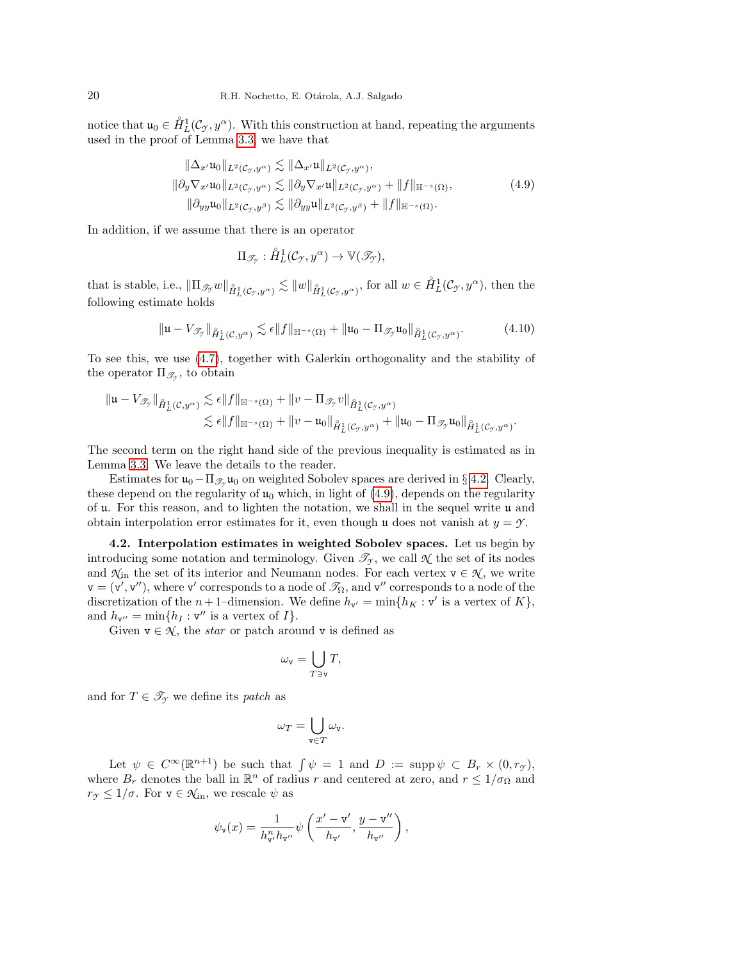notice that  $u_0 \in \dot{H}^1_L(\mathcal{C}_{\mathcal{Y}}, y^{\alpha})$ . With this construction at hand, repeating the arguments used in the proof of Lemma [3.3,](#page-14-5) we have that

<span id="page-19-1"></span>
$$
\|\Delta_{x'}\mathfrak{u}_0\|_{L^2(\mathcal{C}_{\mathcal{Y}},y^{\alpha})} \lesssim \|\Delta_{x'}\mathfrak{u}\|_{L^2(\mathcal{C}_{\mathcal{Y}},y^{\alpha})},
$$
  

$$
\|\partial_y \nabla_{x'}\mathfrak{u}_0\|_{L^2(\mathcal{C}_{\mathcal{Y}},y^{\alpha})} \lesssim \|\partial_y \nabla_{x'}\mathfrak{u}\|_{L^2(\mathcal{C}_{\mathcal{Y}},y^{\alpha})} + \|f\|_{\mathbb{H}^{-s}(\Omega)},
$$
  

$$
\|\partial_{yy}\mathfrak{u}_0\|_{L^2(\mathcal{C}_{\mathcal{Y}},y^{\beta})} \lesssim \|\partial_{yy}\mathfrak{u}\|_{L^2(\mathcal{C}_{\mathcal{Y}},y^{\beta})} + \|f\|_{\mathbb{H}^{-s}(\Omega)}.
$$
  
(4.9)

In addition, if we assume that there is an operator

$$
\Pi_{\mathscr{T}_{\mathcal{I}}} : \mathring{H}_L^1(\mathcal{C}_{\mathcal{I}}, y^{\alpha}) \to \mathbb{V}(\mathscr{T}_{\mathcal{I}}),
$$

that is stable, i.e.,  $\|\Pi_{\mathscr{T}_{\mathcal{Y}}}w\|_{\hat{H}^1_L(\mathcal{C}_{\mathcal{Y}},y^\alpha)} \lesssim \|w\|_{\hat{H}^1_L(\mathcal{C}_{\mathcal{Y}},y^\alpha)}$ , for all  $w \in \hat{H}^1_L(\mathcal{C}_{\mathcal{Y}},y^\alpha)$ , then the following estimate holds

<span id="page-19-2"></span>
$$
\|\mathfrak{u} - V_{\mathscr{T}_{\mathcal{I}}}\|_{\hat{H}^1_L(\mathcal{C}, y^{\alpha})} \lesssim \epsilon \|f\|_{\mathbb{H}^{-s}(\Omega)} + \|\mathfrak{u}_0 - \Pi_{\mathscr{T}_{\mathcal{I}}} \mathfrak{u}_0\|_{\hat{H}^1_L(\mathcal{C}_{\mathcal{I}}, y^{\alpha})}.
$$
(4.10)

To see this, we use [\(4.7\)](#page-18-3), together with Galerkin orthogonality and the stability of the operator  $\Pi_{\mathscr{T}_{\mathcal{I}}}$ , to obtain

$$
\begin{aligned}\|{\mathfrak{u}}-V_{\mathscr{T}_{\mathscr{T}}}\|_{\mathring{H}^1_L(\mathcal{C},y^{\alpha})}&\lesssim \epsilon\|f\|_{{\mathbb{H}}^{-s}(\Omega)}+\|v-\Pi_{\mathscr{T}_{\mathscr{T}}}v\|_{\mathring{H}^1_L(\mathcal{C}_{\mathscr{T}},y^{\alpha})}\\ &\lesssim \epsilon\|f\|_{{\mathbb{H}}^{-s}(\Omega)}+\|v-{\mathfrak{u}}_0\|_{\mathring{H}^1_L(\mathcal{C}_{\mathscr{T}},y^{\alpha})}+\|{\mathfrak{u}}_0-\Pi_{\mathscr{T}_{\mathscr{T}}} {\mathfrak{u}}_0\|_{\mathring{H}^1_L(\mathcal{C}_{\mathscr{T}},y^{\alpha})}.\end{aligned}
$$

The second term on the right hand side of the previous inequality is estimated as in Lemma [3.3.](#page-14-5) We leave the details to the reader.

Estimates for  $\mathfrak{u}_0 - \Pi_{\mathscr{T}_{\mathscr{A}}} \mathfrak{u}_0$  on weighted Sobolev spaces are derived in § [4.2.](#page-19-0) Clearly, these depend on the regularity of  $\mu_0$  which, in light of [\(4.9\)](#page-19-1), depends on the regularity of u. For this reason, and to lighten the notation, we shall in the sequel write u and obtain interpolation error estimates for it, even though u does not vanish at  $y = \gamma$ .

<span id="page-19-0"></span>4.2. Interpolation estimates in weighted Sobolev spaces. Let us begin by introducing some notation and terminology. Given  $\mathcal{T}_{\gamma}$ , we call  $\mathcal{N}$  the set of its nodes and  $\mathcal{N}_{in}$  the set of its interior and Neumann nodes. For each vertex  $v \in \mathcal{N}$ , we write  $\bm{\mathrm{v}}=(\bm{\mathrm{v}}',\bm{\mathrm{v}}''),$  where  $\bm{\mathrm{v}}'$  corresponds to a node of  $\mathscr{T}_\Omega,$  and  $\bm{\mathrm{v}}''$  corresponds to a node of the discretization of the  $n+1$ -dimension. We define  $h_{\mathbf{v}'} = \min\{h_K : \mathbf{v}'\}$  is a vertex of  $K\}$ , and  $h_{\mathbf{v}''} = \min\{h_I : \mathbf{v}''$  is a vertex of  $I\}.$ 

Given  $v \in \mathcal{N}$ , the *star* or patch around v is defined as

$$
\omega_{\mathbf{v}} = \bigcup_{T \ni \mathbf{v}} T,
$$

and for  $T \in \mathscr{T}_{\gamma}$  we define its patch as

$$
\omega_T = \bigcup_{\mathbf{v} \in T} \omega_{\mathbf{v}}.
$$

Let  $\psi \in C^{\infty}(\mathbb{R}^{n+1})$  be such that  $\int \psi = 1$  and  $D := \text{supp }\psi \subset B_r \times (0, r_{\mathcal{T}})$ , where  $B_r$  denotes the ball in  $\mathbb{R}^n$  of radius r and centered at zero, and  $r \leq 1/\sigma_{\Omega}$  and  $r_{\mathcal{I}} \leq 1/\sigma$ . For  $\mathbf{v} \in \mathcal{K}_{\mathrm{in}}$ , we rescale  $\psi$  as

$$
\psi_{\mathbf{v}}(x) = \frac{1}{h_{\mathbf{v}'}^n h_{\mathbf{v}''}} \psi\left(\frac{x'-\mathbf{v}'}{h_{\mathbf{v}'}}, \frac{y-\mathbf{v}''}{h_{\mathbf{v}''}}\right),\,
$$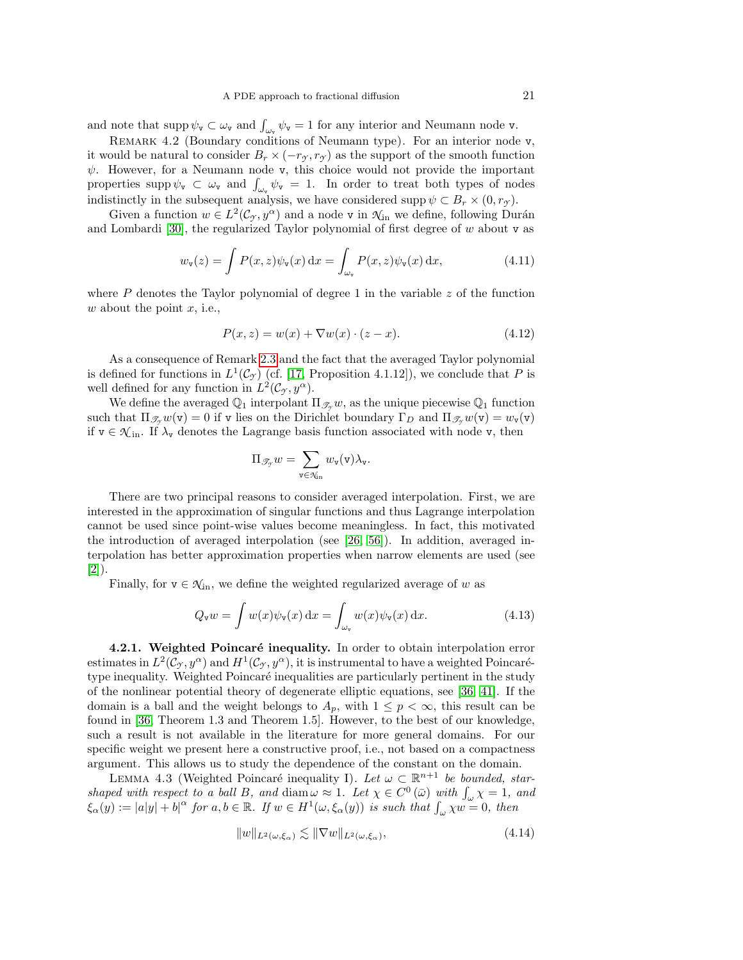and note that  $\text{supp }\psi_{\mathbf{v}} \subset \omega_{\mathbf{v}}$  and  $\int_{\omega_{\mathbf{v}}} \psi_{\mathbf{v}} = 1$  for any interior and Neumann node **v**.

REMARK 4.2 (Boundary conditions of Neumann type). For an interior node v, it would be natural to consider  $B_r \times (-r_\gamma, r_\gamma)$  as the support of the smooth function  $\psi$ . However, for a Neumann node v, this choice would not provide the important properties supp  $\psi_{\mathbf{v}} \subset \omega_{\mathbf{v}}$  and  $\int_{\omega_{\mathbf{v}}} \psi_{\mathbf{v}} = 1$ . In order to treat both types of nodes indistinctly in the subsequent analysis, we have considered supp  $\psi \subset B_r \times (0, r_\gamma)$ .

Given a function  $w \in L^2(\mathcal{C}_{\mathcal{Y}}, y^{\alpha})$  and a node v in  $\mathcal{N}_{\text{in}}$  we define, following Durán and Lombardi [\[30\]](#page-44-15), the regularized Taylor polynomial of first degree of  $w$  about  $v$  as

<span id="page-20-2"></span>
$$
w_{\mathbf{v}}(z) = \int P(x, z) \psi_{\mathbf{v}}(x) dx = \int_{\omega_{\mathbf{v}}} P(x, z) \psi_{\mathbf{v}}(x) dx,
$$
 (4.11)

where  $P$  denotes the Taylor polynomial of degree 1 in the variable  $z$  of the function  $w$  about the point  $x$ , i.e.,

<span id="page-20-3"></span>
$$
P(x,z) = w(x) + \nabla w(x) \cdot (z - x). \tag{4.12}
$$

As a consequence of Remark [2.3](#page-6-4) and the fact that the averaged Taylor polynomial is defined for functions in  $L^1(\mathcal{C}_{\gamma})$  (cf. [\[17,](#page-44-16) Proposition 4.1.12]), we conclude that P is well defined for any function in  $L^2(\mathcal{C}_{\mathcal{I}}, y^{\alpha})$ .

We define the averaged  $\mathbb{Q}_1$  interpolant  $\Pi_{\mathscr{T}_{\mathscr{X}}} w$ , as the unique piecewise  $\mathbb{Q}_1$  function such that  $\Pi_{\mathscr{T}_{\gamma}}w(\mathsf{v})=0$  if v lies on the Dirichlet boundary  $\Gamma_D$  and  $\Pi_{\mathscr{T}_{\gamma}}w(\mathsf{v})=w_{\mathsf{v}}(\mathsf{v})$ if  $v \in \mathcal{K}_{\text{in}}$ . If  $\lambda_v$  denotes the Lagrange basis function associated with node v, then

$$
\Pi_{\mathscr{T}_{\mathcal{Y}}} w = \sum_{\mathtt{v} \in \mathcal{N}_{\text{in}}} w_{\mathtt{v}}(\mathtt{v}) \lambda_{\mathtt{v}}.
$$

There are two principal reasons to consider averaged interpolation. First, we are interested in the approximation of singular functions and thus Lagrange interpolation cannot be used since point-wise values become meaningless. In fact, this motivated the introduction of averaged interpolation (see [\[26,](#page-44-19) [56\]](#page-45-23)). In addition, averaged interpolation has better approximation properties when narrow elements are used (see [\[2\]](#page-43-3)).

Finally, for  $v \in \mathcal{N}_{\text{in}}$ , we define the weighted regularized average of w as

$$
Q_{\mathbf{v}}w = \int w(x)\psi_{\mathbf{v}}(x) dx = \int_{\omega_{\mathbf{v}}} w(x)\psi_{\mathbf{v}}(x) dx.
$$
 (4.13)

4.2.1. Weighted Poincaré inequality. In order to obtain interpolation error estimates in  $L^2(\mathcal{C}_{\mathcal{Y}}, y^{\alpha})$  and  $H^1(\mathcal{C}_{\mathcal{Y}}, y^{\alpha})$ , it is instrumental to have a weighted Poincarétype inequality. Weighted Poincaré inequalities are particularly pertinent in the study of the nonlinear potential theory of degenerate elliptic equations, see [\[36,](#page-45-16) [41\]](#page-45-17). If the domain is a ball and the weight belongs to  $A_p$ , with  $1 \leq p < \infty$ , this result can be found in [\[36,](#page-45-16) Theorem 1.3 and Theorem 1.5]. However, to the best of our knowledge, such a result is not available in the literature for more general domains. For our specific weight we present here a constructive proof, i.e., not based on a compactness argument. This allows us to study the dependence of the constant on the domain.

<span id="page-20-1"></span>LEMMA 4.3 (Weighted Poincaré inequality I). Let  $\omega \subset \mathbb{R}^{n+1}$  be bounded, starshaped with respect to a ball B, and diam  $\omega \approx 1$ . Let  $\chi \in C^0(\bar{\omega})$  with  $\int_{\omega} \chi = 1$ , and  $\xi_{\alpha}(y) := |a|y| + |b|^{\alpha}$  for  $a, b \in \mathbb{R}$ . If  $w \in H^1(\omega, \xi_{\alpha}(y))$  is such that  $\int_{\omega} \chi w = 0$ , then

<span id="page-20-0"></span>
$$
||w||_{L^{2}(\omega,\xi_{\alpha})} \lesssim ||\nabla w||_{L^{2}(\omega,\xi_{\alpha})},\tag{4.14}
$$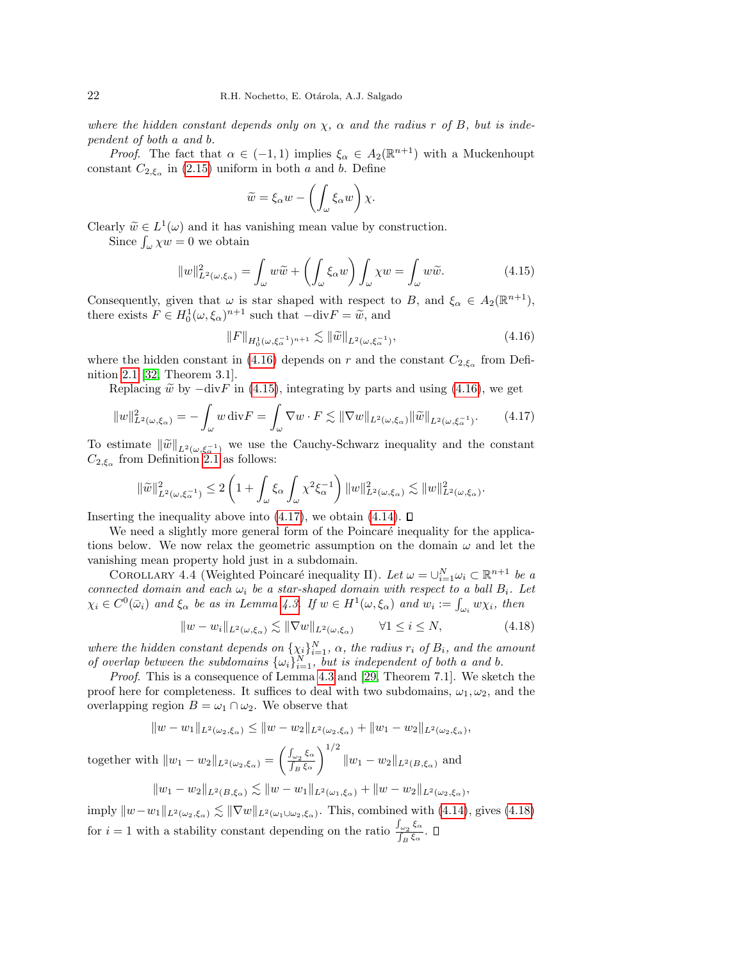where the hidden constant depends only on  $\chi$ ,  $\alpha$  and the radius r of B, but is independent of both a and b.

*Proof.* The fact that  $\alpha \in (-1,1)$  implies  $\xi_{\alpha} \in A_2(\mathbb{R}^{n+1})$  with a Muckenhoupt constant  $C_{2,\xi_{\alpha}}$  in [\(2.15\)](#page-6-5) uniform in both a and b. Define

$$
\widetilde{w} = \xi_{\alpha} w - \left( \int_{\omega} \xi_{\alpha} w \right) \chi.
$$

Clearly  $\widetilde{w} \in L^1(\omega)$  and it has vanishing mean value by construction.<br>Since  $\int_{-\infty}^{\infty} 2w = 0$  we obtain

Since  $\int_{\omega} \chi w = 0$  we obtain

<span id="page-21-1"></span>
$$
||w||_{L^{2}(\omega,\xi_{\alpha})}^{2} = \int_{\omega} w \widetilde{w} + \left(\int_{\omega} \xi_{\alpha} w\right) \int_{\omega} \chi w = \int_{\omega} w \widetilde{w}.
$$
 (4.15)

Consequently, given that  $\omega$  is star shaped with respect to B, and  $\xi_{\alpha} \in A_2(\mathbb{R}^{n+1}),$ there exists  $F \in H_0^1(\omega, \xi_\alpha)^{n+1}$  such that  $-\text{div} F = \tilde{\omega}$ , and

<span id="page-21-0"></span>
$$
||F||_{H_0^1(\omega,\xi_\alpha^{-1})^{n+1}} \lesssim ||\widetilde{w}||_{L^2(\omega,\xi_\alpha^{-1})},\tag{4.16}
$$

where the hidden constant in [\(4.16\)](#page-21-0) depends on r and the constant  $C_{2,\xi_{\alpha}}$  from Definition [2.1](#page-6-3) [\[32,](#page-44-23) Theorem 3.1].

Replacing  $\tilde{w}$  by  $-\text{div}F$  in [\(4.15\)](#page-21-1), integrating by parts and using [\(4.16\)](#page-21-0), we get

<span id="page-21-2"></span>
$$
||w||_{L^{2}(\omega,\xi_{\alpha})}^{2} = -\int_{\omega} w \operatorname{div} F = \int_{\omega} \nabla w \cdot F \lesssim ||\nabla w||_{L^{2}(\omega,\xi_{\alpha})} ||\widetilde{w}||_{L^{2}(\omega,\xi_{\alpha}^{-1})}. \tag{4.17}
$$

To estimate  $\|\widetilde{w}\|_{L^2(\omega,\xi_{\alpha}^{-1})}$  we use the Cauchy-Schwarz inequality and the constant  $C_{\alpha}$  from Definition 2.1 as follows:  $C_{2,\xi_{\alpha}}$  from Definition [2.1](#page-6-3) as follows:

$$
\|\widetilde{w}\|_{L^2(\omega,\xi_\alpha^{-1})}^2 \le 2\left(1+\int_\omega \xi_\alpha \int_\omega \chi^2 \xi_\alpha^{-1}\right) \|w\|_{L^2(\omega,\xi_\alpha)}^2 \lesssim \|w\|_{L^2(\omega,\xi_\alpha)}^2.
$$

Inserting the inequality above into  $(4.17)$ , we obtain  $(4.14)$ .  $\square$ 

We need a slightly more general form of the Poincaré inequality for the applications below. We now relax the geometric assumption on the domain  $\omega$  and let the vanishing mean property hold just in a subdomain.

<span id="page-21-4"></span>COROLLARY 4.4 (Weighted Poincaré inequality II). Let  $\omega = \cup_{i=1}^N \omega_i \subset \mathbb{R}^{n+1}$  be a connected domain and each  $\omega_i$  be a star-shaped domain with respect to a ball  $B_i$ . Let  $\chi_i \in C^0(\bar{\omega}_i)$  and  $\xi_\alpha$  be as in Lemma [4.3.](#page-20-1) If  $w \in H^1(\omega, \xi_\alpha)$  and  $w_i := \int_{\omega_i} w \chi_i$ , then

<span id="page-21-3"></span>
$$
||w - w_i||_{L^2(\omega, \xi_\alpha)} \lesssim ||\nabla w||_{L^2(\omega, \xi_\alpha)} \qquad \forall 1 \le i \le N,
$$
\n(4.18)

where the hidden constant depends on  $\{\chi_i\}_{i=1}^N$ ,  $\alpha$ , the radius  $r_i$  of  $B_i$ , and the amount of overlap between the subdomains  $\{\omega_i\}_{i=1}^N$ , but is independent of both a and b.

*Proof.* This is a consequence of Lemma [4.3](#page-20-1) and [\[29,](#page-44-24) Theorem 7.1]. We sketch the proof here for completeness. It suffices to deal with two subdomains,  $\omega_1, \omega_2$ , and the overlapping region  $B = \omega_1 \cap \omega_2$ . We observe that

 $||w - w_1||_{L^2(\omega_2, \xi_\alpha)} \le ||w - w_2||_{L^2(\omega_2, \xi_\alpha)} + ||w_1 - w_2||_{L^2(\omega_2, \xi_\alpha)},$ 

together with  $||w_1 - w_2||_{L^2(\omega_2, \xi_\alpha)} = \left(\frac{\int_{\omega_2} \xi_\alpha}{\int_B \xi_\alpha}\right)$  $\int_B \xi_\alpha$  $\setminus$ <sup>1/2</sup>  $||w_1 - w_2||_{L^2(B, \xi_\alpha)}$  and

$$
||w_1 - w_2||_{L^2(B, \xi_\alpha)} \lesssim ||w - w_1||_{L^2(\omega_1, \xi_\alpha)} + ||w - w_2||_{L^2(\omega_2, \xi_\alpha)},
$$

imply  $\|w-w_1\|_{L^2(\omega_2,\xi_\alpha)} \lesssim \|\nabla w\|_{L^2(\omega_1\cup\omega_2,\xi_\alpha)}$ . This, combined with [\(4.14\)](#page-20-0), gives [\(4.18\)](#page-21-3) for  $i = 1$  with a stability constant depending on the ratio  $\frac{\int_{\omega_2} \xi_{\alpha}}{\int_{\zeta}}$  $\frac{\int_{\omega_2} \mathbf{S}^{\alpha}}{\int_B \xi_{\alpha}}$ .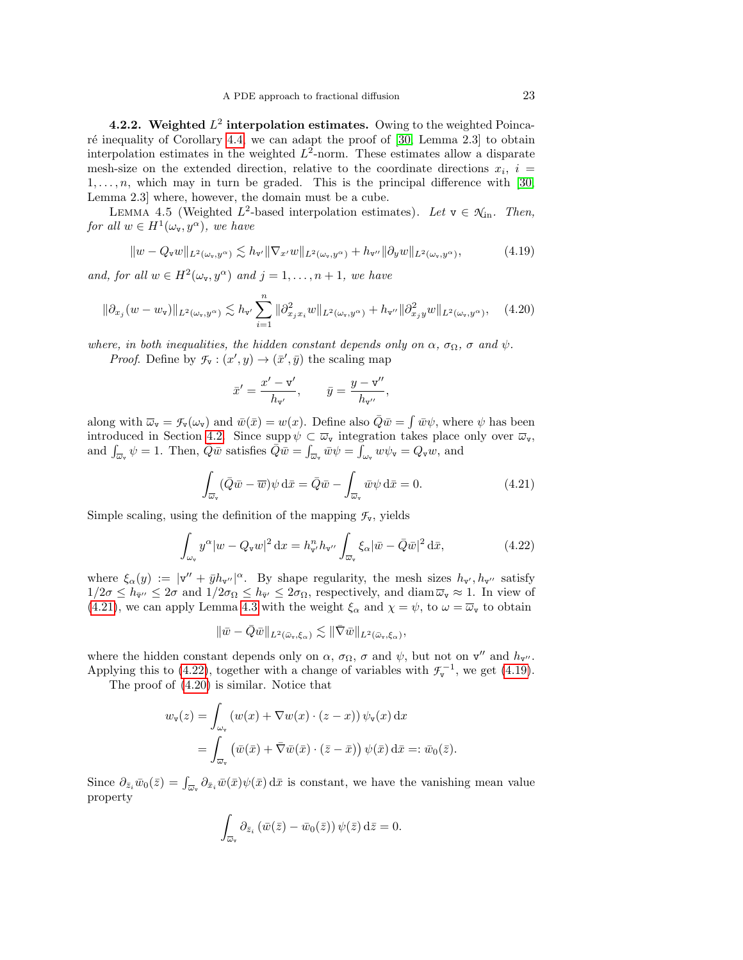<span id="page-22-5"></span>4.2.2. Weighted  $L^2$  interpolation estimates. Owing to the weighted Poinca-ré inequality of Corollary [4.4,](#page-21-4) we can adapt the proof of  $[30, \text{ Lemma } 2.3]$  to obtain interpolation estimates in the weighted  $L^2$ -norm. These estimates allow a disparate mesh-size on the extended direction, relative to the coordinate directions  $x_i$ ,  $i =$  $1, \ldots, n$ , which may in turn be graded. This is the principal difference with [\[30,](#page-44-15) Lemma 2.3] where, however, the domain must be a cube.

<span id="page-22-4"></span>LEMMA 4.5 (Weighted  $L^2$ -based interpolation estimates). Let  $v \in \mathcal{N}_{\text{in}}$ . Then, for all  $w \in H^1(\omega_{\mathbf{v}}, y^{\alpha})$ , we have

<span id="page-22-2"></span>
$$
||w - Q_{\mathbf{v}}w||_{L^{2}(\omega_{\mathbf{v}},y^{\alpha})} \lesssim h_{\mathbf{v}'}||\nabla_{x'}w||_{L^{2}(\omega_{\mathbf{v}},y^{\alpha})} + h_{\mathbf{v}''}||\partial_{y}w||_{L^{2}(\omega_{\mathbf{v}},y^{\alpha})},\tag{4.19}
$$

and, for all  $w \in H^2(\omega_{\text{v}}, y^{\alpha})$  and  $j = 1, \ldots, n + 1$ , we have

<span id="page-22-3"></span>
$$
\|\partial_{x_j}(w-w_{\mathbf{v}})\|_{L^2(\omega_{\mathbf{v}},y^{\alpha})} \lesssim h_{\mathbf{v}'}\sum_{i=1}^n \|\partial_{x_jx_i}^2 w\|_{L^2(\omega_{\mathbf{v}},y^{\alpha})} + h_{\mathbf{v}''}\|\partial_{x_jy}^2 w\|_{L^2(\omega_{\mathbf{v}},y^{\alpha})},\quad(4.20)
$$

where, in both inequalities, the hidden constant depends only on  $\alpha$ ,  $\sigma_{\Omega}$ ,  $\sigma$  and  $\psi$ .

*Proof.* Define by  $\mathcal{F}_{\mathbf{v}} : (x', y) \to (\bar{x}', \bar{y})$  the scaling map

$$
\bar x'=\frac{x'-\mathtt{v}'}{h_{\mathtt{v}'}},\qquad \bar y=\frac{y-\mathtt{v}''}{h_{\mathtt{v}''}},
$$

along with  $\overline{\omega}_{\mathbf{v}} = \mathcal{F}_{\mathbf{v}}(\omega_{\mathbf{v}})$  and  $\overline{w}(\overline{x}) = w(x)$ . Define also  $\overline{Q}\overline{w} = \int \overline{w}\psi$ , where  $\psi$  has been introduced in Section [4.2.](#page-19-0) Since supp  $\psi \subset \overline{\omega}_{\nu}$  integration takes place only over  $\overline{\omega}_{\nu}$ , and  $\int_{\overline{\omega}_v} \psi = 1$ . Then,  $\overline{Q}\overline{w}$  satisfies  $\overline{Q}\overline{w} = \int_{\overline{\omega}_v} \overline{w}\psi = \int_{\omega_v} w\psi_v = Q_v w$ , and

<span id="page-22-0"></span>
$$
\int_{\overline{\omega}_v} (\overline{Q}\overline{w} - \overline{w}) \psi \, d\overline{x} = \overline{Q}\overline{w} - \int_{\overline{\omega}_v} \overline{w} \psi \, d\overline{x} = 0.
$$
\n(4.21)

Simple scaling, using the definition of the mapping  $\mathcal{F}_{\mathbf{v}}$ , yields

<span id="page-22-1"></span>
$$
\int_{\omega_{\mathbf{v}}} y^{\alpha} |w - Q_{\mathbf{v}} w|^2 \, \mathrm{d}x = h_{\mathbf{v}'}^n h_{\mathbf{v}''} \int_{\overline{\omega}_{\mathbf{v}}} \xi_{\alpha} |\overline{w} - \overline{Q} \overline{w}|^2 \, \mathrm{d}\overline{x},\tag{4.22}
$$

where  $\xi_{\alpha}(y) := |v'' + \bar{y}h_{v''}|^{\alpha}$ . By shape regularity, the mesh sizes  $h_{v'}, h_{v''}$  satisfy  $1/2\sigma \leq h_{\bar{v}''} \leq 2\sigma$  and  $1/2\sigma_{\Omega} \leq h_{\bar{v}'} \leq 2\sigma_{\Omega}$ , respectively, and diam  $\overline{\omega}_{\nu} \approx 1$ . In view of [\(4.21\)](#page-22-0), we can apply Lemma [4.3](#page-20-1) with the weight  $\xi_{\alpha}$  and  $\chi = \psi$ , to  $\omega = \overline{\omega}_{\nu}$  to obtain

$$
\|\bar w-\bar Q\bar w\|_{L^2(\bar\omega_{\texttt{v}},\xi_\alpha)}\lesssim \|\bar\nabla \bar w\|_{L^2(\bar\omega_{\texttt{v}},\xi_\alpha)},
$$

where the hidden constant depends only on  $\alpha$ ,  $\sigma_{\Omega}$ ,  $\sigma$  and  $\psi$ , but not on  $\mathsf{v}''$  and  $h_{\mathsf{v}''}$ . Applying this to [\(4.22\)](#page-22-1), together with a change of variables with  $\mathcal{F}_{\mathbf{v}}^{-1}$ , we get [\(4.19\)](#page-22-2).

The proof of [\(4.20\)](#page-22-3) is similar. Notice that

$$
w_{\mathbf{v}}(z) = \int_{\omega_{\mathbf{v}}} \left( w(x) + \nabla w(x) \cdot (z - x) \right) \psi_{\mathbf{v}}(x) dx
$$
  
= 
$$
\int_{\overline{\omega}_{\mathbf{v}}} \left( \bar{w}(\bar{x}) + \bar{\nabla} \bar{w}(\bar{x}) \cdot (\bar{z} - \bar{x}) \right) \psi(\bar{x}) d\bar{x} =: \bar{w}_0(\bar{z}).
$$

Since  $\partial_{\bar{z}_i}\bar{w}_0(\bar{z}) = \int_{\bar{\omega}_v}\partial_{\bar{x}_i}\bar{w}(\bar{x})\psi(\bar{x})\,d\bar{x}$  is constant, we have the vanishing mean value property

$$
\int_{\overline{\omega}_v} \partial_{\bar{z}_i} (\overline{w}(\overline{z}) - \overline{w}_0(\overline{z})) \psi(\overline{z}) d\overline{z} = 0.
$$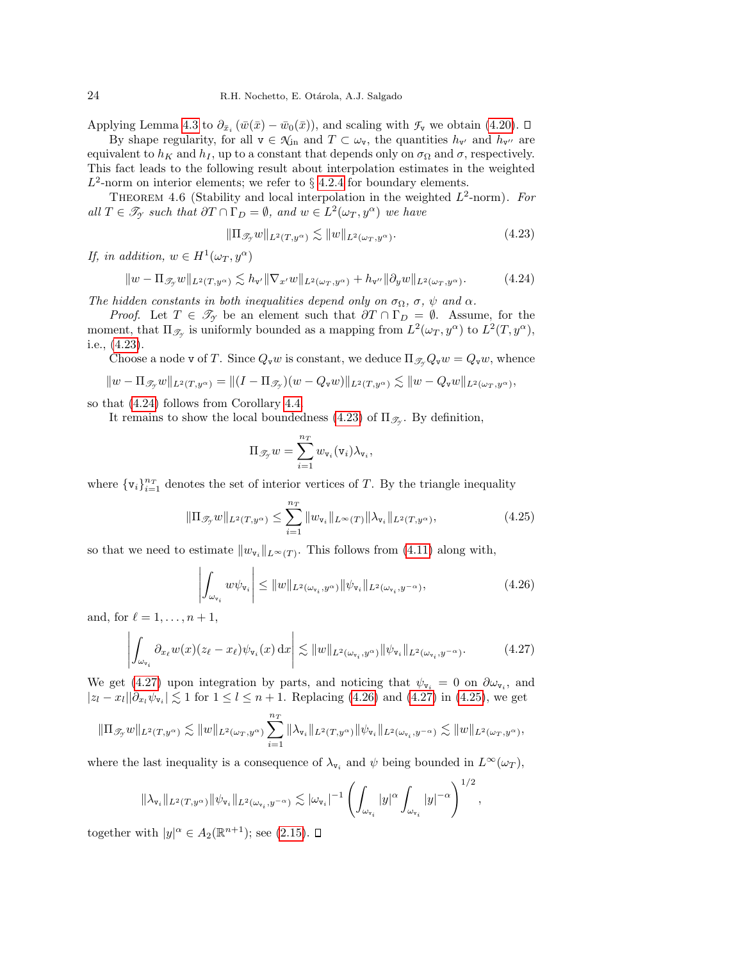Applying Lemma [4.3](#page-20-1) to  $\partial_{\bar{x}_i} (\bar{w}(\bar{x}) - \bar{w}_0(\bar{x}))$ , and scaling with  $\mathcal{F}_v$  we obtain [\(4.20\)](#page-22-3).

By shape regularity, for all  $v \in \mathcal{N}_{\text{in}}$  and  $T \subset \omega_v$ , the quantities  $h_{v'}$  and  $h_{v''}$  are equivalent to  $h_K$  and  $h_I$ , up to a constant that depends only on  $\sigma_{\Omega}$  and  $\sigma$ , respectively. This fact leads to the following result about interpolation estimates in the weighted  $L^2$ -norm on interior elements; we refer to § [4.2.4](#page-29-0) for boundary elements.

<span id="page-23-5"></span>THEOREM 4.6 (Stability and local interpolation in the weighted  $L^2$ -norm). For all  $T \in \mathcal{T}_{\gamma}$  such that  $\partial T \cap \Gamma_D = \emptyset$ , and  $w \in L^2(\omega_T, y^{\alpha})$  we have

<span id="page-23-0"></span>
$$
\|\Pi_{\mathcal{I}_\mathcal{I}} w\|_{L^2(T, y^\alpha)} \lesssim \|w\|_{L^2(\omega_T, y^\alpha)}.\tag{4.23}
$$

If, in addition,  $w \in H^1(\omega_T, y^\alpha)$ 

<span id="page-23-1"></span>
$$
||w - \Pi_{\mathscr{T}_{\mathcal{I}}} w||_{L^2(T, y^{\alpha})} \lesssim h_{\mathbf{v}'} ||\nabla_{x'} w||_{L^2(\omega_T, y^{\alpha})} + h_{\mathbf{v}''} ||\partial_y w||_{L^2(\omega_T, y^{\alpha})}.
$$
 (4.24)

The hidden constants in both inequalities depend only on  $\sigma_{\Omega}$ ,  $\sigma$ ,  $\psi$  and  $\alpha$ .

*Proof.* Let  $T \in \mathcal{T}_{\gamma}$  be an element such that  $\partial T \cap \Gamma_D = \emptyset$ . Assume, for the moment, that  $\Pi_{\mathscr{T}_{\mathcal{F}}}$  is uniformly bounded as a mapping from  $L^2(\omega_T, y^{\alpha})$  to  $L^2(T, y^{\alpha})$ , i.e., [\(4.23\)](#page-23-0).

Choose a node v of T. Since  $Q_{\mathbf{v}}w$  is constant, we deduce  $\Pi_{\mathcal{I}_{\gamma}}Q_{\mathbf{v}}w = Q_{\mathbf{v}}w$ , whence

$$
||w - \Pi_{\mathscr{T}_{\mathcal{Y}}} w||_{L^2(T, y^{\alpha})} = ||(I - \Pi_{\mathscr{T}_{\mathcal{Y}}})(w - Q_{\mathbf{v}}w)||_{L^2(T, y^{\alpha})} \lesssim ||w - Q_{\mathbf{v}}w||_{L^2(\omega_T, y^{\alpha})},
$$

so that [\(4.24\)](#page-23-1) follows from Corollary [4.4.](#page-21-4)

It remains to show the local boundedness [\(4.23\)](#page-23-0) of  $\Pi_{\mathcal{I}_{\mathcal{I}}}$ . By definition,

$$
\Pi_{\mathscr{T}_{\mathcal{T}}} w = \sum_{i=1}^{n_T} w_{\mathtt{v}_i}(\mathtt{v}_i) \lambda_{\mathtt{v}_i},
$$

where  $\{v_i\}_{i=1}^{n_T}$  denotes the set of interior vertices of T. By the triangle inequality

<span id="page-23-4"></span>
$$
\|\Pi_{\mathcal{J}_y} w\|_{L^2(T, y^{\alpha})} \le \sum_{i=1}^{n_T} \|w_{\mathbf{v}_i}\|_{L^{\infty}(T)} \|\lambda_{\mathbf{v}_i}\|_{L^2(T, y^{\alpha})},
$$
\n(4.25)

so that we need to estimate  $||w_{\mathbf{v}_i}||_{L^{\infty}(T)}$ . This follows from [\(4.11\)](#page-20-2) along with,

<span id="page-23-3"></span>
$$
\left| \int_{\omega_{\mathbf{v}_i}} w \psi_{\mathbf{v}_i} \right| \leq \|w\|_{L^2(\omega_{\mathbf{v}_i}, y^{\alpha})} \|\psi_{\mathbf{v}_i}\|_{L^2(\omega_{\mathbf{v}_i}, y^{-\alpha})}, \tag{4.26}
$$

and, for  $\ell = 1, \ldots, n + 1$ ,

<span id="page-23-2"></span>
$$
\left| \int_{\omega_{\mathbf{v}_i}} \partial_{x_\ell} w(x) (z_\ell - x_\ell) \psi_{\mathbf{v}_i}(x) dx \right| \lesssim \|w\|_{L^2(\omega_{\mathbf{v}_i}, y^\alpha)} \|\psi_{\mathbf{v}_i}\|_{L^2(\omega_{\mathbf{v}_i}, y^{-\alpha})}.
$$
 (4.27)

We get [\(4.27\)](#page-23-2) upon integration by parts, and noticing that  $\psi_{\mathbf{v}_i} = 0$  on  $\partial \omega_{\mathbf{v}_i}$ , and  $|z_l - x_l||\partial_{x_l}\psi_{\mathbf{v}_i}| \lesssim 1$  for  $1 \leq l \leq n+1$ . Replacing [\(4.26\)](#page-23-3) and [\(4.27\)](#page-23-2) in [\(4.25\)](#page-23-4), we get

$$
\|\Pi_{\mathscr{T}_{\mathcal{T}}} w\|_{L^2(T,y^\alpha)} \lesssim \|w\|_{L^2(\omega_T,y^\alpha)} \sum_{i=1}^{n_T} \|\lambda_{\mathtt{v}_i}\|_{L^2(T,y^\alpha)} \|\psi_{\mathtt{v}_i}\|_{L^2(\omega_{\mathtt{v}_i},y^{-\alpha})} \lesssim \|w\|_{L^2(\omega_T,y^\alpha)},
$$

where the last inequality is a consequence of  $\lambda_{\mathbf{v}_i}$  and  $\psi$  being bounded in  $L^{\infty}(\omega_T)$ ,

$$
\|\lambda_{\mathtt{v}_i}\|_{L^2(T,y^{\alpha})}\|\psi_{\mathtt{v}_i}\|_{L^2(\omega_{\mathtt{v}_i},y^{-\alpha})}\lesssim |\omega_{\mathtt{v}_i}|^{-1}\left(\int_{\omega_{\mathtt{v}_i}}|y|^{\alpha}\int_{\omega_{\mathtt{v}_i}}|y|^{-\alpha}\right)^{1/2},
$$

together with  $|y|^{\alpha} \in A_2(\mathbb{R}^{n+1})$ ; see [\(2.15\)](#page-6-5).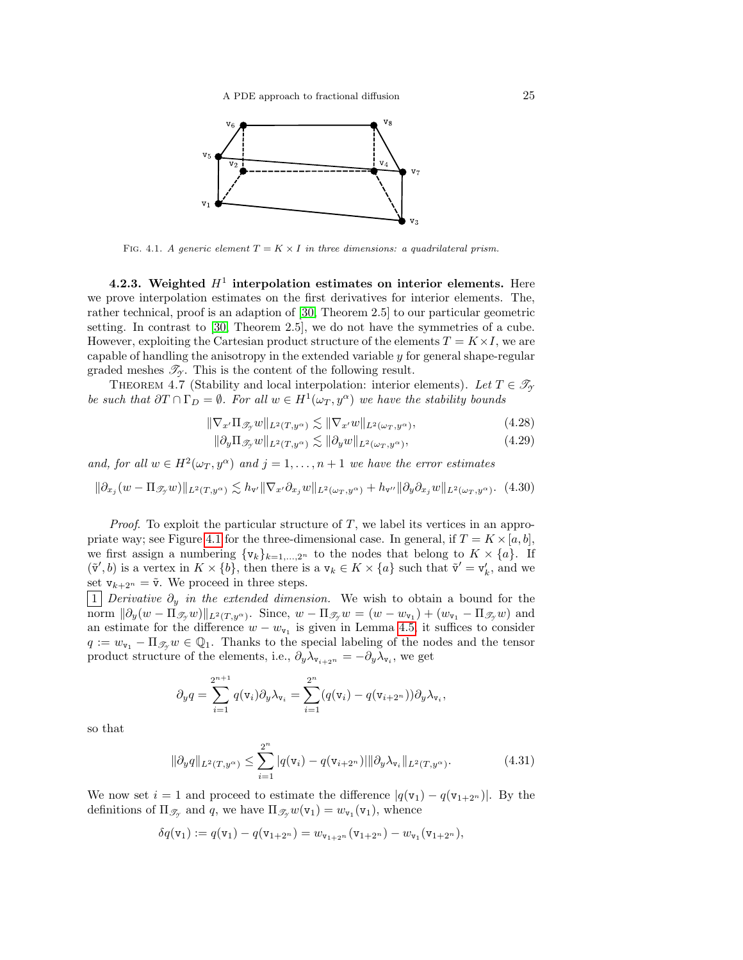

<span id="page-24-0"></span>FIG. 4.1. A generic element  $T = K \times I$  in three dimensions: a quadrilateral prism.

<span id="page-24-5"></span>4.2.3. Weighted  $H^1$  interpolation estimates on interior elements. Here we prove interpolation estimates on the first derivatives for interior elements. The, rather technical, proof is an adaption of [\[30,](#page-44-15) Theorem 2.5] to our particular geometric setting. In contrast to [\[30,](#page-44-15) Theorem 2.5], we do not have the symmetries of a cube. However, exploiting the Cartesian product structure of the elements  $T = K \times I$ , we are capable of handling the anisotropy in the extended variable  $y$  for general shape-regular graded meshes  $\mathscr{T}_{\gamma}$ . This is the content of the following result.

<span id="page-24-6"></span>THEOREM 4.7 (Stability and local interpolation: interior elements). Let  $T \in \mathcal{T}_{\gamma}$ be such that  $\partial T \cap \Gamma_D = \emptyset$ . For all  $w \in H^1(\omega_T, y^{\alpha})$  we have the stability bounds

$$
\|\nabla_{x'}\Pi_{\mathscr{T}_{\mathcal{I}}}w\|_{L^{2}(T,y^{\alpha})} \lesssim \|\nabla_{x'}w\|_{L^{2}(\omega_{T},y^{\alpha})},\tag{4.28}
$$

<span id="page-24-4"></span><span id="page-24-3"></span>
$$
\|\partial_y \Pi_{\mathscr{T}_y} w\|_{L^2(T, y^{\alpha})} \lesssim \|\partial_y w\|_{L^2(\omega_T, y^{\alpha})},\tag{4.29}
$$

and, for all  $w \in H^2(\omega_T, y^{\alpha})$  and  $j = 1, ..., n + 1$  we have the error estimates

<span id="page-24-1"></span>
$$
\|\partial_{x_j}(w-\Pi_{\mathscr T_y}w)\|_{L^2(T,y^\alpha)}\lesssim h_{\mathtt v'}\|\nabla_{x'}\partial_{x_j}w\|_{L^2(\omega_T,y^\alpha)}+h_{\mathtt v''}\|\partial_y\partial_{x_j}w\|_{L^2(\omega_T,y^\alpha)}. \eqno(4.30)
$$

*Proof.* To exploit the particular structure of T, we label its vertices in an appro-priate way; see Figure [4.1](#page-24-0) for the three-dimensional case. In general, if  $T = K \times [a, b]$ , we first assign a numbering  $\{v_k\}_{k=1,\dots,2^n}$  to the nodes that belong to  $K \times \{a\}$ . If  $(\tilde{\mathbf{v}}', b)$  is a vertex in  $K \times \{b\}$ , then there is a  $\mathbf{v}_k \in K \times \{a\}$  such that  $\tilde{\mathbf{v}}' = \mathbf{v}'_k$ , and we set  $v_{k+2^n} = \tilde{v}$ . We proceed in three steps.

|1 Derivative  $\partial_y$  in the extended dimension. We wish to obtain a bound for the norm  $\|\partial_y(w - \Pi_{\mathscr{T}_y}w)\|_{L^2(T, y^\alpha)}$ . Since,  $w - \Pi_{\mathscr{T}_y}w = (w - w_{\mathtt{v}_1}) + (w_{\mathtt{v}_1} - \Pi_{\mathscr{T}_y}w)$  and an estimate for the difference  $w - w_{v_1}$  is given in Lemma [4.5,](#page-22-4) it suffices to consider  $q := w_{\mathsf{v}_1} - \Pi_{\mathscr{T}_{\mathsf{v}}} w \in \mathbb{Q}_1$ . Thanks to the special labeling of the nodes and the tensor product structure of the elements, i.e.,  $\partial_y \lambda_{\mathbf{v}_{i+2^n}} = -\partial_y \lambda_{\mathbf{v}_i}$ , we get

$$
\partial_y q = \sum_{i=1}^{2^{n+1}} q(\mathbf{v}_i) \partial_y \lambda_{\mathbf{v}_i} = \sum_{i=1}^{2^n} (q(\mathbf{v}_i) - q(\mathbf{v}_{i+2^n})) \partial_y \lambda_{\mathbf{v}_i},
$$

so that

<span id="page-24-2"></span>
$$
\|\partial_y q\|_{L^2(T, y^{\alpha})} \le \sum_{i=1}^{2^n} |q(\mathbf{v}_i) - q(\mathbf{v}_{i+2^n})| \|\partial_y \lambda_{\mathbf{v}_i}\|_{L^2(T, y^{\alpha})}.
$$
 (4.31)

We now set  $i = 1$  and proceed to estimate the difference  $|q(\mathbf{v}_1) - q(\mathbf{v}_{1+2^n})|$ . By the definitions of  $\Pi_{\mathscr{T}_{\mathcal{T}}}$  and q, we have  $\Pi_{\mathscr{T}_{\mathcal{T}}}w(\mathsf{v}_1) = w_{\mathsf{v}_1}(\mathsf{v}_1)$ , whence

$$
\delta q(\mathbf{v}_1) := q(\mathbf{v}_1) - q(\mathbf{v}_{1+2^n}) = w_{\mathbf{v}_{1+2^n}}(\mathbf{v}_{1+2^n}) - w_{\mathbf{v}_1}(\mathbf{v}_{1+2^n}),
$$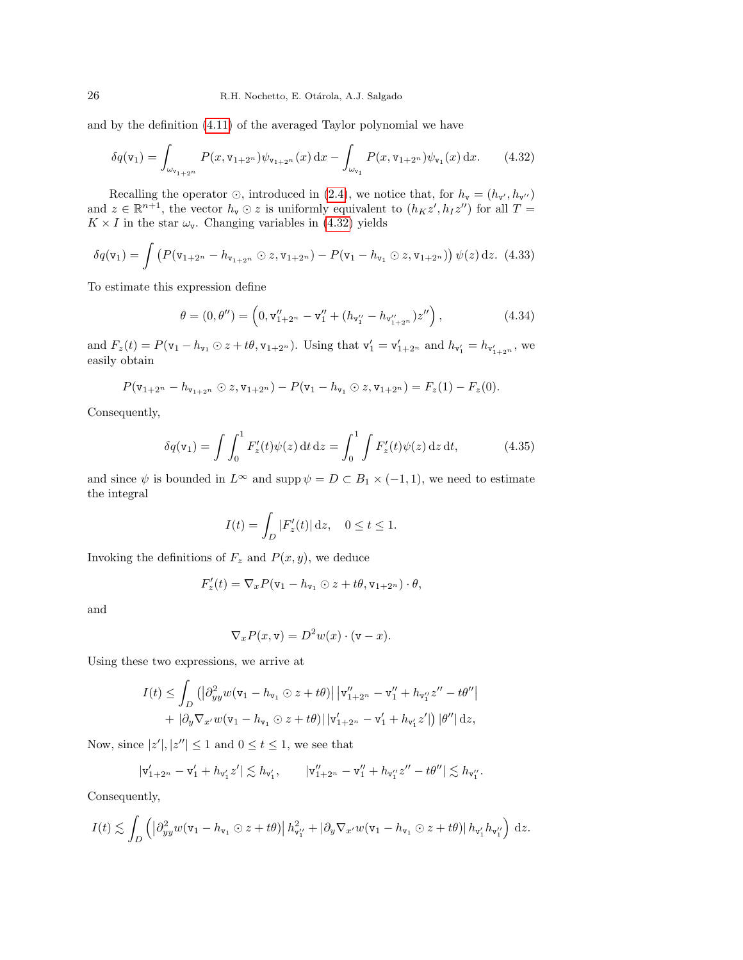and by the definition [\(4.11\)](#page-20-2) of the averaged Taylor polynomial we have

<span id="page-25-0"></span>
$$
\delta q(\mathbf{v}_1) = \int_{\omega_{\mathbf{v}_{1+2^n}}} P(x, \mathbf{v}_{1+2^n}) \psi_{\mathbf{v}_{1+2^n}}(x) dx - \int_{\omega_{\mathbf{v}_1}} P(x, \mathbf{v}_{1+2^n}) \psi_{\mathbf{v}_1}(x) dx.
$$
 (4.32)

Recalling the operator  $\odot$ , introduced in [\(2.4\)](#page-3-2), we notice that, for  $h_{\mathbf{v}} = (h_{\mathbf{v'}}, h_{\mathbf{v''}})$ and  $z \in \mathbb{R}^{n+1}$ , the vector  $h_{\mathbf{v}} \odot z$  is uniformly equivalent to  $(h_K z', h_I z'')$  for all  $T =$  $K \times I$  in the star  $\omega_{\mathbf{v}}$ . Changing variables in [\(4.32\)](#page-25-0) yields

<span id="page-25-2"></span>
$$
\delta q(\mathbf{v}_1) = \int \left( P(\mathbf{v}_{1+2^n} - h_{\mathbf{v}_{1+2^n}} \odot z, \mathbf{v}_{1+2^n}) - P(\mathbf{v}_1 - h_{\mathbf{v}_1} \odot z, \mathbf{v}_{1+2^n}) \right) \psi(z) \, dz. \tag{4.33}
$$

To estimate this expression define

<span id="page-25-3"></span>
$$
\theta = (0, \theta'') = \left(0, \mathbf{v}_{1+2^n}'' - \mathbf{v}_1'' + (h_{\mathbf{v}_1''} - h_{\mathbf{v}_{1+2^n}''})z''\right),\tag{4.34}
$$

and  $F_z(t) = P(\mathbf{v}_1 - h_{\mathbf{v}_1} \odot z + t\theta, \mathbf{v}_{1+2^n})$ . Using that  $\mathbf{v}'_1 = \mathbf{v}'_{1+2^n}$  and  $h_{\mathbf{v}'_1} = h_{\mathbf{v}'_{1+2^n}}$ , we easily obtain

$$
P(\mathbf{v}_{1+2^n}-h_{\mathbf{v}_{1+2^n}}\odot z,\mathbf{v}_{1+2^n})-P(\mathbf{v}_1-h_{\mathbf{v}_1}\odot z,\mathbf{v}_{1+2^n})=F_z(1)-F_z(0).
$$

Consequently,

<span id="page-25-1"></span>
$$
\delta q(\mathbf{v}_1) = \int \int_0^1 F'_z(t) \psi(z) dt dz = \int_0^1 \int F'_z(t) \psi(z) dz dt,
$$
 (4.35)

and since  $\psi$  is bounded in  $L^{\infty}$  and supp  $\psi = D \subset B_1 \times (-1,1)$ , we need to estimate the integral

$$
I(t) = \int_D |F'_z(t)| \,\mathrm{d}z, \quad 0 \le t \le 1.
$$

Invoking the definitions of  $F_z$  and  $P(x, y)$ , we deduce

$$
F'_{z}(t) = \nabla_x P(\mathbf{v}_1 - h_{\mathbf{v}_1} \odot z + t\theta, \mathbf{v}_{1+2^n}) \cdot \theta,
$$

and

$$
\nabla_x P(x, \mathbf{v}) = D^2 w(x) \cdot (\mathbf{v} - x).
$$

Using these two expressions, we arrive at

F

$$
I(t) \leq \int_{D} ( \left| \partial_{yy}^{2} w(v_{1} - h_{v_{1}} \odot z + t\theta) \right| |v''_{1+2^{n}} - v''_{1} + h_{v''_{1}} z'' - t\theta''| + \left| \partial_{y} \nabla_{x'} w(v_{1} - h_{v_{1}} \odot z + t\theta) \right| |v'_{1+2^{n}} - v'_{1} + h_{v'_{1}} z'| ) |\theta''| dz,
$$

Now, since  $|z'|, |z''| \leq 1$  and  $0 \leq t \leq 1$ , we see that

$$
|\mathbf{v}_{1+2^n}' - \mathbf{v}_1' + h_{\mathbf{v}_1'}z'| \lesssim h_{\mathbf{v}_1'}, \qquad |\mathbf{v}_{1+2^n}'' - \mathbf{v}_1'' + h_{\mathbf{v}_1''}z'' - t\theta''| \lesssim h_{\mathbf{v}_1''}.
$$

Consequently,

$$
I(t) \lesssim \int_D \left( \left| \partial_{yy}^2 w(\mathbf{v}_1 - h_{\mathbf{v}_1} \odot z + t\theta) \right| h_{\mathbf{v}_1''}^2 + \left| \partial_y \nabla_{x'} w(\mathbf{v}_1 - h_{\mathbf{v}_1} \odot z + t\theta) \right| h_{\mathbf{v}_1'} h_{\mathbf{v}_1''} \right) dz.
$$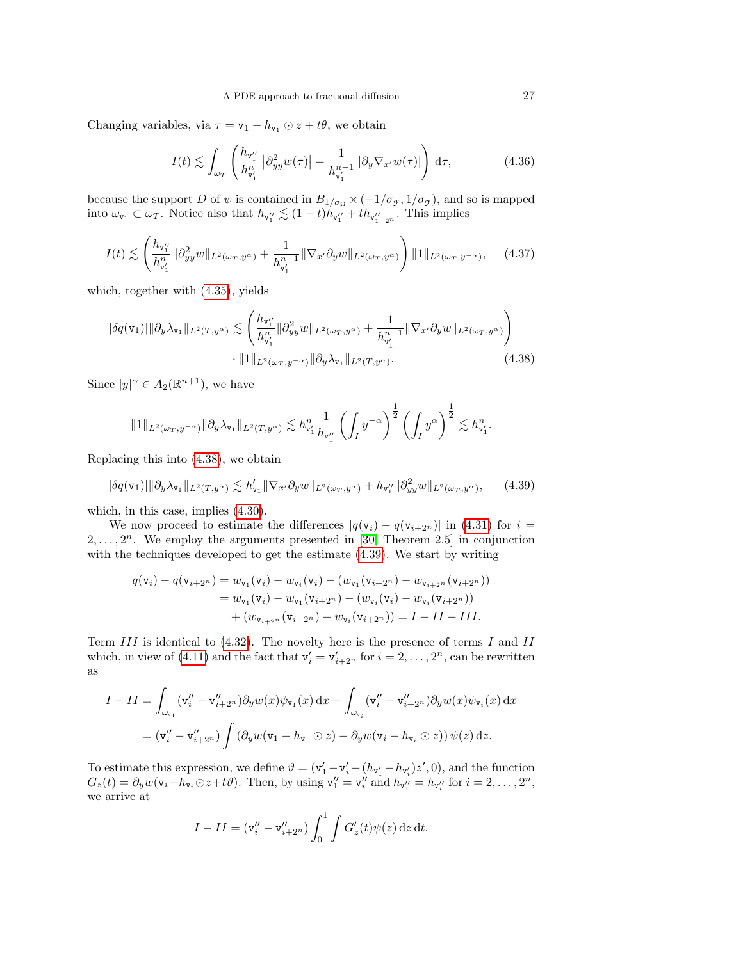Changing variables, via  $\tau = \mathbf{v}_1 - h_{\mathbf{v}_1} \odot z + t\theta$ , we obtain

$$
I(t) \lesssim \int_{\omega_T} \left( \frac{h_{\mathbf{v}_1''}}{h_{\mathbf{v}_1'}} \left| \partial_{yy}^2 w(\tau) \right| + \frac{1}{h_{\mathbf{v}_1'}^{n-1}} \left| \partial_y \nabla_{x'} w(\tau) \right| \right) d\tau, \tag{4.36}
$$

because the support D of  $\psi$  is contained in  $B_{1/\sigma_{\Omega}} \times (-1/\sigma_{\gamma}, 1/\sigma_{\gamma})$ , and so is mapped into  $\omega_{\mathbf{v}_1} \subset \omega_T$ . Notice also that  $h_{\mathbf{v}_1''} \lesssim (1-t)h_{\mathbf{v}_1''} + th_{\mathbf{v}_{1+2}''}$ . This implies

$$
I(t) \lesssim \left(\frac{h_{v_1''}}{h_{v_1'}} \|\partial_{yy}^2 w\|_{L^2(\omega_T, y^\alpha)} + \frac{1}{h_{v_1'}} \|\nabla_{x'} \partial_y w\|_{L^2(\omega_T, y^\alpha)}\right) \|1\|_{L^2(\omega_T, y^{-\alpha})}, \quad (4.37)
$$

which, together with [\(4.35\)](#page-25-1), yields

$$
|\delta q(\mathbf{v}_1)||\partial_y \lambda_{\mathbf{v}_1}||_{L^2(T, y^{\alpha})} \lesssim \left(\frac{h_{\mathbf{v}_1''}}{h_{\mathbf{v}_1}^n} \|\partial_{yy}^2 w\|_{L^2(\omega_T, y^{\alpha})} + \frac{1}{h_{\mathbf{v}_1'}^{n-1}} \|\nabla_{x'} \partial_y w\|_{L^2(\omega_T, y^{\alpha})}\right) \cdot \|1\|_{L^2(\omega_T, y^{-\alpha})} \|\partial_y \lambda_{\mathbf{v}_1}\|_{L^2(T, y^{\alpha})}.
$$
\n(4.38)

Since  $|y|^{\alpha} \in A_2(\mathbb{R}^{n+1})$ , we have

<span id="page-26-0"></span>
$$
\|1\|_{L^2(\omega_T,y^{-\alpha})}\|\partial_y\lambda_{\mathtt{v}_1}\|_{L^2(T,y^{\alpha})}\lesssim h^n_{\mathtt{v}'_1}\frac{1}{h_{\mathtt{v}''_1}}\left(\int_I y^{-\alpha}\right)^{\frac{1}{2}}\left(\int_I y^{\alpha}\right)^{\frac{1}{2}}\lesssim h^n_{\mathtt{v}'_1}.
$$

Replacing this into [\(4.38\)](#page-26-0), we obtain

<span id="page-26-1"></span>
$$
|\delta q(\mathbf{v}_1)||\partial_y \lambda_{\mathbf{v}_1}||_{L^2(T, y^{\alpha})} \lesssim h'_{\mathbf{v}_1} \|\nabla_{x'} \partial_y w||_{L^2(\omega_T, y^{\alpha})} + h_{\mathbf{v}_1''} \|\partial_{yy}^2 w||_{L^2(\omega_T, y^{\alpha})}, \qquad (4.39)
$$

which, in this case, implies [\(4.30\)](#page-24-1).

We now proceed to estimate the differences  $|q(\mathbf{v}_i) - q(\mathbf{v}_{i+2^n})|$  in [\(4.31\)](#page-24-2) for  $i =$  $2, \ldots, 2^n$ . We employ the arguments presented in [\[30,](#page-44-15) Theorem 2.5] in conjunction with the techniques developed to get the estimate [\(4.39\)](#page-26-1). We start by writing

$$
q(\mathbf{v}_i) - q(\mathbf{v}_{i+2^n}) = w_{\mathbf{v}_1}(\mathbf{v}_i) - w_{\mathbf{v}_i}(\mathbf{v}_i) - (w_{\mathbf{v}_1}(\mathbf{v}_{i+2^n}) - w_{\mathbf{v}_{i+2^n}}(\mathbf{v}_{i+2^n}))
$$
  
=  $w_{\mathbf{v}_1}(\mathbf{v}_i) - w_{\mathbf{v}_1}(\mathbf{v}_{i+2^n}) - (w_{\mathbf{v}_i}(\mathbf{v}_i) - w_{\mathbf{v}_i}(\mathbf{v}_{i+2^n}))$   
+  $(w_{\mathbf{v}_{i+2^n}}(\mathbf{v}_{i+2^n}) - w_{\mathbf{v}_i}(\mathbf{v}_{i+2^n})) = I - II + III.$ 

Term  $III$  is identical to [\(4.32\)](#page-25-0). The novelty here is the presence of terms I and II which, in view of [\(4.11\)](#page-20-2) and the fact that  $v'_i = v'_{i+2^n}$  for  $i = 2, \ldots, 2^n$ , can be rewritten as

$$
I - II = \int_{\omega_{\mathbf{v}_1}} (\mathbf{v}_i'' - \mathbf{v}_{i+2^n}') \partial_y w(x) \psi_{\mathbf{v}_1}(x) dx - \int_{\omega_{\mathbf{v}_i}} (\mathbf{v}_i'' - \mathbf{v}_{i+2^n}') \partial_y w(x) \psi_{\mathbf{v}_i}(x) dx
$$
  
= 
$$
(\mathbf{v}_i'' - \mathbf{v}_{i+2^n}' ) \int (\partial_y w(\mathbf{v}_1 - h_{\mathbf{v}_1} \odot z) - \partial_y w(\mathbf{v}_i - h_{\mathbf{v}_i} \odot z)) \psi(z) dz.
$$

To estimate this expression, we define  $\vartheta = (\mathbf{v}'_1 - \mathbf{v}'_i - (h_{\mathbf{v}'_1} - h_{\mathbf{v}'_i})z', 0)$ , and the function  $G_z(t) = \partial_y w(\mathbf{v}_i - h_{\mathbf{v}_i} \odot z + t\vartheta)$ . Then, by using  $\mathbf{v}_1'' = \mathbf{v}_i''$  and  $h_{\mathbf{v}_1''} = h_{\mathbf{v}_i''}$  for  $i = 2, \ldots, 2^n$ , we arrive at

$$
I - II = (\mathbf{v''_i} - \mathbf{v''_{i+2n}}) \int_0^1 \int G'_z(t) \psi(z) \,dz \,dt.
$$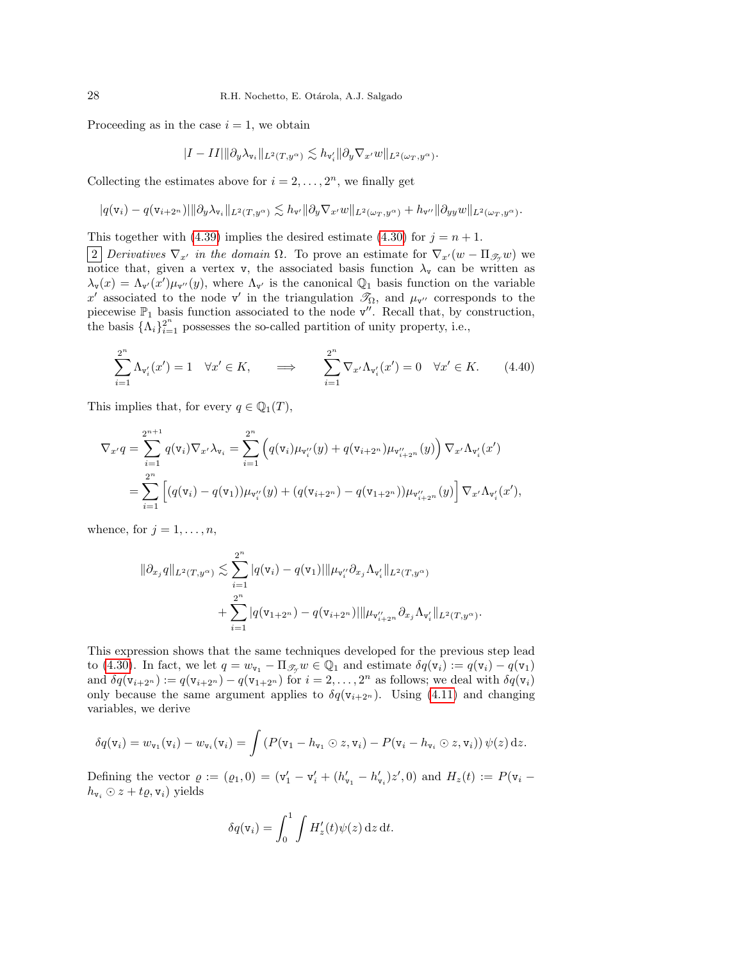Proceeding as in the case  $i = 1$ , we obtain

$$
|I-II|\|\partial_y\lambda_{\mathtt{v}_i}\|_{L^2(T,y^{\alpha})} \lesssim h_{\mathtt{v}'_i}\|\partial_y\nabla_{x'} w\|_{L^2(\omega_T,y^{\alpha})}.
$$

Collecting the estimates above for  $i = 2, \ldots, 2<sup>n</sup>$ , we finally get

$$
|q(\mathbf{v}_i)-q(\mathbf{v}_{i+2^n})|\|\partial_y\lambda_{\mathbf{v}_i}\|_{L^2(T,y^{\alpha})} \lesssim h_{\mathbf{v}'}\|\partial_y\nabla_{x'} w\|_{L^2(\omega_T,y^{\alpha})}+h_{\mathbf{v}''}\|\partial_{yy} w\|_{L^2(\omega_T,y^{\alpha})}.
$$

This together with [\(4.39\)](#page-26-1) implies the desired estimate [\(4.30\)](#page-24-1) for  $j = n + 1$ .

2 Derivatives  $\nabla_{x'}$  in the domain  $\Omega$ . To prove an estimate for  $\nabla_{x'}(w - \Pi_{\mathscr{T},v}(w))$  we notice that, given a vertex v, the associated basis function  $\lambda_{\mathbf{v}}$  can be written as  $\lambda_{\mathbf{v}}(x) = \Lambda_{\mathbf{v}'}(x') \mu_{\mathbf{v}''}(y)$ , where  $\Lambda_{\mathbf{v}'}$  is the canonical  $\mathbb{Q}_1$  basis function on the variable x' associated to the node v' in the triangulation  $\mathcal{T}_{\Omega}$ , and  $\mu_{\mathbf{v}''}$  corresponds to the piecewise  $\mathbb{P}_1$  basis function associated to the node  $v''$ . Recall that, by construction, the basis  $\{\Lambda_i\}_{i=1}^{2^n}$  possesses the so-called partition of unity property, i.e.,

<span id="page-27-0"></span>
$$
\sum_{i=1}^{2^n} \Lambda_{\mathbf{v}'_i}(x') = 1 \quad \forall x' \in K, \qquad \Longrightarrow \qquad \sum_{i=1}^{2^n} \nabla_{x'} \Lambda_{\mathbf{v}'_i}(x') = 0 \quad \forall x' \in K. \tag{4.40}
$$

This implies that, for every  $q \in \mathbb{Q}_1(T)$ ,

$$
\nabla_{x'}q = \sum_{i=1}^{2^{n+1}} q(\mathbf{v}_i) \nabla_{x'} \lambda_{\mathbf{v}_i} = \sum_{i=1}^{2^n} \left( q(\mathbf{v}_i) \mu_{\mathbf{v}'_i}(y) + q(\mathbf{v}_{i+2^n}) \mu_{\mathbf{v}''_{i+2^n}}(y) \right) \nabla_{x'} \Lambda_{\mathbf{v}'_i}(x')
$$
  
= 
$$
\sum_{i=1}^{2^n} \left[ (q(\mathbf{v}_i) - q(\mathbf{v}_1)) \mu_{\mathbf{v}''_i}(y) + (q(\mathbf{v}_{i+2^n}) - q(\mathbf{v}_{1+2^n})) \mu_{\mathbf{v}''_{i+2^n}}(y) \right] \nabla_{x'} \Lambda_{\mathbf{v}'_i}(x'),
$$

whence, for  $j = 1, \ldots, n$ ,

$$
\|\partial_{x_j}q\|_{L^2(T,y^{\alpha})}\lesssim \sum_{i=1}^{2^n}|q(\mathtt{v}_i)-q(\mathtt{v}_1)|\|\mu_{\mathtt{v}''_i}\partial_{x_j}\Lambda_{\mathtt{v}'_i}\|_{L^2(T,y^{\alpha})} +\sum_{i=1}^{2^n}|q(\mathtt{v}_{1+2^n})-q(\mathtt{v}_{i+2^n})|\|\mu_{\mathtt{v}''_{i+2^n}}\partial_{x_j}\Lambda_{\mathtt{v}'_i}\|_{L^2(T,y^{\alpha})}.
$$

This expression shows that the same techniques developed for the previous step lead to [\(4.30\)](#page-24-1). In fact, we let  $q = w_{\nu_1} - \Pi_{\mathscr{T}_{\gamma}} w \in \mathbb{Q}_1$  and estimate  $\delta q(\nu_i) := q(\nu_i) - q(\nu_1)$ and  $\delta q(\mathbf{v}_{i+2^n}) := q(\mathbf{v}_{i+2^n}) - q(\mathbf{v}_{1+2^n})$  for  $i = 2, ..., 2^n$  as follows; we deal with  $\delta q(\mathbf{v}_i)$ only because the same argument applies to  $\delta q(\mathbf{v}_{i+2^n})$ . Using [\(4.11\)](#page-20-2) and changing variables, we derive

$$
\delta q(\mathbf{v}_i) = w_{\mathbf{v}_1}(\mathbf{v}_i) - w_{\mathbf{v}_i}(\mathbf{v}_i) = \int \left( P(\mathbf{v}_1 - h_{\mathbf{v}_1} \odot z, \mathbf{v}_i) - P(\mathbf{v}_i - h_{\mathbf{v}_i} \odot z, \mathbf{v}_i) \right) \psi(z) dz.
$$

Defining the vector  $\rho := (\rho_1, 0) = (\mathbf{v}'_1 - \mathbf{v}'_i + (h'_{\mathbf{v}_1} - h'_{\mathbf{v}_i})z', 0)$  and  $H_z(t) := P(\mathbf{v}_i$  $h_{\mathbf{v}_i} \odot z + t\varrho, \mathbf{v}_i)$  yields

$$
\delta q(\mathbf{v}_i) = \int_0^1 \int H'_z(t) \psi(z) \, \mathrm{d}z \, \mathrm{d}t.
$$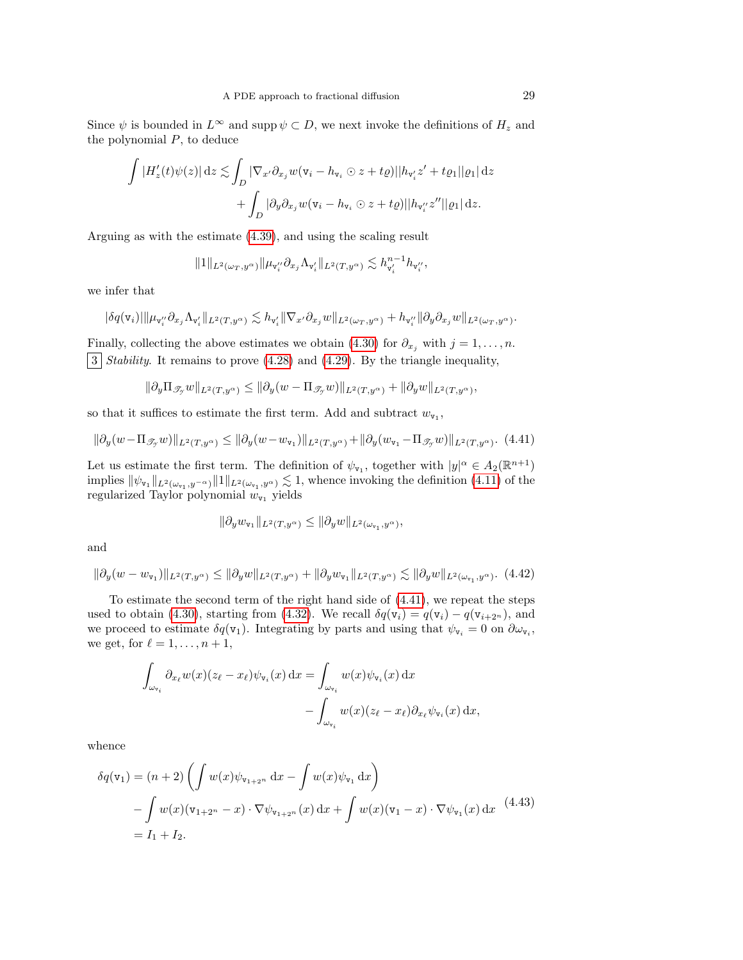Since  $\psi$  is bounded in  $L^{\infty}$  and supp  $\psi \subset D$ , we next invoke the definitions of  $H_z$  and the polynomial  $P$ , to deduce

$$
\int |H'_z(t)\psi(z)| dz \lesssim \int_D |\nabla_{x'} \partial_{x_j} w(\mathbf{v}_i - h_{\mathbf{v}_i} \odot z + t\varrho)| |h_{\mathbf{v}'_i} z' + t\varrho_1||\varrho_1| dz + \int_D |\partial_y \partial_{x_j} w(\mathbf{v}_i - h_{\mathbf{v}_i} \odot z + t\varrho)| |h_{\mathbf{v}''_i} z''| |\varrho_1| dz.
$$

Arguing as with the estimate [\(4.39\)](#page-26-1), and using the scaling result

$$
||1||_{L^2(\omega_T,y^\alpha)}||\mu_{\mathtt{v}''_i}\partial_{x_j}\Lambda_{\mathtt{v}'_i}||_{L^2(T,y^\alpha)}\lesssim h_{\mathtt{v}'_i}^{n-1}h_{\mathtt{v}''_i},
$$

we infer that

$$
|\delta q(\mathbf{v}_i)| \|\mu_{\mathbf{v}_i''}\partial_{x_j}\Lambda_{\mathbf{v}_i'}\|_{L^2(T,y^\alpha)} \lesssim h_{\mathbf{v}_i'}\|\nabla_{x'}\partial_{x_j}w\|_{L^2(\omega_T,y^\alpha)} + h_{\mathbf{v}_i''}\|\partial_y\partial_{x_j}w\|_{L^2(\omega_T,y^\alpha)}.
$$

Finally, collecting the above estimates we obtain [\(4.30\)](#page-24-1) for  $\partial_{x_i}$  with  $j = 1, \ldots, n$ .  $\boxed{3}$  Stability. It remains to prove [\(4.28\)](#page-24-3) and [\(4.29\)](#page-24-4). By the triangle inequality,

$$
\|\partial_y\Pi_{\mathscr{T}_y}w\|_{L^2(T,y^\alpha)}\leq \|\partial_y(w-\Pi_{\mathscr{T}_y}w)\|_{L^2(T,y^\alpha)}+\|\partial_yw\|_{L^2(T,y^\alpha)},
$$

so that it suffices to estimate the first term. Add and subtract  $w_{\mathbf{v}_1}$ ,

<span id="page-28-0"></span>
$$
\|\partial_y(w - \Pi_{\mathscr{T}_{\mathcal{I}}} w)\|_{L^2(T, y^{\alpha})} \le \|\partial_y(w - w_{\mathbf{v}_1})\|_{L^2(T, y^{\alpha})} + \|\partial_y(w_{\mathbf{v}_1} - \Pi_{\mathscr{T}_{\mathcal{I}}} w)\|_{L^2(T, y^{\alpha})}.
$$
(4.41)

Let us estimate the first term. The definition of  $\psi_{\mathbf{v}_1}$ , together with  $|y|^{\alpha} \in A_2(\mathbb{R}^{n+1})$ implies  $\|\psi_{\mathbf{v}_1}\|_{L^2(\omega_{\mathbf{v}_1},y^{-\alpha})}\|1\|_{L^2(\omega_{\mathbf{v}_1},y^{\alpha})}\lesssim 1$ , whence invoking the definition [\(4.11\)](#page-20-2) of the regularized Taylor polynomial  $w_{\mathtt{v}_1}$  yields

$$
\|\partial_y w_{\mathbf{v}_1}\|_{L^2(T,y^{\alpha})} \le \|\partial_y w\|_{L^2(\omega_{\mathbf{v}_1},y^{\alpha})},
$$

and

<span id="page-28-2"></span>
$$
\|\partial_y(w - w_{\mathbf{v}_1})\|_{L^2(T, y^{\alpha})} \le \|\partial_y w\|_{L^2(T, y^{\alpha})} + \|\partial_y w_{\mathbf{v}_1}\|_{L^2(T, y^{\alpha})} \lesssim \|\partial_y w\|_{L^2(\omega_{\mathbf{v}_1}, y^{\alpha})}.
$$
(4.42)

To estimate the second term of the right hand side of [\(4.41\)](#page-28-0), we repeat the steps used to obtain [\(4.30\)](#page-24-1), starting from [\(4.32\)](#page-25-0). We recall  $\delta q(\mathbf{v}_i) = q(\mathbf{v}_i) - q(\mathbf{v}_{i+2^n})$ , and we proceed to estimate  $\delta q(\mathbf{v}_1)$ . Integrating by parts and using that  $\psi_{\mathbf{v}_i} = 0$  on  $\partial \omega_{\mathbf{v}_i}$ , we get, for  $\ell = 1, \ldots, n + 1$ ,

$$
\int_{\omega_{\mathbf{v}_i}} \partial_{x_\ell} w(x) (z_\ell - x_\ell) \psi_{\mathbf{v}_i}(x) dx = \int_{\omega_{\mathbf{v}_i}} w(x) \psi_{\mathbf{v}_i}(x) dx \n- \int_{\omega_{\mathbf{v}_i}} w(x) (z_\ell - x_\ell) \partial_{x_\ell} \psi_{\mathbf{v}_i}(x) dx,
$$

whence

<span id="page-28-1"></span>
$$
\delta q(\mathbf{v}_1) = (n+2) \left( \int w(x) \psi_{\mathbf{v}_{1+2^n}} \, dx - \int w(x) \psi_{\mathbf{v}_1} \, dx \right)
$$
  
- 
$$
\int w(x) (\mathbf{v}_{1+2^n} - x) \cdot \nabla \psi_{\mathbf{v}_{1+2^n}}(x) \, dx + \int w(x) (\mathbf{v}_1 - x) \cdot \nabla \psi_{\mathbf{v}_1}(x) \, dx \right.
$$
  
=  $I_1 + I_2.$  (4.43)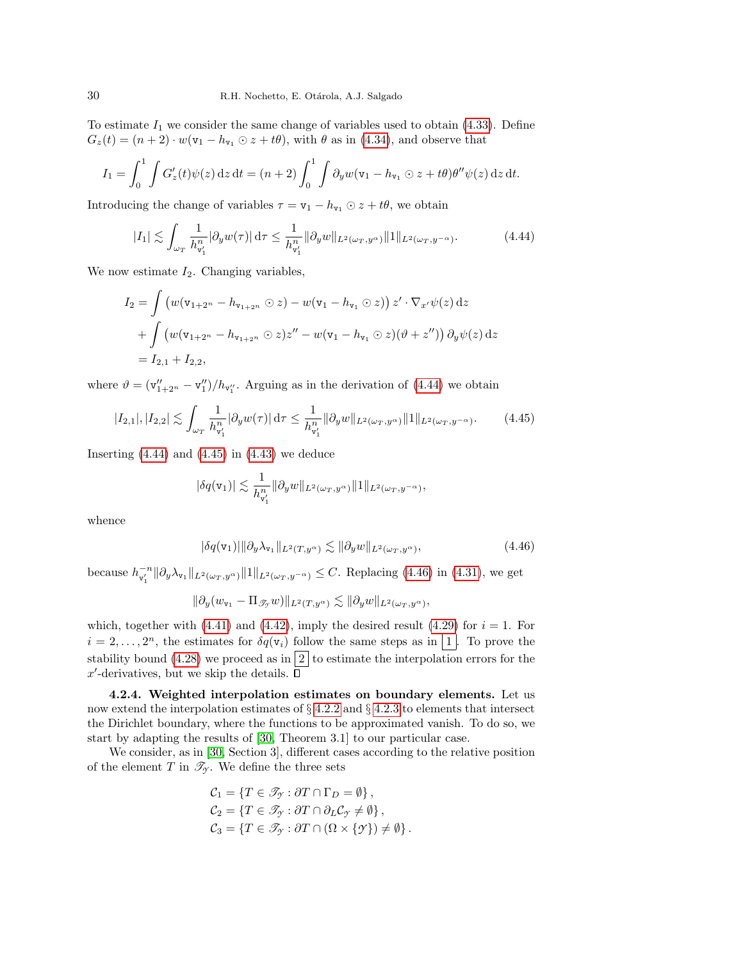To estimate  $I_1$  we consider the same change of variables used to obtain [\(4.33\)](#page-25-2). Define  $G_z(t) = (n+2) \cdot w(v_1 - h_{v_1} \odot z + t\theta)$ , with  $\theta$  as in [\(4.34\)](#page-25-3), and observe that

$$
I_1 = \int_0^1 \int G'_z(t) \psi(z) dz dt = (n+2) \int_0^1 \int \partial_y w(\mathbf{v}_1 - h_{\mathbf{v}_1} \odot z + t\theta) \theta'' \psi(z) dz dt.
$$

Introducing the change of variables  $\tau = \mathbf{v}_1 - h_{\mathbf{v}_1} \odot z + t\theta$ , we obtain

<span id="page-29-1"></span>
$$
|I_1| \lesssim \int_{\omega_T} \frac{1}{h_{\mathbf{v}_1'}^n} |\partial_y w(\tau)| d\tau \le \frac{1}{h_{\mathbf{v}_1'}^n} \|\partial_y w\|_{L^2(\omega_T, y^\alpha)} \|1\|_{L^2(\omega_T, y^{-\alpha})}.
$$
 (4.44)

We now estimate  $I_2$ . Changing variables,

$$
I_2 = \int \left( w(\mathbf{v}_{1+2^n} - h_{\mathbf{v}_{1+2^n}} \odot z) - w(\mathbf{v}_1 - h_{\mathbf{v}_1} \odot z) \right) z' \cdot \nabla_{x'} \psi(z) dz
$$
  
+ 
$$
\int \left( w(\mathbf{v}_{1+2^n} - h_{\mathbf{v}_{1+2^n}} \odot z) z'' - w(\mathbf{v}_1 - h_{\mathbf{v}_1} \odot z) (\vartheta + z'') \right) \partial_y \psi(z) dz
$$
  
=  $I_{2,1} + I_{2,2}$ ,

where  $\vartheta = (\mathbf{v}_{1+2^n}'' - \mathbf{v}_1'')/h_{\mathbf{v}_1''}$ . Arguing as in the derivation of [\(4.44\)](#page-29-1) we obtain

$$
|I_{2,1}|,|I_{2,2}| \lesssim \int_{\omega_T} \frac{1}{h_{\mathsf{v}_1'}^n} |\partial_y w(\tau)| \,d\tau \le \frac{1}{h_{\mathsf{v}_1'}^n} \|\partial_y w\|_{L^2(\omega_T, y^\alpha)} \|1\|_{L^2(\omega_T, y^{-\alpha})}.\tag{4.45}
$$

Inserting  $(4.44)$  and  $(4.45)$  in  $(4.43)$  we deduce

<span id="page-29-2"></span>
$$
|\delta q(\mathbf{v}_1)| \lesssim \frac{1}{h_{\mathbf{v}_1'}^n} \|\partial_y w\|_{L^2(\omega_T, y^{\alpha})} \|1\|_{L^2(\omega_T, y^{-\alpha})},
$$

whence

<span id="page-29-3"></span>
$$
|\delta q(\mathbf{v}_1)|||\partial_y \lambda_{\mathbf{v}_1}||_{L^2(T, y^{\alpha})} \lesssim ||\partial_y w||_{L^2(\omega_T, y^{\alpha})},\tag{4.46}
$$

because  $h_{\mathbf{v}_1'}^{-n} \|\partial_y \lambda_{\mathbf{v}_1}\|_{L^2(\omega_T, y^\alpha)} \|1\|_{L^2(\omega_T, y^{-\alpha})} \leq C$ . Replacing [\(4.46\)](#page-29-3) in [\(4.31\)](#page-24-2), we get

$$
\|\partial_y (w_{\mathtt{v}_1} - \Pi_{\mathscr{T}_{\mathcal{T}}} w)\|_{L^2(T,y^{\alpha})} \lesssim \|\partial_y w\|_{L^2(\omega_T,y^{\alpha})},
$$

which, together with [\(4.41\)](#page-28-0) and [\(4.42\)](#page-28-2), imply the desired result [\(4.29\)](#page-24-4) for  $i = 1$ . For  $i = 2, \ldots, 2<sup>n</sup>$ , the estimates for  $\delta q(\mathsf{v}_i)$  follow the same steps as in  $\lfloor 1 \rfloor$ . To prove the stability bound [\(4.28\)](#page-24-3) we proceed as in  $\boxed{2}$  to estimate the interpolation errors for the  $x'$ -derivatives, but we skip the details.

<span id="page-29-0"></span>4.2.4. Weighted interpolation estimates on boundary elements. Let us now extend the interpolation estimates of  $\S 4.2.2$  $\S 4.2.2$  and  $\S 4.2.3$  $\S 4.2.3$  to elements that intersect the Dirichlet boundary, where the functions to be approximated vanish. To do so, we start by adapting the results of [\[30,](#page-44-15) Theorem 3.1] to our particular case.

We consider, as in [\[30,](#page-44-15) Section 3], different cases according to the relative position of the element T in  $\mathcal{T}_{\gamma}$ . We define the three sets

$$
C_1 = \{ T \in \mathcal{I}_\mathcal{Y} : \partial T \cap \Gamma_D = \emptyset \},
$$
  
\n
$$
C_2 = \{ T \in \mathcal{I}_\mathcal{Y} : \partial T \cap \partial_L C_\mathcal{Y} \neq \emptyset \},
$$
  
\n
$$
C_3 = \{ T \in \mathcal{I}_\mathcal{Y} : \partial T \cap (\Omega \times \{ \mathcal{Y} \}) \neq \emptyset \}.
$$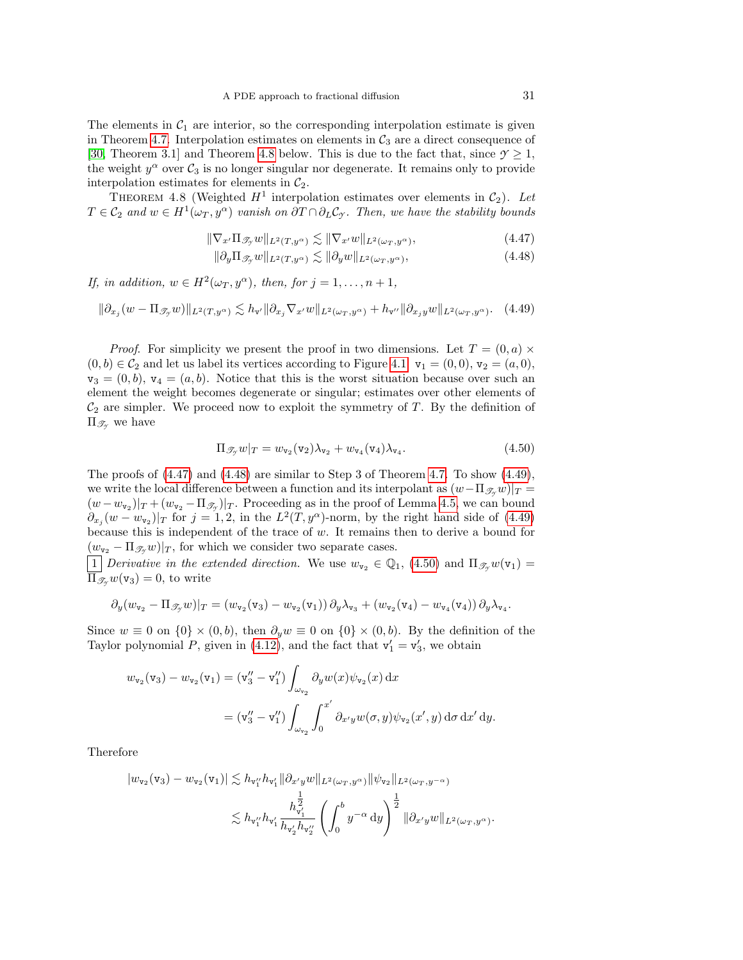The elements in  $C_1$  are interior, so the corresponding interpolation estimate is given in Theorem [4.7.](#page-24-6) Interpolation estimates on elements in  $\mathcal{C}_3$  are a direct consequence of [\[30,](#page-44-15) Theorem 3.1] and Theorem [4.8](#page-30-0) below. This is due to the fact that, since  $\mathcal{Y} \geq 1$ , the weight  $y^{\alpha}$  over  $C_3$  is no longer singular nor degenerate. It remains only to provide interpolation estimates for elements in  $C_2$ .

<span id="page-30-0"></span>THEOREM 4.8 (Weighted  $H^1$  interpolation estimates over elements in  $C_2$ ). Let  $T \in \mathcal{C}_2$  and  $w \in H^1(\omega_T, y^{\alpha})$  vanish on  $\partial T \cap \partial_L \mathcal{C}_{\mathcal{I}}$ . Then, we have the stability bounds

$$
\|\nabla_{x'}\Pi_{\mathscr{T}_{\mathcal{I}}}w\|_{L^{2}(T,y^{\alpha})} \lesssim \|\nabla_{x'}w\|_{L^{2}(\omega_{T},y^{\alpha})},\tag{4.47}
$$

<span id="page-30-2"></span><span id="page-30-1"></span>
$$
\|\partial_y \Pi_{\mathscr{T}_y} w\|_{L^2(T, y^{\alpha})} \lesssim \|\partial_y w\|_{L^2(\omega_T, y^{\alpha})},\tag{4.48}
$$

If, in addition,  $w \in H^2(\omega_T, y^{\alpha})$ , then, for  $j = 1, ..., n + 1$ ,

<span id="page-30-3"></span> $\|\partial_{x_j}(w-\Pi_{\mathscr{T}_{\mathcal{T}}}w)\|_{L^2(T,y^{\alpha})}\lesssim h_{\mathbf{v}'}\|\partial_{x_j}\nabla_{x'}w\|_{L^2(\omega_T,y^{\alpha})}+h_{\mathbf{v}''}\|\partial_{x_j}w\|_{L^2(\omega_T,y^{\alpha})}.$  (4.49)

*Proof.* For simplicity we present the proof in two dimensions. Let  $T = (0, a) \times$  $(0, b) \in C_2$  and let us label its vertices according to Figure [4.1:](#page-24-0)  $\mathbf{v}_1 = (0, 0), \mathbf{v}_2 = (a, 0),$  $v_3 = (0, b), v_4 = (a, b)$ . Notice that this is the worst situation because over such an element the weight becomes degenerate or singular; estimates over other elements of  $C_2$  are simpler. We proceed now to exploit the symmetry of T. By the definition of  $\Pi_{\mathscr{T}_{\gamma}}$  we have

<span id="page-30-4"></span>
$$
\Pi_{\mathcal{I}_{\mathcal{I}}} w|_{T} = w_{\mathtt{v}_{2}}(\mathtt{v}_{2})\lambda_{\mathtt{v}_{2}} + w_{\mathtt{v}_{4}}(\mathtt{v}_{4})\lambda_{\mathtt{v}_{4}}.\tag{4.50}
$$

The proofs of [\(4.47\)](#page-30-1) and [\(4.48\)](#page-30-2) are similar to Step 3 of Theorem [4.7.](#page-24-6) To show [\(4.49\)](#page-30-3), we write the local difference between a function and its interpolant as  $(w-\Pi_{\mathscr{F}_v} w)|_T =$  $(w - w_{\nu_2})|_T + (w_{\nu_2} - \Pi_{\mathscr{T}_{\mathcal{T}}})|_T$ . Proceeding as in the proof of Lemma [4.5,](#page-22-4) we can bound  $\partial_{x_j}(w - w_{\nu_2})|_T$  for  $j = 1, 2$ , in the  $L^2(T, y^{\alpha})$ -norm, by the right hand side of [\(4.49\)](#page-30-3) because this is independent of the trace of w. It remains then to derive a bound for  $(w_{\mathbf{v}_2} - \Pi_{\mathscr{T},w})|_T$ , for which we consider two separate cases.

1 Derivative in the extended direction. We use  $w_{\nu_2} \in \mathbb{Q}_1$ , [\(4.50\)](#page-30-4) and  $\Pi_{\mathscr{T}_{\mathcal{Y}}}w(\nu_1) =$  $\Pi_{\mathscr{T}_{\alpha}}w(\mathsf{v}_3)=0$ , to write

$$
\partial_y(w_{\mathtt{v}_2} - \Pi_{\mathscr{T}_y}w)|_T = (w_{\mathtt{v}_2}(\mathtt{v}_3) - w_{\mathtt{v}_2}(\mathtt{v}_1))\partial_y\lambda_{\mathtt{v}_3} + (w_{\mathtt{v}_2}(\mathtt{v}_4) - w_{\mathtt{v}_4}(\mathtt{v}_4))\partial_y\lambda_{\mathtt{v}_4}.
$$

Since  $w \equiv 0$  on  $\{0\} \times (0, b)$ , then  $\partial_y w \equiv 0$  on  $\{0\} \times (0, b)$ . By the definition of the Taylor polynomial P, given in [\(4.12\)](#page-20-3), and the fact that  $v'_1 = v'_3$ , we obtain

$$
w_{\mathbf{v}_2}(\mathbf{v}_3) - w_{\mathbf{v}_2}(\mathbf{v}_1) = (\mathbf{v}_3'' - \mathbf{v}_1'') \int_{\omega_{\mathbf{v}_2}} \partial_y w(x) \psi_{\mathbf{v}_2}(x) dx
$$
  
=  $(\mathbf{v}_3'' - \mathbf{v}_1'') \int_{\omega_{\mathbf{v}_2}} \int_0^{x'} \partial_{x'y} w(\sigma, y) \psi_{\mathbf{v}_2}(x', y) d\sigma dx' dy.$ 

Therefore

$$
|w_{\mathbf{v}_2}(\mathbf{v}_3) - w_{\mathbf{v}_2}(\mathbf{v}_1)| \lesssim h_{\mathbf{v}_1'} h_{\mathbf{v}_1'} \|\partial_{x'y} w\|_{L^2(\omega_T, y^{\alpha})} \|\psi_{\mathbf{v}_2}\|_{L^2(\omega_T, y^{-\alpha})}
$$
  

$$
\lesssim h_{\mathbf{v}_1'} h_{\mathbf{v}_1'} \frac{h_{\mathbf{v}_1'}^{\frac{1}{2}}}{h_{\mathbf{v}_2'} h_{\mathbf{v}_2'}} \left(\int_0^b y^{-\alpha} dy\right)^{\frac{1}{2}} \|\partial_{x'y} w\|_{L^2(\omega_T, y^{\alpha})}.
$$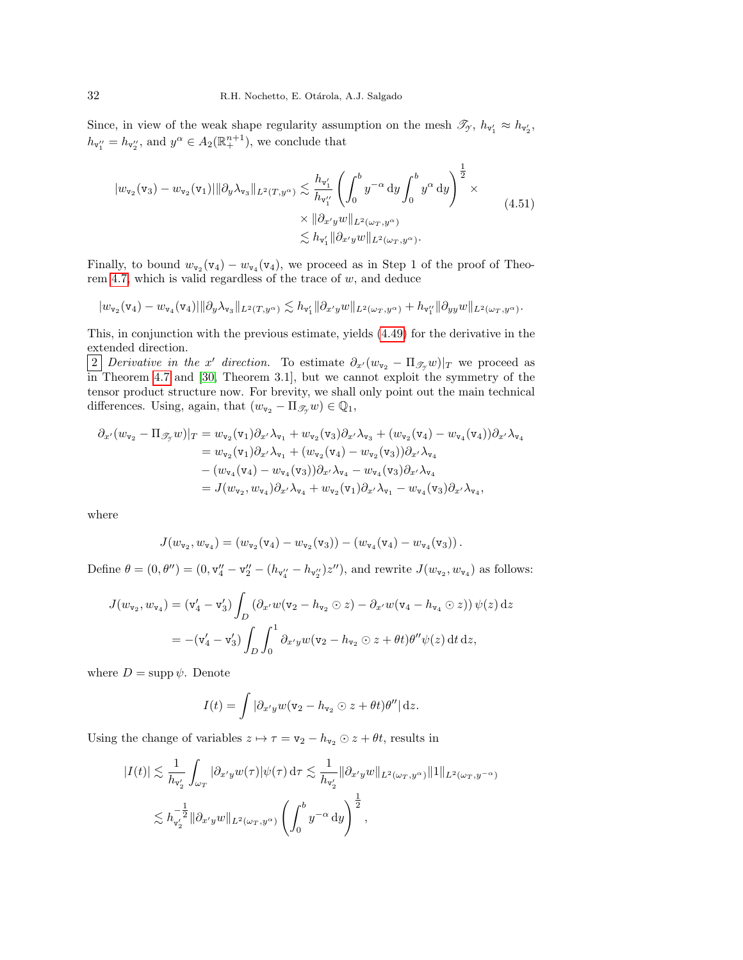Since, in view of the weak shape regularity assumption on the mesh  $\mathcal{I}_{\gamma}$ ,  $h_{\mathbf{v}'_1} \approx h_{\mathbf{v}'_2}$ ,  $h_{\mathsf{v}_1''}=h_{\mathsf{v}_2''}$ , and  $y^{\alpha} \in A_2(\mathbb{R}^{n+1}_+)$ , we conclude that

$$
\|w_{\mathbf{v}_2}(\mathbf{v}_3) - w_{\mathbf{v}_2}(\mathbf{v}_1)\| \partial_y \lambda_{\mathbf{v}_3} \|_{L^2(T, y^{\alpha})} \lesssim \frac{h_{\mathbf{v}_1'}}{h_{\mathbf{v}_1''}} \left( \int_0^b y^{-\alpha} \, dy \int_0^b y^{\alpha} \, dy \right)^{\frac{1}{2}} \times \times \| \partial_{x'y} w \|_{L^2(\omega_T, y^{\alpha})} \lesssim h_{\mathbf{v}_1'} \| \partial_{x'y} w \|_{L^2(\omega_T, y^{\alpha})}.
$$
\n(4.51)

Finally, to bound  $w_{\mathbf{v}_2}(\mathbf{v}_4) - w_{\mathbf{v}_4}(\mathbf{v}_4)$ , we proceed as in Step 1 of the proof of Theo-rem [4.7,](#page-24-6) which is valid regardless of the trace of  $w$ , and deduce

$$
|w_{\mathtt{v}_2}(\mathtt{v}_4)-w_{\mathtt{v}_4}(\mathtt{v}_4)||\partial_y\lambda_{\mathtt{v}_3}\|_{L^2(T,y^\alpha)}\lesssim h_{\mathtt{v}_1'}\|\partial_{x'} y w\|_{L^2(\omega_T,y^\alpha)}+h_{\mathtt{v}_1''}\|\partial_{yy} w\|_{L^2(\omega_T,y^\alpha)}.
$$

This, in conjunction with the previous estimate, yields [\(4.49\)](#page-30-3) for the derivative in the extended direction.

2 Derivative in the x' direction. To estimate  $\partial_{x'}(w_{\mathbf{v}_2} - \Pi_{\mathcal{F}_y}w)|_T$  we proceed as in Theorem [4.7](#page-24-6) and [\[30,](#page-44-15) Theorem 3.1], but we cannot exploit the symmetry of the tensor product structure now. For brevity, we shall only point out the main technical differences. Using, again, that  $(w_{\mathtt{v}_2} - \Pi_{\mathscr{T}_{\gamma}} w) \in \mathbb{Q}_1$ ,

$$
\partial_{x'}(w_{\mathbf{v}_2} - \Pi_{\mathscr{T}_{\mathcal{T}}}w)|_T = w_{\mathbf{v}_2}(\mathbf{v}_1)\partial_{x'}\lambda_{\mathbf{v}_1} + w_{\mathbf{v}_2}(\mathbf{v}_3)\partial_{x'}\lambda_{\mathbf{v}_3} + (w_{\mathbf{v}_2}(\mathbf{v}_4) - w_{\mathbf{v}_4}(\mathbf{v}_4))\partial_{x'}\lambda_{\mathbf{v}_4}
$$
  
\n
$$
= w_{\mathbf{v}_2}(\mathbf{v}_1)\partial_{x'}\lambda_{\mathbf{v}_1} + (w_{\mathbf{v}_2}(\mathbf{v}_4) - w_{\mathbf{v}_2}(\mathbf{v}_3))\partial_{x'}\lambda_{\mathbf{v}_4}
$$
  
\n
$$
- (w_{\mathbf{v}_4}(\mathbf{v}_4) - w_{\mathbf{v}_4}(\mathbf{v}_3))\partial_{x'}\lambda_{\mathbf{v}_4} - w_{\mathbf{v}_4}(\mathbf{v}_3)\partial_{x'}\lambda_{\mathbf{v}_4}
$$
  
\n
$$
= J(w_{\mathbf{v}_2}, w_{\mathbf{v}_4})\partial_{x'}\lambda_{\mathbf{v}_4} + w_{\mathbf{v}_2}(\mathbf{v}_1)\partial_{x'}\lambda_{\mathbf{v}_1} - w_{\mathbf{v}_4}(\mathbf{v}_3)\partial_{x'}\lambda_{\mathbf{v}_4},
$$

where

$$
J(w_{\mathtt{v}_2}, w_{\mathtt{v}_4}) = (w_{\mathtt{v}_2}(\mathtt{v}_4) - w_{\mathtt{v}_2}(\mathtt{v}_3)) - (w_{\mathtt{v}_4}(\mathtt{v}_4) - w_{\mathtt{v}_4}(\mathtt{v}_3)).
$$

Define  $\theta = (0, \theta'') = (0, v''_4 - v''_2 - (h_{v''_4} - h_{v''_2})z'')$ , and rewrite  $J(w_{v_2}, w_{v_4})$  as follows:

$$
J(w_{\mathbf{v}_2}, w_{\mathbf{v}_4}) = (\mathbf{v}'_4 - \mathbf{v}'_3) \int_D (\partial_{x'} w(\mathbf{v}_2 - h_{\mathbf{v}_2} \odot z) - \partial_{x'} w(\mathbf{v}_4 - h_{\mathbf{v}_4} \odot z)) \psi(z) dz
$$
  
= 
$$
-(\mathbf{v}'_4 - \mathbf{v}'_3) \int_D \int_0^1 \partial_{x'} y w(\mathbf{v}_2 - h_{\mathbf{v}_2} \odot z + \theta t) \theta'' \psi(z) dt dz,
$$

where  $D = \text{supp }\psi$ . Denote

$$
I(t) = \int |\partial_{x'y} w(\mathbf{v}_2 - h_{\mathbf{v}_2} \odot z + \theta t) \theta''| \, \mathrm{d}z.
$$

Using the change of variables  $z \mapsto \tau = \mathbf{v}_2 - h_{\mathbf{v}_2} \odot z + \theta t$ , results in

$$
\begin{split} |I(t)| &\lesssim \frac{1}{h_{\mathbf{v}_2'}} \int_{\omega_T} |\partial_{x'y} w(\tau)| \psi(\tau) \,\mathrm{d}\tau \lesssim \frac{1}{h_{\mathbf{v}_2'}} \|\partial_{x'y} w\|_{L^2(\omega_T, y^\alpha)} \|1\|_{L^2(\omega_T, y^{-\alpha})} \\ &\lesssim h_{\mathbf{v}_2'}^{-\frac{1}{2}} \|\partial_{x'y} w\|_{L^2(\omega_T, y^\alpha)} \left(\int_0^b y^{-\alpha} \,\mathrm{d}y\right)^{\frac{1}{2}}, \end{split}
$$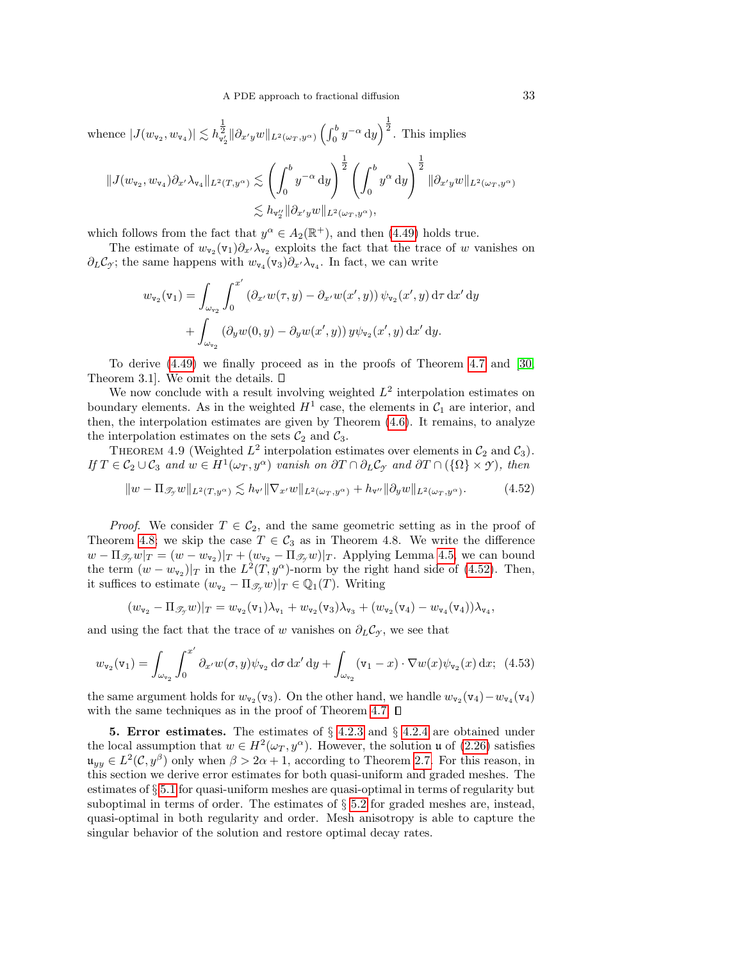whence 
$$
|J(w_{\mathbf{v}_2}, w_{\mathbf{v}_4})| \lesssim h_{\mathbf{v}_2}^{\frac{1}{2}} \|\partial_{x'y} w\|_{L^2(\omega_T, y^{\alpha})} \left(\int_0^b y^{-\alpha} dy\right)^{\frac{1}{2}}
$$
. This implies  
\n
$$
||J(w_{\mathbf{v}_2}, w_{\mathbf{v}_4}) \partial_{x'} \lambda_{\mathbf{v}_4} ||_{L^2(T, y^{\alpha})} \lesssim \left(\int_0^b y^{-\alpha} dy\right)^{\frac{1}{2}} \left(\int_0^b y^{\alpha} dy\right)^{\frac{1}{2}} ||\partial_{x'y} w||_{L^2(\omega_T, y^{\alpha})}
$$
\n
$$
\lesssim h_{\mathbf{v}_2} ||\partial_{x'y} w||_{L^2(\omega_T, y^{\alpha})},
$$

which follows from the fact that  $y^{\alpha} \in A_2(\mathbb{R}^+)$ , and then [\(4.49\)](#page-30-3) holds true.

The estimate of  $w_{\mathbf{v}_2}(\mathbf{v}_1)\partial_{x'}\lambda_{\mathbf{v}_2}$  exploits the fact that the trace of w vanishes on  $\partial_L C_\gamma$ ; the same happens with  $w_{\nu_4}(\nu_3)\partial_{x'}\lambda_{\nu_4}$ . In fact, we can write

$$
w_{\mathbf{v}_2}(\mathbf{v}_1) = \int_{\omega_{\mathbf{v}_2}} \int_0^{x'} \left( \partial_{x'} w(\tau, y) - \partial_{x'} w(x', y) \right) \psi_{\mathbf{v}_2}(x', y) d\tau d x' dy
$$

$$
+ \int_{\omega_{\mathbf{v}_2}} \left( \partial_y w(0, y) - \partial_y w(x', y) \right) y \psi_{\mathbf{v}_2}(x', y) d x' dy.
$$

To derive [\(4.49\)](#page-30-3) we finally proceed as in the proofs of Theorem [4.7](#page-24-6) and [\[30,](#page-44-15) Theorem 3.1. We omit the details.  $\square$ 

We now conclude with a result involving weighted  $L^2$  interpolation estimates on boundary elements. As in the weighted  $H^1$  case, the elements in  $C_1$  are interior, and then, the interpolation estimates are given by Theorem [\(4.6\)](#page-23-5). It remains, to analyze the interpolation estimates on the sets  $C_2$  and  $C_3$ .

THEOREM 4.9 (Weighted  $L^2$  interpolation estimates over elements in  $C_2$  and  $C_3$ ). If  $T \in C_2 \cup C_3$  and  $w \in H^1(\omega_T, y^\alpha)$  vanish on  $\partial T \cap \partial_L C_\gamma$  and  $\partial T \cap (\{\Omega\} \times \gamma)$ , then

<span id="page-32-1"></span>
$$
||w - \Pi_{\mathscr{T}_{\mathcal{I}}} w||_{L^2(T, y^{\alpha})} \lesssim h_{\mathbf{v}'} ||\nabla_{x'} w||_{L^2(\omega_T, y^{\alpha})} + h_{\mathbf{v}''} ||\partial_y w||_{L^2(\omega_T, y^{\alpha})}.
$$
 (4.52)

*Proof.* We consider  $T \in C_2$ , and the same geometric setting as in the proof of Theorem [4.8;](#page-30-0) we skip the case  $T \in C_3$  as in Theorem 4.8. We write the difference  $w - \Pi_{\mathscr{T}_{\mathcal{F}}} w|_T = (w - w_{\mathbf{v}_2})|_T + (w_{\mathbf{v}_2} - \Pi_{\mathscr{T}_{\mathcal{F}}} w)|_T$ . Applying Lemma [4.5,](#page-22-4) we can bound the term  $(w - w_{\nu_2})|_T$  in the  $L^2(T, y^{\alpha})$ -norm by the right hand side of [\(4.52\)](#page-32-1). Then, it suffices to estimate  $(w_{\mathbf{v}_2} - \Pi_{\mathscr{T}_{\gamma}} w)|_T \in \mathbb{Q}_1(T)$ . Writing

$$
(w_{\mathtt{v}_2} - \Pi_{\mathscr{T}_{\mathcal{Y}}} w)|_T = w_{\mathtt{v}_2}(\mathtt{v}_1)\lambda_{\mathtt{v}_1} + w_{\mathtt{v}_2}(\mathtt{v}_3)\lambda_{\mathtt{v}_3} + (w_{\mathtt{v}_2}(\mathtt{v}_4) - w_{\mathtt{v}_4}(\mathtt{v}_4))\lambda_{\mathtt{v}_4},
$$

and using the fact that the trace of w vanishes on  $\partial_L C_\gamma$ , we see that

$$
w_{\mathbf{v}_2}(\mathbf{v}_1) = \int_{\omega_{\mathbf{v}_2}} \int_0^{x'} \partial_{x'} w(\sigma, y) \psi_{\mathbf{v}_2} \, d\sigma \, dx' \, dy + \int_{\omega_{\mathbf{v}_2}} (\mathbf{v}_1 - x) \cdot \nabla w(x) \psi_{\mathbf{v}_2}(x) \, dx; \tag{4.53}
$$

the same argument holds for  $w_{v_2}(v_3)$ . On the other hand, we handle  $w_{v_2}(v_4) - w_{v_4}(v_4)$ with the same techniques as in the proof of Theorem [4.7.](#page-24-6)  $\square$ 

<span id="page-32-0"></span>5. Error estimates. The estimates of  $\S 4.2.3$  $\S 4.2.3$  and  $\S 4.2.4$  $\S 4.2.4$  are obtained under the local assumption that  $w \in H^2(\omega_T, y^\alpha)$ . However, the solution u of [\(2.26\)](#page-8-0) satisfies  $\mathfrak{u}_{yy} \in L^2(\mathcal{C}, y^\beta)$  only when  $\beta > 2\alpha + 1$ , according to Theorem [2.7.](#page-11-0) For this reason, in this section we derive error estimates for both quasi-uniform and graded meshes. The estimates of § [5.1](#page-33-0) for quasi-uniform meshes are quasi-optimal in terms of regularity but suboptimal in terms of order. The estimates of § [5.2](#page-34-0) for graded meshes are, instead, quasi-optimal in both regularity and order. Mesh anisotropy is able to capture the singular behavior of the solution and restore optimal decay rates.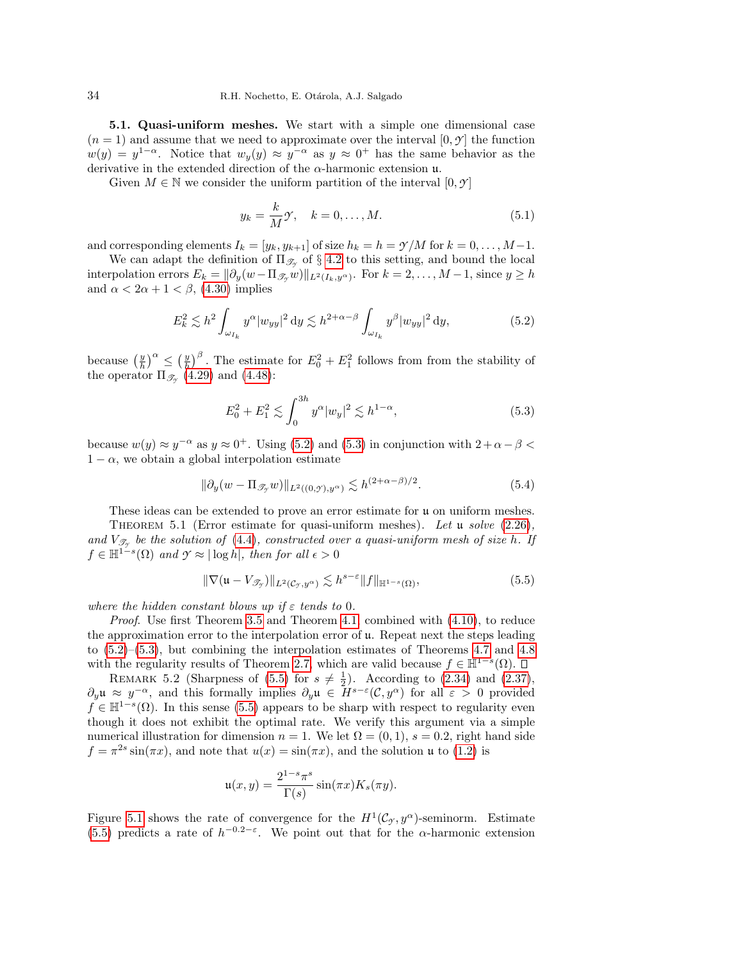<span id="page-33-0"></span>5.1. Quasi-uniform meshes. We start with a simple one dimensional case  $(n = 1)$  and assume that we need to approximate over the interval  $[0, \gamma]$  the function  $w(y) = y^{1-\alpha}$ . Notice that  $w_y(y) \approx y^{-\alpha}$  as  $y \approx 0^+$  has the same behavior as the derivative in the extended direction of the  $\alpha$ -harmonic extension u.

Given  $M \in \mathbb{N}$  we consider the uniform partition of the interval  $[0, \mathcal{Y}]$ 

$$
y_k = \frac{k}{M}\mathcal{Y}, \quad k = 0, \dots, M. \tag{5.1}
$$

and corresponding elements  $I_k = [y_k, y_{k+1}]$  of size  $h_k = h = \gamma/M$  for  $k = 0, \ldots, M-1$ .

We can adapt the definition of  $\Pi_{\mathscr{T}_{\gamma}}$  of § [4.2](#page-19-0) to this setting, and bound the local interpolation errors  $E_k = ||\partial_y(w - \Pi_{\mathscr{T}_y} w)||_{L^2(I_k, y^{\alpha})}$ . For  $k = 2, ..., M-1$ , since  $y \geq h$ and  $\alpha < 2\alpha + 1 < \beta$ , [\(4.30\)](#page-24-1) implies

<span id="page-33-1"></span>
$$
E_k^2 \lesssim h^2 \int_{\omega_{I_k}} y^{\alpha} |w_{yy}|^2 \, \mathrm{d}y \lesssim h^{2+\alpha-\beta} \int_{\omega_{I_k}} y^{\beta} |w_{yy}|^2 \, \mathrm{d}y,\tag{5.2}
$$

because  $\left(\frac{y}{h}\right)^{\alpha} \leq \left(\frac{y}{h}\right)^{\beta}$ . The estimate for  $E_0^2 + E_1^2$  follows from from the stability of the operator  $\Pi_{\mathscr{T}_{\gamma}}(4.29)$  $\Pi_{\mathscr{T}_{\gamma}}(4.29)$  and  $(4.48)$ :

<span id="page-33-2"></span>
$$
E_0^2 + E_1^2 \lesssim \int_0^{3h} y^{\alpha} |w_y|^2 \lesssim h^{1-\alpha},\tag{5.3}
$$

because  $w(y) \approx y^{-\alpha}$  as  $y \approx 0^+$ . Using [\(5.2\)](#page-33-1) and [\(5.3\)](#page-33-2) in conjunction with  $2 + \alpha - \beta <$  $1 - \alpha$ , we obtain a global interpolation estimate

$$
\|\partial_y(w - \Pi_{\mathcal{I}_y} w)\|_{L^2((0,\mathcal{I}),y^{\alpha})} \lesssim h^{(2+\alpha-\beta)/2}.\tag{5.4}
$$

These ideas can be extended to prove an error estimate for u on uniform meshes.

THEOREM 5.1 (Error estimate for quasi-uniform meshes). Let  $\mu$  solve [\(2.26\)](#page-8-0), and  $V_{\mathscr{T}_{\mathscr{T}}}$  be the solution of [\(4.4\)](#page-18-0), constructed over a quasi-uniform mesh of size h. If  $f \in \mathbb{H}^{1-s}(\Omega)$  and  $\gamma \approx |\log h|$ , then for all  $\epsilon > 0$ 

<span id="page-33-3"></span>
$$
\|\nabla(\mathfrak{u}-V_{\mathscr{T}_{\mathcal{I}}})\|_{L^{2}(\mathcal{C}_{\mathcal{I}},y^{\alpha})}\lesssim h^{s-\varepsilon}\|f\|_{\mathbb{H}^{1-s}(\Omega)},\tag{5.5}
$$

where the hidden constant blows up if  $\varepsilon$  tends to 0.

Proof. Use first Theorem [3.5](#page-15-2) and Theorem [4.1,](#page-18-4) combined with  $(4.10)$ , to reduce the approximation error to the interpolation error of  $\mu$ . Repeat next the steps leading to  $(5.2)$ – $(5.3)$ , but combining the interpolation estimates of Theorems [4.7](#page-24-6) and [4.8](#page-30-0) with the regularity results of Theorem [2.7,](#page-11-0) which are valid because  $f \in \mathbb{H}^{1-s}(\Omega)$ .

REMARK 5.2 (Sharpness of  $(5.5)$  for  $s \neq \frac{1}{2}$ ). According to  $(2.34)$  and  $(2.37)$ ,  $\partial_y \mathfrak{u} \approx y^{-\alpha}$ , and this formally implies  $\partial_y \mathfrak{u} \in H^{s-\varepsilon}(\mathcal{C}, y^{\alpha})$  for all  $\varepsilon > 0$  provided  $f \in \mathbb{H}^{1-s}(\Omega)$ . In this sense [\(5.5\)](#page-33-3) appears to be sharp with respect to regularity even though it does not exhibit the optimal rate. We verify this argument via a simple numerical illustration for dimension  $n = 1$ . We let  $\Omega = (0, 1)$ ,  $s = 0.2$ , right hand side  $f = \pi^{2s} \sin(\pi x)$ , and note that  $u(x) = \sin(\pi x)$ , and the solution u to [\(1.2\)](#page-1-0) is

$$
\mathfrak{u}(x,y) = \frac{2^{1-s}\pi^s}{\Gamma(s)}\sin(\pi x)K_s(\pi y).
$$

Figure [5.1](#page-34-1) shows the rate of convergence for the  $H^1(\mathcal{C}_{\mathcal{I}}, y^{\alpha})$ -seminorm. Estimate [\(5.5\)](#page-33-3) predicts a rate of  $h^{-0.2-\epsilon}$ . We point out that for the  $\alpha$ -harmonic extension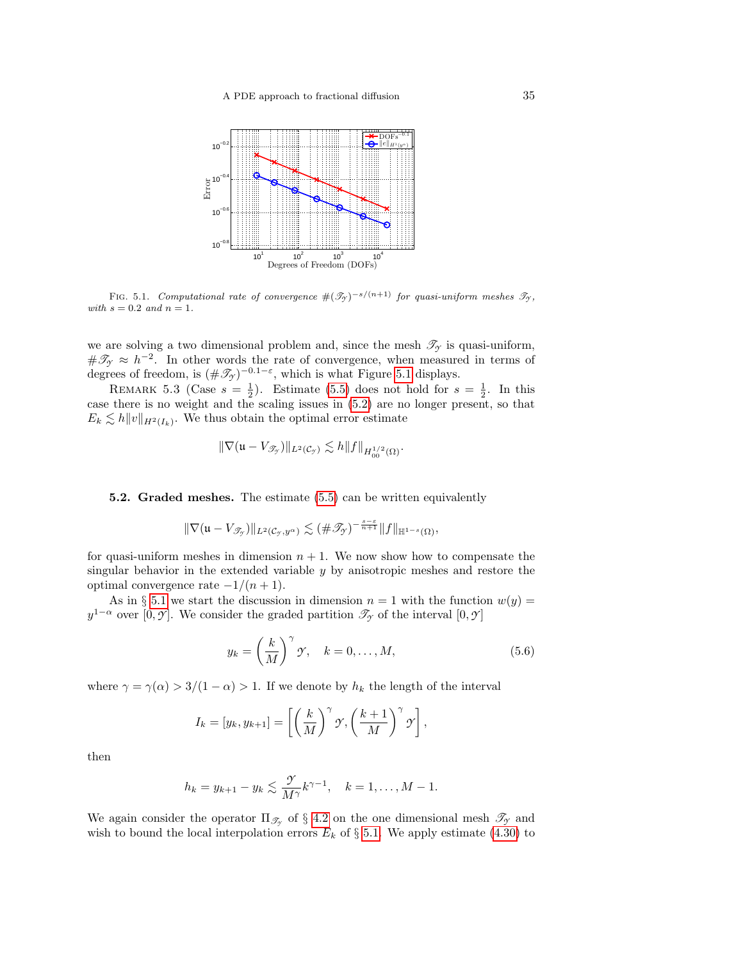

FIG. 5.1. Computational rate of convergence  $#(\mathcal{T}_{\gamma})^{-s/(n+1)}$  for quasi-uniform meshes  $\mathcal{T}_{\gamma}$ , with  $s = 0.2$  and  $n = 1$ .

we are solving a two dimensional problem and, since the mesh  $\mathcal{T}_{\gamma}$  is quasi-uniform,  $\#\mathscr{T}_{\gamma} \approx h^{-2}$ . In other words the rate of convergence, when measured in terms of degrees of freedom, is  $(\#\mathscr{T}_{\gamma})^{-0.1-\varepsilon}$ , which is what Figure [5.1](#page-34-1) displays.

<span id="page-34-1"></span>REMARK 5.3 (Case  $s = \frac{1}{2}$ ). Estimate [\(5.5\)](#page-33-3) does not hold for  $s = \frac{1}{2}$ . In this case there is no weight and the scaling issues in [\(5.2\)](#page-33-1) are no longer present, so that  $E_k \lesssim h||v||_{H^2(I_k)}$ . We thus obtain the optimal error estimate

$$
\|\nabla (\mathfrak{u}-V_{\mathscr{T}_{\mathcal{Y}}})\|_{L^2(\mathcal{C}_{\mathcal{Y}})} \lesssim h \|f\|_{H^{1/2}_{00}(\Omega)}.
$$

# <span id="page-34-0"></span>5.2. Graded meshes. The estimate [\(5.5\)](#page-33-3) can be written equivalently

$$
\|\nabla (\mathfrak{u}-V_{\mathscr{T}_{\mathcal{T}}})\|_{L^2(\mathcal{C}_{\mathcal{T}},y^{\alpha})}\lesssim (\#\mathscr{T}_{\mathcal{T}})^{-\frac{s-\varepsilon}{n+1}}\|f\|_{\mathbb{H}^{1-s}(\Omega)},
$$

for quasi-uniform meshes in dimension  $n + 1$ . We now show how to compensate the singular behavior in the extended variable  $y$  by anisotropic meshes and restore the optimal convergence rate  $-1/(n+1)$ .

As in § [5.1](#page-33-0) we start the discussion in dimension  $n = 1$  with the function  $w(y) =$  $y^{1-\alpha}$  over [0, *Y*]. We consider the graded partition  $\mathscr{T}_{\gamma}$  of the interval [0, *Y*]

<span id="page-34-2"></span>
$$
y_k = \left(\frac{k}{M}\right)^{\gamma} \mathcal{Y}, \quad k = 0, \dots, M,
$$
\n(5.6)

where  $\gamma = \gamma(\alpha) > 3/(1 - \alpha) > 1$ . If we denote by  $h_k$  the length of the interval

$$
I_k = [y_k, y_{k+1}] = \left[ \left( \frac{k}{M} \right)^{\gamma} \mathcal{Y}, \left( \frac{k+1}{M} \right)^{\gamma} \mathcal{Y} \right],
$$

then

$$
h_k = y_{k+1} - y_k \leq \frac{\gamma}{M^{\gamma}} k^{\gamma - 1}, \quad k = 1, ..., M - 1.
$$

We again consider the operator  $\Pi_{\mathscr{T}_{\gamma}}$  of § [4.2](#page-19-0) on the one dimensional mesh  $\mathscr{T}_{\gamma}$  and wish to bound the local interpolation errors  $E_k$  of  $\S 5.1$ . We apply estimate [\(4.30\)](#page-24-1) to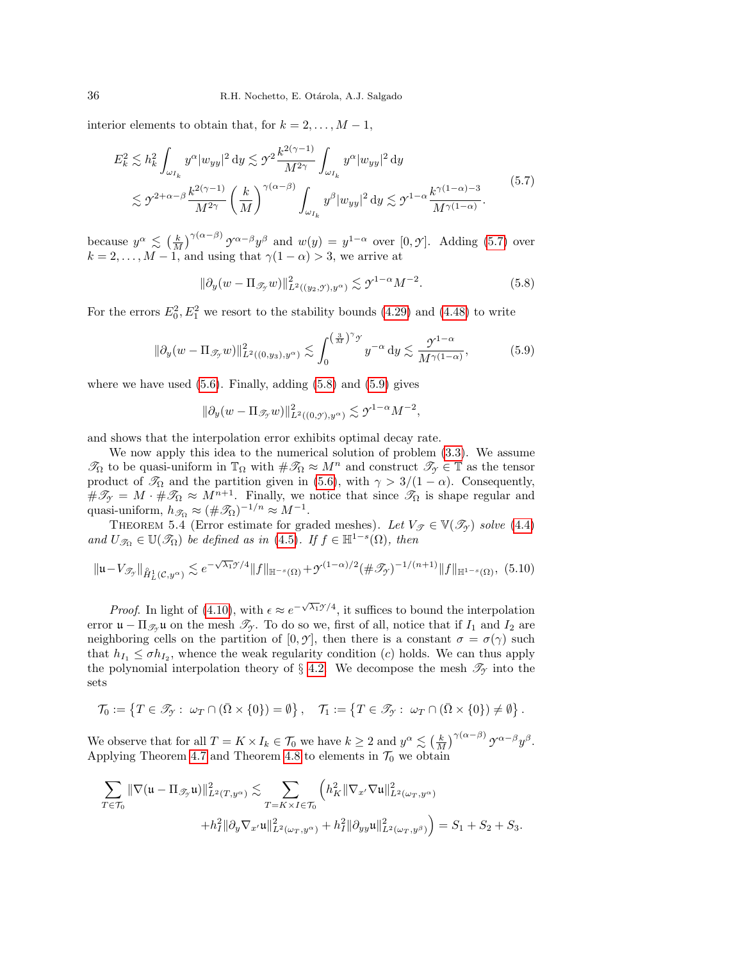interior elements to obtain that, for  $k = 2, \ldots, M - 1$ ,

<span id="page-35-0"></span>
$$
E_k^2 \lesssim h_k^2 \int_{\omega_{I_k}} y^{\alpha} |w_{yy}|^2 dy \lesssim \mathcal{Y}^2 \frac{k^{2(\gamma - 1)}}{M^{2\gamma}} \int_{\omega_{I_k}} y^{\alpha} |w_{yy}|^2 dy
$$
  

$$
\lesssim \mathcal{Y}^{2+\alpha-\beta} \frac{k^{2(\gamma - 1)}}{M^{2\gamma}} \left(\frac{k}{M}\right)^{\gamma(\alpha - \beta)} \int_{\omega_{I_k}} y^{\beta} |w_{yy}|^2 dy \lesssim \mathcal{Y}^{1-\alpha} \frac{k^{\gamma(1-\alpha)-3}}{M^{\gamma(1-\alpha)}}.
$$
 (5.7)

because  $y^{\alpha} \leq (\frac{k}{M})^{\gamma(\alpha-\beta)} y^{\alpha-\beta} y^{\beta}$  and  $w(y) = y^{1-\alpha}$  over  $[0, \mathcal{Y}]$ . Adding [\(5.7\)](#page-35-0) over  $k = 2, \ldots, M - 1$ , and using that  $\gamma(1 - \alpha) > 3$ , we arrive at

<span id="page-35-1"></span>
$$
\|\partial_y(w - \Pi_{\mathcal{I}_y} w)\|_{L^2((y_2, \mathcal{I}), y^\alpha)}^2 \lesssim \mathcal{I}^{1-\alpha} M^{-2}.
$$
 (5.8)

For the errors  $E_0^2, E_1^2$  we resort to the stability bounds [\(4.29\)](#page-24-4) and [\(4.48\)](#page-30-2) to write

<span id="page-35-2"></span>
$$
\|\partial_y(w - \Pi_{\mathcal{F}_y}w)\|_{L^2((0,y_3),y^\alpha)}^2 \lesssim \int_0^{\left(\frac{3}{M}\right)^\gamma \mathcal{F}} y^{-\alpha} \, \mathrm{d}y \lesssim \frac{\mathcal{Y}^{1-\alpha}}{M^{\gamma(1-\alpha)}},\tag{5.9}
$$

where we have used  $(5.6)$ . Finally, adding  $(5.8)$  and  $(5.9)$  gives

$$
\|\partial_y (w-\Pi_{\mathscr{T}_{\mathcal{T}}} w)\|_{L^2((0,\mathscr{T}),y^\alpha)}^2 \lesssim \mathscr{T}^{1-\alpha} M^{-2},
$$

and shows that the interpolation error exhibits optimal decay rate.

We now apply this idea to the numerical solution of problem [\(3.3\)](#page-14-1). We assume  $\mathcal{T}_{\Omega}$  to be quasi-uniform in  $\mathbb{T}_{\Omega}$  with  $\#\mathcal{T}_{\Omega} \approx M^n$  and construct  $\mathcal{T}_{\gamma} \in \mathbb{T}$  as the tensor product of  $\mathcal{T}_{\Omega}$  and the partition given in [\(5.6\)](#page-34-2), with  $\gamma > 3/(1 - \alpha)$ . Consequently,  $\#\mathscr{T}_{\gamma} = M \cdot \#\mathscr{T}_{\Omega} \approx M^{n+1}$ . Finally, we notice that since  $\mathscr{T}_{\Omega}$  is shape regular and quasi-uniform,  $h_{\mathscr{T}_{\Omega}} \approx (\#\mathscr{T}_{\Omega})^{-1/n} \approx M^{-1}$ .

<span id="page-35-4"></span>THEOREM 5.4 (Error estimate for graded meshes). Let  $V_{\mathscr{T}} \in \mathbb{V}(\mathscr{T}_{\mathscr{T}})$  solve [\(4.4\)](#page-18-0) and  $U_{\mathscr{T}_{\Omega}} \in \mathbb{U}(\mathscr{T}_{\Omega})$  be defined as in [\(4.5\)](#page-18-1). If  $f \in \mathbb{H}^{1-s}(\Omega)$ , then

<span id="page-35-3"></span>
$$
\|\mathfrak{u} - V_{\mathcal{F}_{\mathcal{F}}}\|_{\mathring{H}^1_L(\mathcal{C}, y^{\alpha})} \lesssim e^{-\sqrt{\lambda_1}\mathcal{F}/4} \|f\|_{\mathbb{H}^{-s}(\Omega)} + \mathcal{Y}^{(1-\alpha)/2}(\#\mathcal{F}_{\mathcal{F}})^{-1/(n+1)} \|f\|_{\mathbb{H}^{1-s}(\Omega)},
$$
(5.10)

*Proof.* In light of [\(4.10\)](#page-19-2), with  $\epsilon \approx e^{-\sqrt{\lambda_1} \mathcal{Y}/4}$ , it suffices to bound the interpolation error  $\mathfrak{u} - \Pi_{\mathscr{T}_{\gamma}}\mathfrak{u}$  on the mesh  $\mathscr{T}_{\gamma}$ . To do so we, first of all, notice that if  $I_1$  and  $I_2$  are neighboring cells on the partition of  $[0, \gamma]$ , then there is a constant  $\sigma = \sigma(\gamma)$  such that  $h_{I_1} \leq \sigma h_{I_2}$ , whence the weak regularity condition (*c*) holds. We can thus apply the polynomial interpolation theory of  $\S$  [4.2.](#page-19-0) We decompose the mesh  $\mathscr{T}_{\gamma}$  into the sets

$$
\mathcal{T}_0 := \left\{ T \in \mathcal{T}_{\mathcal{T}} : \ \omega_T \cap (\bar{\Omega} \times \{0\}) = \emptyset \right\}, \quad \mathcal{T}_1 := \left\{ T \in \mathcal{T}_{\mathcal{T}} : \ \omega_T \cap (\bar{\Omega} \times \{0\}) \neq \emptyset \right\}.
$$

We observe that for all  $T = K \times I_k \in \mathcal{T}_0$  we have  $k \geq 2$  and  $y^{\alpha} \lesssim \left(\frac{k}{M}\right)^{\gamma(\alpha-\beta)} \mathcal{Y}^{\alpha-\beta} y^{\beta}$ . Applying Theorem [4.7](#page-24-6) and Theorem [4.8](#page-30-0) to elements in  $\mathcal{T}_0$  we obtain

$$
\sum_{T \in \mathcal{T}_0} \|\nabla(\mathfrak{u} - \Pi_{\mathscr{T}_{\mathcal{Y}}} \mathfrak{u})\|_{L^2(T, y^{\alpha})}^2 \lesssim \sum_{T = K \times I \in \mathcal{T}_0} \left( h_K^2 \|\nabla_{x'} \nabla \mathfrak{u}\|_{L^2(\omega_T, y^{\alpha})}^2 + h_I^2 \|\partial_y \nabla_{x'} \mathfrak{u}\|_{L^2(\omega_T, y^{\alpha})}^2 + h_I^2 \|\partial_y \mathfrak{u}\|_{L^2(\omega_T, y^{\beta})}^2 \right) = S_1 + S_2 + S_3.
$$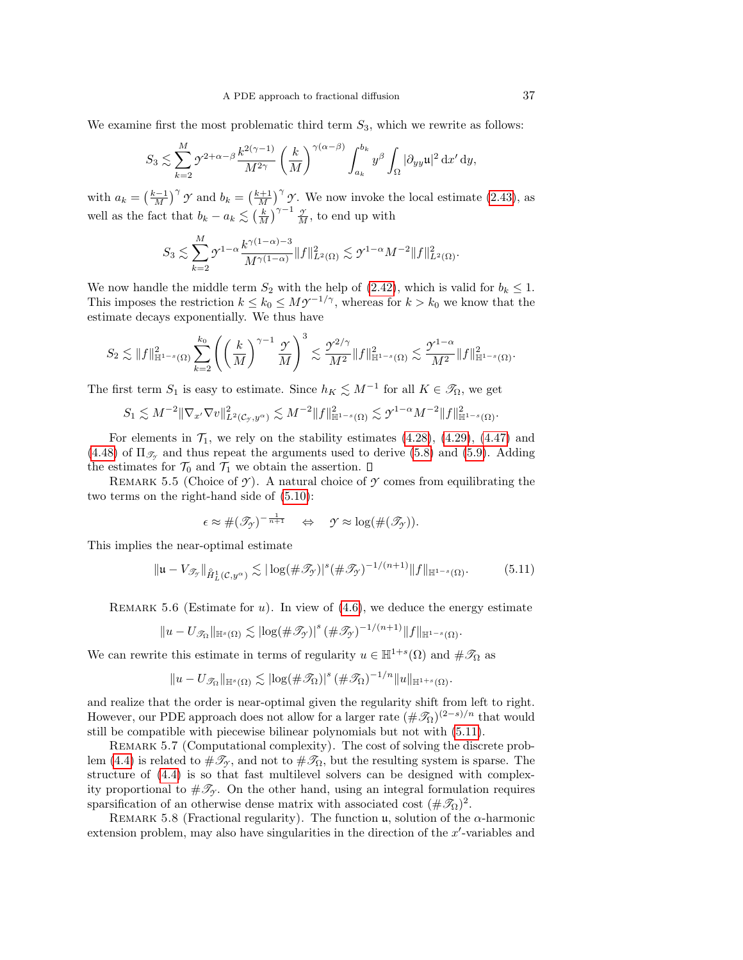We examine first the most problematic third term  $S_3$ , which we rewrite as follows:

$$
S_3 \lesssim \sum_{k=2}^M \gamma^{2+\alpha-\beta} \frac{k^{2(\gamma-1)}}{M^{2\gamma}} \left(\frac{k}{M}\right)^{\gamma(\alpha-\beta)} \int_{a_k}^{b_k} y^{\beta} \int_{\Omega} |\partial_{yy} \mathfrak{u}|^2 dx' dy,
$$

with  $a_k = \left(\frac{k-1}{M}\right)^{\gamma} \gamma$  and  $b_k = \left(\frac{k+1}{M}\right)^{\gamma} \gamma$ . We now invoke the local estimate [\(2.43\)](#page-12-4), as well as the fact that  $b_k - a_k \lesssim \left(\frac{k}{M}\right)^{\gamma-1} \frac{\gamma}{M}$ , to end up with

$$
S_3 \lesssim \sum_{k=2}^M \gamma^{1-\alpha} \frac{k^{\gamma(1-\alpha)-3}}{M^{\gamma(1-\alpha)}} \|f\|_{L^2(\Omega)}^2 \lesssim \gamma^{1-\alpha} M^{-2} \|f\|_{L^2(\Omega)}^2.
$$

We now handle the middle term  $S_2$  with the help of [\(2.42\)](#page-12-3), which is valid for  $b_k \leq 1$ . This imposes the restriction  $k \leq k_0 \leq M \mathcal{Y}^{-1/\gamma}$ , whereas for  $k > k_0$  we know that the estimate decays exponentially. We thus have

$$
S_2 \lesssim \|f\|_{\mathbb{H}^{1-s}(\Omega)}^2 \sum_{k=2}^{k_0} \left( \left(\frac{k}{M}\right)^{\gamma-1} \frac{\gamma}{M} \right)^3 \lesssim \frac{\gamma^{2/\gamma}}{M^2} \|f\|_{\mathbb{H}^{1-s}(\Omega)}^2 \lesssim \frac{\gamma^{1-\alpha}}{M^2} \|f\|_{\mathbb{H}^{1-s}(\Omega)}^2.
$$

The first term  $S_1$  is easy to estimate. Since  $h_K \lesssim M^{-1}$  for all  $K \in \mathcal{T}_{\Omega}$ , we get

$$
S_1 \lesssim M^{-2} \|\nabla_{x'} \nabla v\|_{L^2(\mathcal{C}_{\mathcal{Y}},y^{\alpha})}^2 \lesssim M^{-2} \|f\|_{\mathbb{H}^{1-s}(\Omega)}^2 \lesssim \mathcal{Y}^{1-\alpha} M^{-2} \|f\|_{\mathbb{H}^{1-s}(\Omega)}^2.
$$

For elements in  $\mathcal{T}_1$ , we rely on the stability estimates  $(4.28)$ ,  $(4.29)$ ,  $(4.47)$  and  $(4.48)$  of  $\Pi_{\mathscr{T}_{\gamma}}$  and thus repeat the arguments used to derive  $(5.8)$  and  $(5.9)$ . Adding the estimates for  $\mathcal{T}_0$  and  $\mathcal{T}_1$  we obtain the assertion.  $\Box$ 

<span id="page-36-1"></span>REMARK 5.5 (Choice of  $\gamma$ ). A natural choice of  $\gamma$  comes from equilibrating the two terms on the right-hand side of [\(5.10\)](#page-35-3):

$$
\epsilon \approx \#(\mathscr{T}_{\mathscr{T}})^{-\frac{1}{n+1}} \quad \Leftrightarrow \quad \mathscr{T} \approx \log(\#(\mathscr{T}_{\mathscr{T}})).
$$

This implies the near-optimal estimate

<span id="page-36-0"></span>
$$
\|\mathfrak{u} - V_{\mathscr{T}_{\mathcal{I}}}\|_{\mathring{H}^1_L(\mathcal{C}, y^{\alpha})} \lesssim |\log(\#\mathscr{T}_{\mathcal{I}})|^s (\#\mathscr{T}_{\mathcal{I}})^{-1/(n+1)} \|f\|_{\mathbb{H}^{1-s}(\Omega)}.
$$
 (5.11)

REMARK 5.6 (Estimate for u). In view of  $(4.6)$ , we deduce the energy estimate

$$
||u - U_{\mathscr{T}_{\Omega}}||_{\mathbb{H}^{s}(\Omega)} \lesssim |\log(\#\mathscr{T}_{\mathscr{T}})|^{s} (\#\mathscr{T}_{\mathscr{T}})^{-1/(n+1)} ||f||_{\mathbb{H}^{1-s}(\Omega)}.
$$

We can rewrite this estimate in terms of regularity  $u \in \mathbb{H}^{1+s}(\Omega)$  and  $\#\mathscr{T}_{\Omega}$  as

$$
||u - U_{\mathcal{I}_{\Omega}}||_{\mathbb{H}^{s}(\Omega)} \lesssim |\log(\#\mathcal{I}_{\Omega})|^{s} (\#\mathcal{I}_{\Omega})^{-1/n} ||u||_{\mathbb{H}^{1+s}(\Omega)}.
$$

and realize that the order is near-optimal given the regularity shift from left to right. However, our PDE approach does not allow for a larger rate  $(\#\mathscr{T}_{\Omega})^{(2-s)/n}$  that would still be compatible with piecewise bilinear polynomials but not with [\(5.11\)](#page-36-0).

REMARK 5.7 (Computational complexity). The cost of solving the discrete prob-lem [\(4.4\)](#page-18-0) is related to  $\#\mathcal{I}_Y$ , and not to  $\#\mathcal{I}_\Omega$ , but the resulting system is sparse. The structure of [\(4.4\)](#page-18-0) is so that fast multilevel solvers can be designed with complexity proportional to  $\#\mathscr{T}_{\gamma}$ . On the other hand, using an integral formulation requires sparsification of an otherwise dense matrix with associated cost  $(\#\mathscr{T}_{\Omega})^2$ .

<span id="page-36-2"></span>REMARK 5.8 (Fractional regularity). The function  $\mu$ , solution of the  $\alpha$ -harmonic extension problem, may also have singularities in the direction of the  $x'$ -variables and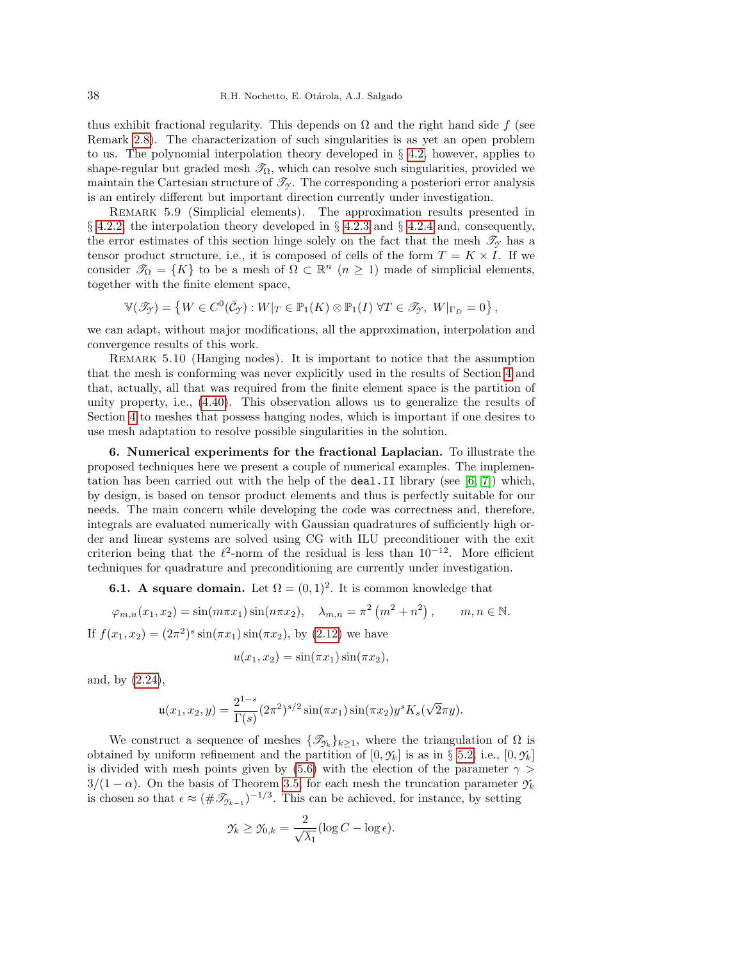thus exhibit fractional regularity. This depends on  $\Omega$  and the right hand side f (see Remark [2.8\)](#page-11-2). The characterization of such singularities is as yet an open problem to us. The polynomial interpolation theory developed in  $\S$  [4.2,](#page-19-0) however, applies to shape-regular but graded mesh  $\mathcal{T}_{\Omega}$ , which can resolve such singularities, provided we maintain the Cartesian structure of  $\mathcal{T}_{\gamma}$ . The corresponding a posteriori error analysis is an entirely different but important direction currently under investigation.

Remark 5.9 (Simplicial elements). The approximation results presented in  $\S$  [4.2.2,](#page-22-5) the interpolation theory developed in  $\S$  [4.2.3](#page-24-5) and  $\S$  [4.2.4](#page-29-0) and, consequently, the error estimates of this section hinge solely on the fact that the mesh  $\mathscr{T}_{\gamma}$  has a tensor product structure, i.e., it is composed of cells of the form  $T = K \times I$ . If we consider  $\mathscr{T}_{\Omega} = \{K\}$  to be a mesh of  $\Omega \subset \mathbb{R}^n$   $(n \geq 1)$  made of simplicial elements, together with the finite element space,

$$
\mathbb{V}(\mathscr{T}_{\mathcal{Y}}) = \left\{ W \in C^{0}(\bar{\mathcal{C}}_{\mathcal{Y}}) : W|_{T} \in \mathbb{P}_{1}(K) \otimes \mathbb{P}_{1}(I) \; \forall T \in \mathscr{T}_{\mathcal{Y}}, \; W|_{\Gamma_{D}} = 0 \right\},\;
$$

we can adapt, without major modifications, all the approximation, interpolation and convergence results of this work.

<span id="page-37-2"></span>Remark 5.10 (Hanging nodes). It is important to notice that the assumption that the mesh is conforming was never explicitly used in the results of Section [4](#page-16-0) and that, actually, all that was required from the finite element space is the partition of unity property, i.e., [\(4.40\)](#page-27-0). This observation allows us to generalize the results of Section [4](#page-16-0) to meshes that possess hanging nodes, which is important if one desires to use mesh adaptation to resolve possible singularities in the solution.

<span id="page-37-0"></span>6. Numerical experiments for the fractional Laplacian. To illustrate the proposed techniques here we present a couple of numerical examples. The implementation has been carried out with the help of the **deal**. II library (see  $[6, 7]$  $[6, 7]$ ) which, by design, is based on tensor product elements and thus is perfectly suitable for our needs. The main concern while developing the code was correctness and, therefore, integrals are evaluated numerically with Gaussian quadratures of sufficiently high order and linear systems are solved using CG with ILU preconditioner with the exit criterion being that the  $\ell^2$ -norm of the residual is less than 10<sup>-12</sup>. More efficient techniques for quadrature and preconditioning are currently under investigation.

<span id="page-37-1"></span>**6.1.** A square domain. Let  $\Omega = (0,1)^2$ . It is common knowledge that

$$
\varphi_{m,n}(x_1, x_2) = \sin(m\pi x_1)\sin(n\pi x_2), \quad \lambda_{m,n} = \pi^2(m^2 + n^2), \qquad m, n \in \mathbb{N}.
$$

If  $f(x_1, x_2) = (2\pi^2)^s \sin(\pi x_1) \sin(\pi x_2)$ , by  $(2.12)$  we have

$$
u(x_1, x_2) = \sin(\pi x_1)\sin(\pi x_2),
$$

and, by [\(2.24\)](#page-8-1),

$$
\mathfrak{u}(x_1, x_2, y) = \frac{2^{1-s}}{\Gamma(s)} (2\pi^2)^{s/2} \sin(\pi x_1) \sin(\pi x_2) y^s K_s(\sqrt{2}\pi y).
$$

We construct a sequence of meshes  $\{\mathcal{I}_{\gamma_k}\}_{k\geq 1}$ , where the triangulation of  $\Omega$  is obtained by uniform refinement and the partition of  $[0, \gamma_k]$  is as in § [5.2,](#page-34-0) i.e.,  $[0, \gamma_k]$ is divided with mesh points given by [\(5.6\)](#page-34-2) with the election of the parameter  $\gamma$  $3/(1-\alpha)$ . On the basis of Theorem [3.5,](#page-15-2) for each mesh the truncation parameter  $\gamma_k$ is chosen so that  $\epsilon \approx (\# \mathcal{I}_{\gamma_{k-1}})^{-1/3}$ . This can be achieved, for instance, by setting

$$
\mathcal{Y}_k \geq \mathcal{Y}_{0,k} = \frac{2}{\sqrt{\lambda_1}} (\log C - \log \epsilon).
$$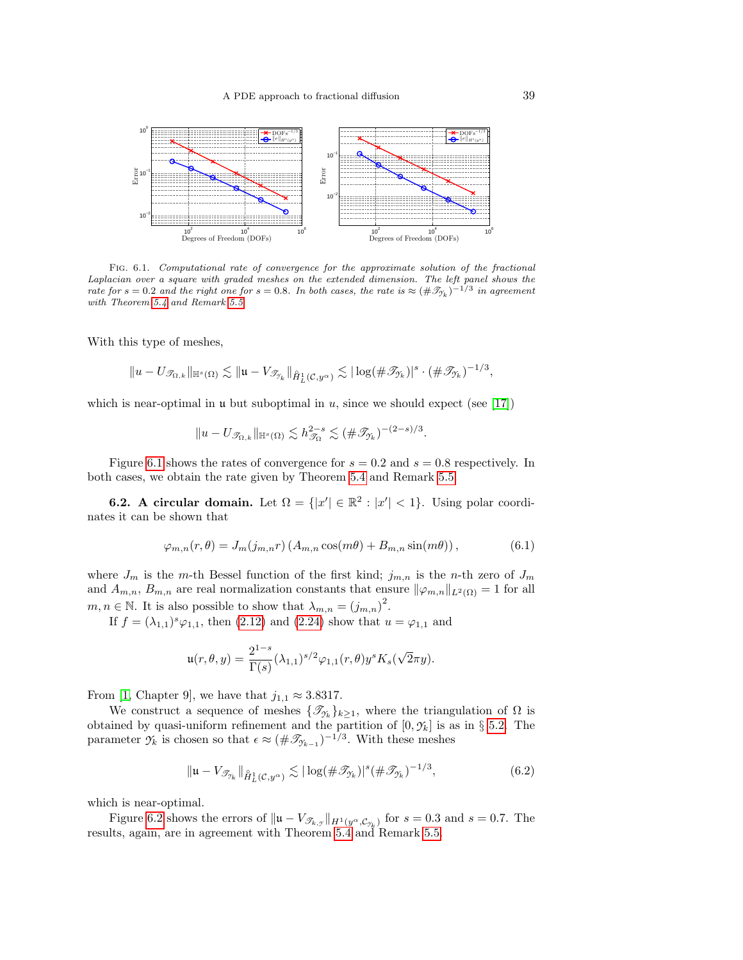

Fig. 6.1. Computational rate of convergence for the approximate solution of the fractional Laplacian over a square with graded meshes on the extended dimension. The left panel shows the rate for  $s = 0.2$  and the right one for  $s = 0.8$ . In both cases, the rate is  $\approx (\# \mathcal{T}_{\gamma_k})^{-1/3}$  in agreement with Theorem [5.4](#page-35-4) and Remark [5.5](#page-36-1)

With this type of meshes,

$$
\|u-U_{\mathscr{T}_{\Omega,k}}\|_{\mathbb{H}^s(\Omega)} \lesssim \|u-V_{\mathscr{T}_{\gamma_k}}\|_{\hat{H}^1_L(\mathcal{C},y^{\alpha})} \lesssim |\log(\#\mathscr{T}_{\gamma_k})|^s \cdot (\#\mathscr{T}_{\gamma_k})^{-1/3},
$$

which is near-optimal in  $\mu$  but suboptimal in  $u$ , since we should expect (see [\[17\]](#page-44-16))

$$
||u - U_{\mathcal{T}_{\Omega,k}}||_{\mathbb{H}^s(\Omega)} \lesssim h_{\mathcal{T}_{\Omega}}^{2-s} \lesssim (\#\mathcal{T}_{\mathcal{T}_k})^{-(2-s)/3}.
$$

Figure [6.1](#page-37-1) shows the rates of convergence for  $s = 0.2$  and  $s = 0.8$  respectively. In both cases, we obtain the rate given by Theorem [5.4](#page-35-4) and Remark [5.5.](#page-36-1)

**6.2.** A circular domain. Let  $\Omega = \{ |x'| \in \mathbb{R}^2 : |x'| < 1 \}$ . Using polar coordinates it can be shown that

$$
\varphi_{m,n}(r,\theta) = J_m(j_{m,n}r) \left( A_{m,n} \cos(m\theta) + B_{m,n} \sin(m\theta) \right),\tag{6.1}
$$

where  $J_m$  is the m-th Bessel function of the first kind;  $j_{m,n}$  is the n-th zero of  $J_m$ and  $A_{m,n}$ ,  $B_{m,n}$  are real normalization constants that ensure  $\|\varphi_{m,n}\|_{L^2(\Omega)} = 1$  for all  $m, n \in \mathbb{N}$ . It is also possible to show that  $\lambda_{m,n} = (j_{m,n})^2$ .

If  $f = (\lambda_{1,1})^s \varphi_{1,1}$ , then [\(2.12\)](#page-5-0) and [\(2.24\)](#page-8-1) show that  $u = \varphi_{1,1}$  and

$$
\mathfrak{u}(r,\theta,y) = \frac{2^{1-s}}{\Gamma(s)} (\lambda_{1,1})^{s/2} \varphi_{1,1}(r,\theta) y^s K_s(\sqrt{2}\pi y).
$$

From [\[1,](#page-43-1) Chapter 9], we have that  $j_{1,1} \approx 3.8317$ .

We construct a sequence of meshes  $\{\mathcal{I}_{\gamma_k}\}_{k\geq 1}$ , where the triangulation of  $\Omega$  is obtained by quasi-uniform refinement and the partition of  $[0, \gamma_k]$  is as in § [5.2.](#page-34-0) The parameter  $\gamma_k$  is chosen so that  $\epsilon \approx (\#\mathcal{I}_{\gamma_{k-1}})^{-1/3}$ . With these meshes

<span id="page-38-0"></span>
$$
\|\mathfrak{u} - V_{\mathcal{T}_{\gamma_k}}\|_{\hat{H}_L^1(\mathcal{C}, y^\alpha)} \lesssim |\log(\#\mathcal{T}_{\gamma_k})|^s (\#\mathcal{T}_{\gamma_k})^{-1/3},\tag{6.2}
$$

which is near-optimal.

Figure [6.2](#page-38-0) shows the errors of  $||\mathbf{u} - V_{\mathscr{T}_{k,y}}||_{H^1(y^{\alpha}, \mathcal{C}_{\mathscr{T}_{k}})}$  for  $s = 0.3$  and  $s = 0.7$ . The results, again, are in agreement with Theorem [5.4](#page-35-4) and Remark [5.5.](#page-36-1)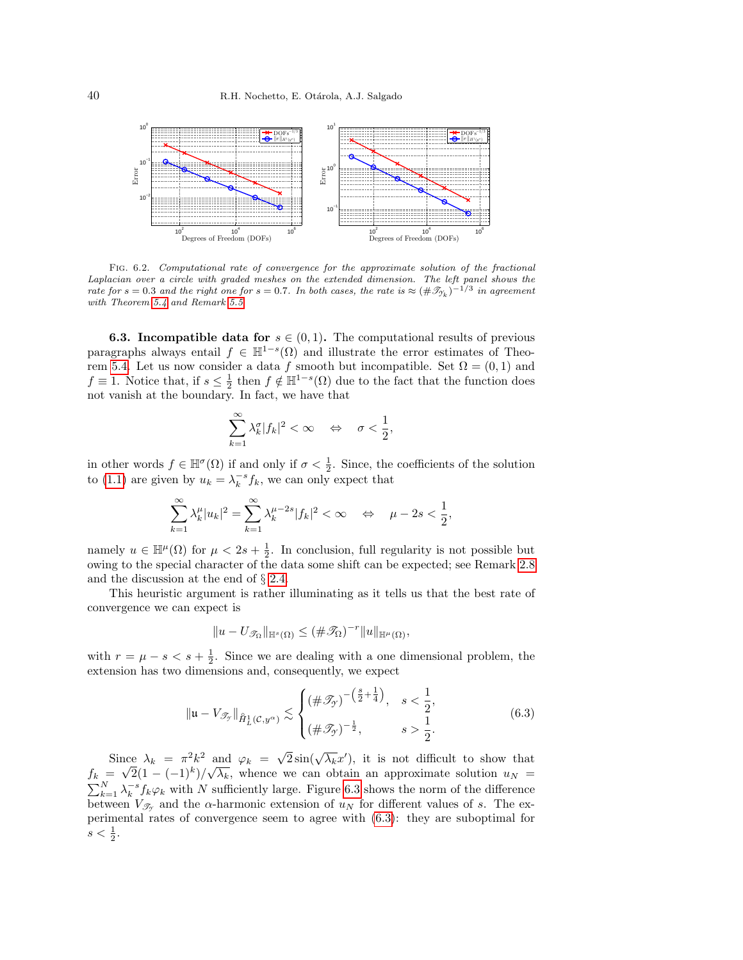

Fig. 6.2. Computational rate of convergence for the approximate solution of the fractional Laplacian over a circle with graded meshes on the extended dimension. The left panel shows the rate for  $s = 0.3$  and the right one for  $s = 0.7$ . In both cases, the rate is  $\approx (\# \mathcal{T}_{\gamma_k})^{-1/3}$  in agreement with Theorem [5.4](#page-35-4) and Remark [5.5](#page-36-1)

<span id="page-39-0"></span>**6.3. Incompatible data for**  $s \in (0,1)$ . The computational results of previous paragraphs always entail  $f \in \mathbb{H}^{1-s}(\Omega)$  and illustrate the error estimates of Theo-rem [5.4.](#page-35-4) Let us now consider a data f smooth but incompatible. Set  $\Omega = (0,1)$  and  $f \equiv 1$ . Notice that, if  $s \leq \frac{1}{2}$  then  $f \notin \mathbb{H}^{1-s}(\Omega)$  due to the fact that the function does not vanish at the boundary. In fact, we have that

$$
\sum_{k=1}^\infty \lambda_k^\sigma |f_k|^2 < \infty \quad \Leftrightarrow \quad \sigma < \frac{1}{2},
$$

in other words  $f \in \mathbb{H}^{\sigma}(\Omega)$  if and only if  $\sigma < \frac{1}{2}$ . Since, the coefficients of the solution to [\(1.1\)](#page-0-0) are given by  $u_k = \lambda_k^{-s} f_k$ , we can only expect that

$$
\sum_{k=1}^{\infty} \lambda_k^{\mu} |u_k|^2 = \sum_{k=1}^{\infty} \lambda_k^{\mu-2s} |f_k|^2 < \infty \quad \Leftrightarrow \quad \mu - 2s < \frac{1}{2},
$$

namely  $u \in \mathbb{H}^{\mu}(\Omega)$  for  $\mu < 2s + \frac{1}{2}$ . In conclusion, full regularity is not possible but owing to the special character of the data some shift can be expected; see Remark [2.8](#page-11-2) and the discussion at the end of § [2.4.](#page-7-5)

This heuristic argument is rather illuminating as it tells us that the best rate of convergence we can expect is

$$
||u - U_{\mathscr{T}_{\Omega}}||_{\mathbb{H}^{s}(\Omega)} \leq (\#\mathscr{T}_{\Omega})^{-r}||u||_{\mathbb{H}^{\mu}(\Omega)},
$$

with  $r = \mu - s < s + \frac{1}{2}$ . Since we are dealing with a one dimensional problem, the extension has two dimensions and, consequently, we expect

<span id="page-39-1"></span>
$$
\|\mathfrak{u} - V_{\mathcal{I}_{\mathcal{Y}}}\|_{\mathring{H}^1_L(\mathcal{C}, y^{\alpha})} \lesssim \begin{cases} (\#\mathcal{I}_{\mathcal{Y}})^{-\left(\frac{s}{2} + \frac{1}{4}\right)}, & s < \frac{1}{2}, \\ (\#\mathcal{I}_{\mathcal{Y}})^{-\frac{1}{2}}, & s > \frac{1}{2}. \end{cases}
$$
(6.3)

Since  $\lambda_k = \pi^2 k^2$  and  $\varphi_k = \sqrt{2} \sin(\sqrt{\lambda_k} x')$ , it is not difficult to show that  $f_k = \sqrt{2(1 - (-1)^k)} / \sqrt{\lambda_k}$ , whence we can obtain an approximate solution  $u_N =$  $\sum_{k=1}^{N} \lambda_k^{-s} f_k \varphi_k$  with N sufficiently large. Figure [6.3](#page-40-1) shows the norm of the difference between  $V_{\mathscr{T}_{\mathscr{T}}}$  and the  $\alpha$ -harmonic extension of  $u_N$  for different values of s. The experimental rates of convergence seem to agree with [\(6.3\)](#page-39-1): they are suboptimal for  $s < \frac{1}{2}$ .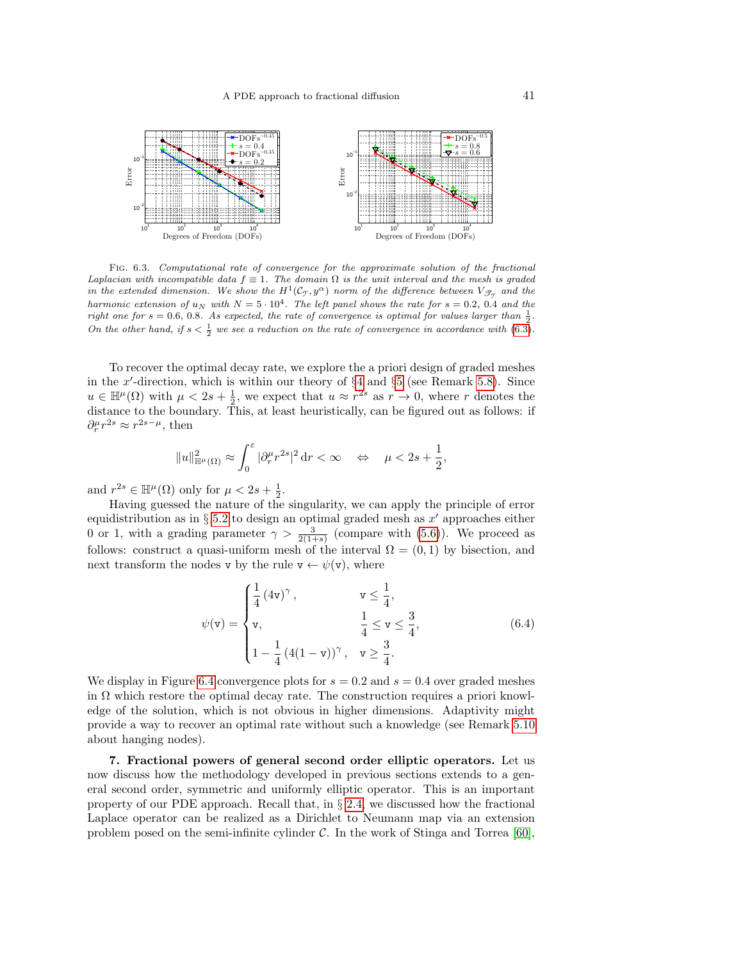

<span id="page-40-1"></span>Fig. 6.3. Computational rate of convergence for the approximate solution of the fractional Laplacian with incompatible data  $f \equiv 1$ . The domain  $\Omega$  is the unit interval and the mesh is graded in the extended dimension. We show the  $H^1(\mathcal{C}_{\mathcal{I}},y^\alpha)$  norm of the difference between  $V_{\mathcal{J}_{\mathcal{I}}}$  and the harmonic extension of  $u_N$  with  $N = 5 \cdot 10^4$ . The left panel shows the rate for  $s = 0.2$ , 0.4 and the right one for  $s = 0.6, 0.8$ . As expected, the rate of convergence is optimal for values larger than  $\frac{1}{2}$ . On the other hand, if  $s < \frac{1}{2}$  we see a reduction on the rate of convergence in accordance with [\(6.3\)](#page-39-1).

To recover the optimal decay rate, we explore the a priori design of graded meshes in the x'-direction, which is within our theory of  $\S 4$  $\S 4$  and  $\S 5$  $\S 5$  (see Remark [5.8\)](#page-36-2). Since  $u \in \mathbb{H}^{\mu}(\Omega)$  with  $\mu < 2s + \frac{1}{2}$ , we expect that  $u \approx r^{2s}$  as  $r \to 0$ , where r denotes the distance to the boundary. This, at least heuristically, can be figured out as follows: if  $\partial_r^{\mu} r^{2s} \approx r^{2s-\mu}$ , then

$$
\|u\|_{\mathbb{H}^{\mu}(\Omega)}^2\approx \int_0^{\varepsilon}|\partial_r^{\mu}r^{2s}|^2\,\mathrm{d} r<\infty\quad\Leftrightarrow\quad \mu<2s+\frac{1}{2}
$$

and  $r^{2s} \in \mathbb{H}^{\mu}(\Omega)$  only for  $\mu < 2s + \frac{1}{2}$ .

Having guessed the nature of the singularity, we can apply the principle of error equidistribution as in § [5.2](#page-34-0) to design an optimal graded mesh as  $x'$  approaches either 0 or 1, with a grading parameter  $\gamma > \frac{3}{2(1+s)}$  (compare with [\(5.6\)](#page-34-2)). We proceed as follows: construct a quasi-uniform mesh of the interval  $\Omega = (0,1)$  by bisection, and next transform the nodes v by the rule  $v \leftarrow \psi(v)$ , where

<span id="page-40-2"></span>
$$
\psi(\mathbf{v}) = \begin{cases} \frac{1}{4} (4\mathbf{v})^{\gamma}, & \mathbf{v} \le \frac{1}{4}, \\ \mathbf{v}, & \frac{1}{4} \le \mathbf{v} \le \frac{3}{4}, \\ 1 - \frac{1}{4} (4(1 - \mathbf{v}))^{\gamma}, & \mathbf{v} \ge \frac{3}{4}. \end{cases}
$$
(6.4)

,

We display in Figure [6.4](#page-41-0) convergence plots for  $s = 0.2$  and  $s = 0.4$  over graded meshes in  $\Omega$  which restore the optimal decay rate. The construction requires a priori knowledge of the solution, which is not obvious in higher dimensions. Adaptivity might provide a way to recover an optimal rate without such a knowledge (see Remark [5.10](#page-37-2) about hanging nodes).

<span id="page-40-0"></span>7. Fractional powers of general second order elliptic operators. Let us now discuss how the methodology developed in previous sections extends to a general second order, symmetric and uniformly elliptic operator. This is an important property of our PDE approach. Recall that, in § [2.4,](#page-7-5) we discussed how the fractional Laplace operator can be realized as a Dirichlet to Neumann map via an extension problem posed on the semi-infinite cylinder  $C$ . In the work of Stinga and Torrea [\[60\]](#page-45-6),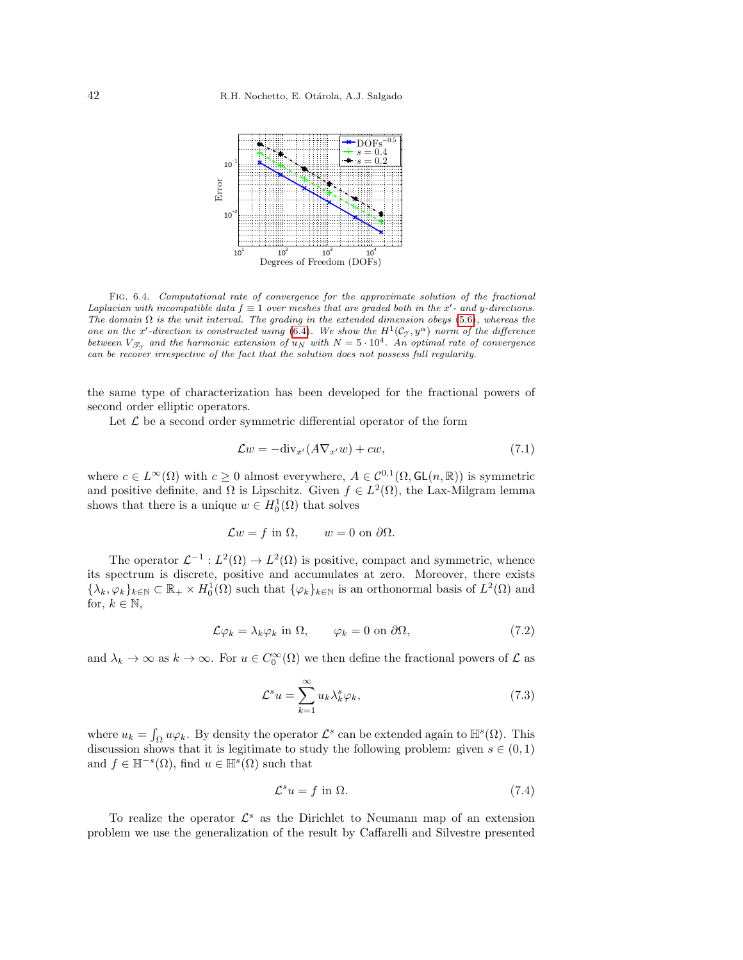

<span id="page-41-0"></span>Fig. 6.4. Computational rate of convergence for the approximate solution of the fractional Laplacian with incompatible data  $f \equiv 1$  over meshes that are graded both in the x'- and y-directions. The domain  $\Omega$  is the unit interval. The grading in the extended dimension obeys [\(5.6\)](#page-34-2), whereas the one on the x'-direction is constructed using [\(6.4\)](#page-40-2). We show the  $H^1(\mathcal{C}_{\gamma}, y^{\alpha})$  norm of the difference between  $V_{\mathscr{T}_{\mathscr{T}}}$  and the harmonic extension of  $u_N$  with  $N = 5 \cdot 10^4$ . An optimal rate of convergence can be recover irrespective of the fact that the solution does not possess full regularity.

the same type of characterization has been developed for the fractional powers of second order elliptic operators.

Let  $\mathcal L$  be a second order symmetric differential operator of the form

$$
\mathcal{L}w = -\text{div}_{x'}(A\nabla_{x'}w) + cw,
$$
\n(7.1)

where  $c \in L^{\infty}(\Omega)$  with  $c \geq 0$  almost everywhere,  $A \in C^{0,1}(\Omega, GL(n, \mathbb{R}))$  is symmetric and positive definite, and  $\Omega$  is Lipschitz. Given  $f \in L^2(\Omega)$ , the Lax-Milgram lemma shows that there is a unique  $w \in H_0^1(\Omega)$  that solves

$$
\mathcal{L}w = f \text{ in } \Omega, \qquad w = 0 \text{ on } \partial\Omega.
$$

The operator  $\mathcal{L}^{-1}: L^2(\Omega) \to L^2(\Omega)$  is positive, compact and symmetric, whence its spectrum is discrete, positive and accumulates at zero. Moreover, there exists  $\{\lambda_k, \varphi_k\}_{k\in\mathbb{N}} \subset \mathbb{R}_+ \times H_0^1(\Omega)$  such that  $\{\varphi_k\}_{k\in\mathbb{N}}$  is an orthonormal basis of  $L^2(\Omega)$  and for,  $k \in \mathbb{N}$ ,

$$
\mathcal{L}\varphi_k = \lambda_k \varphi_k \text{ in } \Omega, \qquad \varphi_k = 0 \text{ on } \partial\Omega,
$$
 (7.2)

and  $\lambda_k \to \infty$  as  $k \to \infty$ . For  $u \in C_0^{\infty}(\Omega)$  we then define the fractional powers of  $\mathcal L$  as

$$
\mathcal{L}^s u = \sum_{k=1}^{\infty} u_k \lambda_k^s \varphi_k,\tag{7.3}
$$

where  $u_k = \int_{\Omega} u \varphi_k$ . By density the operator  $\mathcal{L}^s$  can be extended again to  $\mathbb{H}^s(\Omega)$ . This discussion shows that it is legitimate to study the following problem: given  $s \in (0,1)$ and  $f \in \mathbb{H}^{-s}(\Omega)$ , find  $u \in \mathbb{H}^{s}(\Omega)$  such that

<span id="page-41-1"></span>
$$
\mathcal{L}^s u = f \text{ in } \Omega. \tag{7.4}
$$

To realize the operator  $\mathcal{L}^s$  as the Dirichlet to Neumann map of an extension problem we use the generalization of the result by Caffarelli and Silvestre presented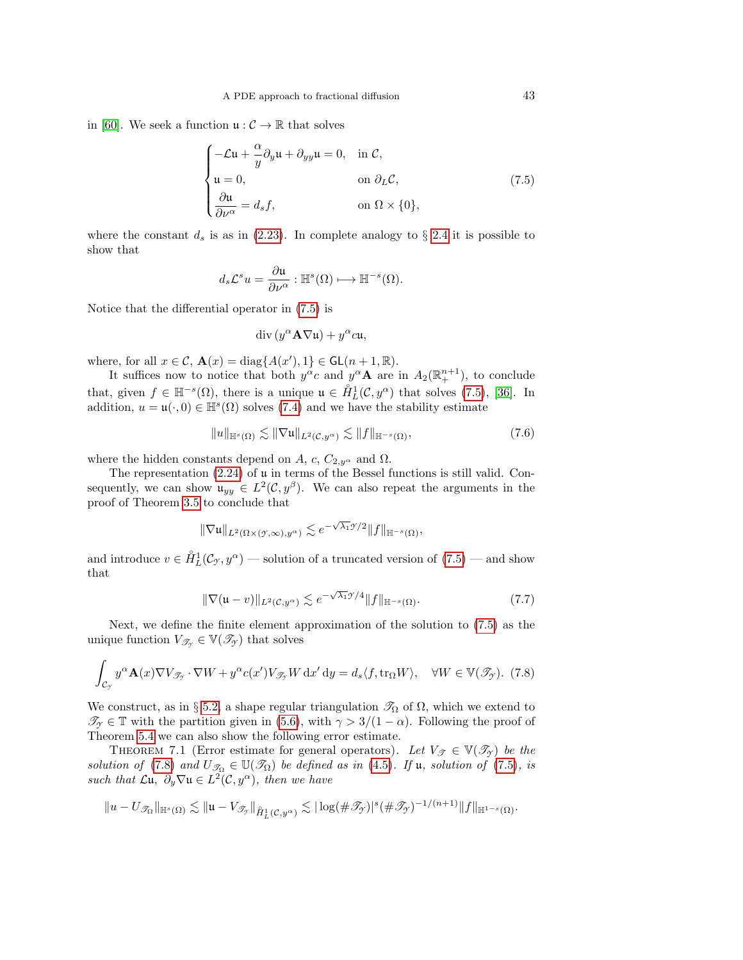in [\[60\]](#page-45-6). We seek a function  $\mathfrak{u}: \mathcal{C} \to \mathbb{R}$  that solves

<span id="page-42-0"></span>
$$
\begin{cases}\n-\mathcal{L}\mathfrak{u} + \frac{\alpha}{y}\partial_y \mathfrak{u} + \partial_{yy}\mathfrak{u} = 0, & \text{in } \mathcal{C}, \\
\mathfrak{u} = 0, & \text{on } \partial_L \mathcal{C}, \\
\frac{\partial \mathfrak{u}}{\partial \nu^{\alpha}} = d_s f, & \text{on } \Omega \times \{0\},\n\end{cases}
$$
\n(7.5)

where the constant  $d_s$  is as in [\(2.23\)](#page-8-3). In complete analogy to § [2.4](#page-7-5) it is possible to show that

$$
d_s \mathcal{L}^s u = \frac{\partial \mathfrak{u}}{\partial \nu^{\alpha}} : \mathbb{H}^s(\Omega) \longmapsto \mathbb{H}^{-s}(\Omega).
$$

Notice that the differential operator in [\(7.5\)](#page-42-0) is

$$
\mathrm{div}\, (y^{\alpha} \mathbf{A} \nabla \mathfrak{u}) + y^{\alpha} c \mathfrak{u},
$$

where, for all  $x \in \mathcal{C}$ ,  $\mathbf{A}(x) = \text{diag}\{A(x'), 1\} \in \mathsf{GL}(n+1, \mathbb{R})$ .

It suffices now to notice that both  $y^{\alpha}c$  and  $y^{\alpha}A$  are in  $A_2(\mathbb{R}^{n+1}_+)$ , to conclude that, given  $f \in \mathbb{H}^{-s}(\Omega)$ , there is a unique  $\mathfrak{u} \in \mathring{H}_L^1(\mathcal{C}, y^{\alpha})$  that solves [\(7.5\)](#page-42-0), [\[36\]](#page-45-16). In addition,  $u = \mathfrak{u}(\cdot,0) \in \mathbb{H}^s(\Omega)$  solves [\(7.4\)](#page-41-1) and we have the stability estimate

$$
||u||_{\mathbb{H}^{s}(\Omega)} \lesssim ||\nabla u||_{L^{2}(\mathcal{C}, y^{\alpha})} \lesssim ||f||_{\mathbb{H}^{-s}(\Omega)},
$$
\n(7.6)

where the hidden constants depend on A, c,  $C_{2,y^{\alpha}}$  and  $\Omega$ .

The representation  $(2.24)$  of  $\mu$  in terms of the Bessel functions is still valid. Consequently, we can show  $\mathfrak{u}_{yy} \in L^2(\mathcal{C}, y^\beta)$ . We can also repeat the arguments in the proof of Theorem [3.5](#page-15-2) to conclude that

$$
\|\nabla \mathfrak{u}\|_{L^2(\Omega\times(\mathcal{Y},\infty),y^\alpha)}\lesssim e^{-\sqrt{\lambda_1}\mathcal{Y}/2}\|f\|_{\mathbb{H}^{-s}(\Omega)},
$$

and introduce  $v \in \mathring{H}_L^1(\mathcal{C}_{\mathcal{I}}, y^\alpha)$  — solution of a truncated version of  $(7.5)$  — and show that

$$
\|\nabla(\mathfrak{u}-v)\|_{L^{2}(\mathcal{C},y^{\alpha})} \lesssim e^{-\sqrt{\lambda_{1}}\mathcal{Y}/4} \|f\|_{\mathbb{H}^{-s}(\Omega)}.
$$
\n(7.7)

Next, we define the finite element approximation of the solution to [\(7.5\)](#page-42-0) as the unique function  $V_{\mathscr{T}_{\mathscr{T}}} \in \mathbb{V}(\mathscr{T}_{\mathscr{T}})$  that solves

<span id="page-42-1"></span>
$$
\int_{\mathcal{C}_{\mathcal{I}}} y^{\alpha} \mathbf{A}(x) \nabla V_{\mathcal{I}_{\mathcal{I}}} \cdot \nabla W + y^{\alpha} c(x') V_{\mathcal{I}_{\mathcal{I}}} W dx' dy = d_s \langle f, \text{tr}_{\Omega} W \rangle, \quad \forall W \in \mathbb{V}(\mathcal{I}_{\mathcal{I}}). \tag{7.8}
$$

We construct, as in § [5.2,](#page-34-0) a shape regular triangulation  $\mathcal{T}_{\Omega}$  of  $\Omega$ , which we extend to  $\mathscr{T}_{\gamma} \in \mathbb{T}$  with the partition given in [\(5.6\)](#page-34-2), with  $\gamma > 3/(1 - \alpha)$ . Following the proof of Theorem [5.4](#page-35-4) we can also show the following error estimate.

THEOREM 7.1 (Error estimate for general operators). Let  $V_{\mathscr{T}} \in \mathbb{V}(\mathscr{T}_{\gamma})$  be the solution of [\(7.8\)](#page-42-1) and  $U_{\mathcal{T}_{\Omega}} \in \mathbb{U}(\mathcal{T}_{\Omega})$  be defined as in [\(4.5\)](#page-18-1). If u, solution of [\(7.5\)](#page-42-0), is such that  $\mathcal{L}\mathfrak{u}, \partial_y \nabla \mathfrak{u} \in L^2(\mathcal{C}, y^\alpha)$ , then we have

$$
||u - U_{\mathscr{T}_{\Omega}}||_{\mathbb{H}^{s}(\Omega)} \lesssim ||u - V_{\mathscr{T}_{\mathscr{T}}}||_{\mathring{H}^{1}_{L}(\mathcal{C}, y^{\alpha})} \lesssim |\log(\#\mathscr{T}_{\mathscr{T}})|^{s} (\#\mathscr{T}_{\mathscr{T}})^{-1/(n+1)} ||f||_{\mathbb{H}^{1-s}(\Omega)}.
$$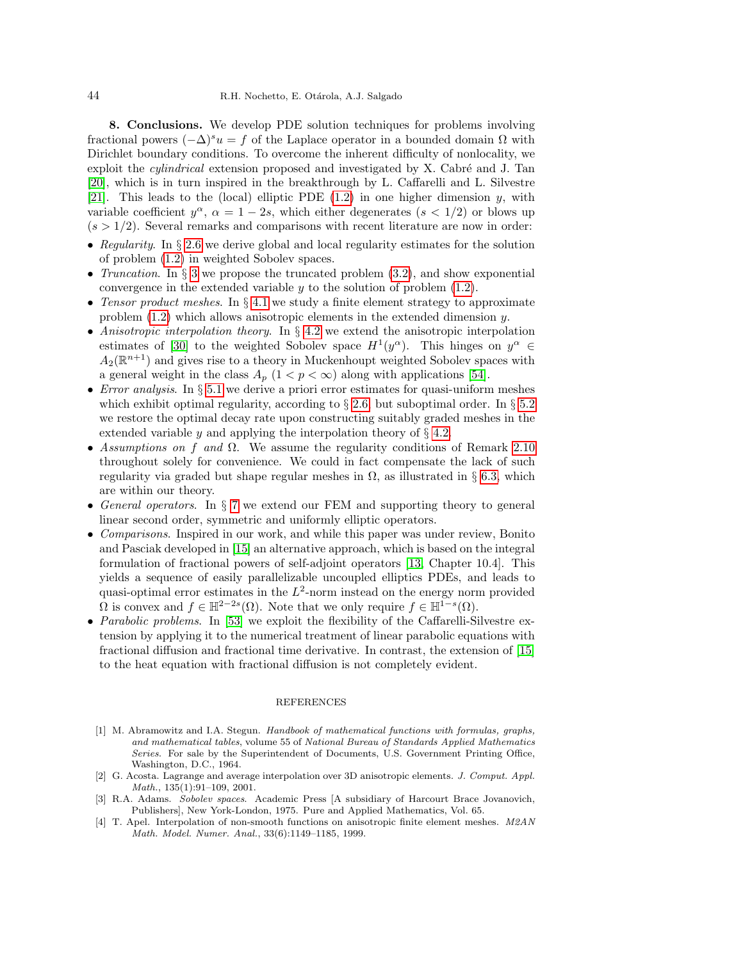8. Conclusions. We develop PDE solution techniques for problems involving fractional powers  $(-\Delta)^s u = f$  of the Laplace operator in a bounded domain  $\Omega$  with Dirichlet boundary conditions. To overcome the inherent difficulty of nonlocality, we exploit the *cylindrical* extension proposed and investigated by X. Cabré and J. Tan [\[20\]](#page-44-14), which is in turn inspired in the breakthrough by L. Caffarelli and L. Silvestre [\[21\]](#page-44-7). This leads to the (local) elliptic PDE  $(1.2)$  in one higher dimension y, with variable coefficient  $y^{\alpha}$ ,  $\alpha = 1 - 2s$ , which either degenerates  $(s < 1/2)$  or blows up  $(s > 1/2)$ . Several remarks and comparisons with recent literature are now in order:

- Regularity. In  $\S 2.6$  $\S 2.6$  we derive global and local regularity estimates for the solution of problem [\(1.2\)](#page-1-0) in weighted Sobolev spaces.
- Truncation. In  $\S 3$  $\S 3$  we propose the truncated problem  $(3.2)$ , and show exponential convergence in the extended variable  $y$  to the solution of problem  $(1.2)$ .
- Tensor product meshes. In  $\S 4.1$  $\S 4.1$  we study a finite element strategy to approximate problem  $(1.2)$  which allows anisotropic elements in the extended dimension y.
- Anisotropic interpolation theory. In  $\S 4.2$  $\S 4.2$  we extend the anisotropic interpolation estimates of [\[30\]](#page-44-15) to the weighted Sobolev space  $H^1(y^\alpha)$ . This hinges on  $y^\alpha \in$  $A_2(\mathbb{R}^{n+1})$  and gives rise to a theory in Muckenhoupt weighted Sobolev spaces with a general weight in the class  $A_p$   $(1 < p < \infty)$  along with applications [\[54\]](#page-45-24).
- Error analysis. In  $\S 5.1$  $\S 5.1$  we derive a priori error estimates for quasi-uniform meshes which exhibit optimal regularity, according to § [2.6,](#page-10-0) but suboptimal order. In § [5.2](#page-34-0) we restore the optimal decay rate upon constructing suitably graded meshes in the extended variable y and applying the interpolation theory of  $\S$  [4.2.](#page-19-0)
- Assumptions on f and  $\Omega$ . We assume the regularity conditions of Remark [2.10](#page-13-3) throughout solely for convenience. We could in fact compensate the lack of such regularity via graded but shape regular meshes in  $\Omega$ , as illustrated in § [6.3,](#page-39-0) which are within our theory.
- General operators. In § [7](#page-40-0) we extend our FEM and supporting theory to general linear second order, symmetric and uniformly elliptic operators.
- Comparisons. Inspired in our work, and while this paper was under review, Bonito and Pasciak developed in [\[15\]](#page-44-27) an alternative approach, which is based on the integral formulation of fractional powers of self-adjoint operators [\[13,](#page-44-28) Chapter 10.4]. This yields a sequence of easily parallelizable uncoupled elliptics PDEs, and leads to quasi-optimal error estimates in the  $L^2$ -norm instead on the energy norm provided  $\Omega$  is convex and  $f \in \mathbb{H}^{2-2s}(\Omega)$ . Note that we only require  $f \in \mathbb{H}^{1-s}(\Omega)$ .
- *Parabolic problems*. In [\[53\]](#page-45-27) we exploit the flexibility of the Caffarelli-Silvestre extension by applying it to the numerical treatment of linear parabolic equations with fractional diffusion and fractional time derivative. In contrast, the extension of [\[15\]](#page-44-27) to the heat equation with fractional diffusion is not completely evident.

#### REFERENCES

- <span id="page-43-1"></span>[1] M. Abramowitz and I.A. Stegun. Handbook of mathematical functions with formulas, graphs, and mathematical tables, volume 55 of National Bureau of Standards Applied Mathematics Series. For sale by the Superintendent of Documents, U.S. Government Printing Office, Washington, D.C., 1964.
- <span id="page-43-3"></span>[2] G. Acosta. Lagrange and average interpolation over 3D anisotropic elements. J. Comput. Appl. Math., 135(1):91–109, 2001.
- <span id="page-43-0"></span>[3] R.A. Adams. Sobolev spaces. Academic Press [A subsidiary of Harcourt Brace Jovanovich, Publishers], New York-London, 1975. Pure and Applied Mathematics, Vol. 65.
- <span id="page-43-2"></span>[4] T. Apel. Interpolation of non-smooth functions on anisotropic finite element meshes. M2AN Math. Model. Numer. Anal., 33(6):1149–1185, 1999.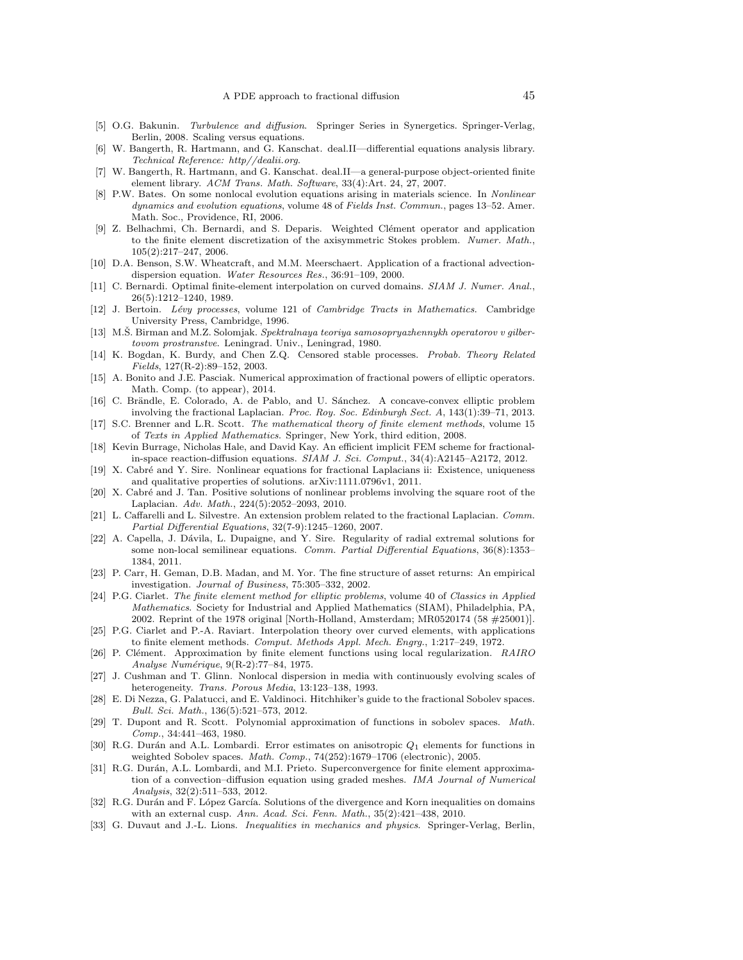- <span id="page-44-4"></span>[5] O.G. Bakunin. Turbulence and diffusion. Springer Series in Synergetics. Springer-Verlag, Berlin, 2008. Scaling versus equations.
- <span id="page-44-25"></span>[6] W. Bangerth, R. Hartmann, and G. Kanschat. deal.II—differential equations analysis library. Technical Reference: http//dealii.org.
- <span id="page-44-26"></span>[7] W. Bangerth, R. Hartmann, and G. Kanschat. deal.II—a general-purpose object-oriented finite element library. ACM Trans. Math. Software, 33(4):Art. 24, 27, 2007.
- <span id="page-44-2"></span>[8] P.W. Bates. On some nonlocal evolution equations arising in materials science. In Nonlinear dynamics and evolution equations, volume 48 of Fields Inst. Commun., pages 13–52. Amer. Math. Soc., Providence, RI, 2006.
- <span id="page-44-18"></span>[9] Z. Belhachmi, Ch. Bernardi, and S. Deparis. Weighted Cl´ement operator and application to the finite element discretization of the axisymmetric Stokes problem. Numer. Math., 105(2):217–247, 2006.
- <span id="page-44-5"></span>[10] D.A. Benson, S.W. Wheatcraft, and M.M. Meerschaert. Application of a fractional advectiondispersion equation. Water Resources Res., 36:91–109, 2000.
- <span id="page-44-20"></span>[11] C. Bernardi. Optimal finite-element interpolation on curved domains. SIAM J. Numer. Anal., 26(5):1212–1240, 1989.
- <span id="page-44-6"></span>[12] J. Bertoin. Lévy processes, volume 121 of Cambridge Tracts in Mathematics. Cambridge University Press, Cambridge, 1996.
- <span id="page-44-28"></span>[13] M.S. Birman and M.Z. Solomjak. Spektralnaya teoriya samosopryazhennykh operatorov v gilbertovom prostranstve. Leningrad. Univ., Leningrad, 1980.
- <span id="page-44-13"></span>[14] K. Bogdan, K. Burdy, and Chen Z.Q. Censored stable processes. Probab. Theory Related Fields, 127(R-2):89–152, 2003.
- <span id="page-44-27"></span>[15] A. Bonito and J.E. Pasciak. Numerical approximation of fractional powers of elliptic operators. Math. Comp. (to appear), 2014.
- <span id="page-44-10"></span>[16] C. Brändle, E. Colorado, A. de Pablo, and U. Sánchez. A concave-convex elliptic problem involving the fractional Laplacian. Proc. Roy. Soc. Edinburgh Sect. A, 143(1):39–71, 2013.
- <span id="page-44-16"></span>[17] S.C. Brenner and L.R. Scott. The mathematical theory of finite element methods, volume 15 of Texts in Applied Mathematics. Springer, New York, third edition, 2008.
- <span id="page-44-11"></span>[18] Kevin Burrage, Nicholas Hale, and David Kay. An efficient implicit FEM scheme for fractionalin-space reaction-diffusion equations. SIAM J. Sci. Comput., 34(4):A2145–A2172, 2012.
- <span id="page-44-8"></span>[19] X. Cabré and Y. Sire. Nonlinear equations for fractional Laplacians ii: Existence, uniqueness and qualitative properties of solutions. arXiv:1111.0796v1, 2011.
- <span id="page-44-14"></span>[20] X. Cabré and J. Tan. Positive solutions of nonlinear problems involving the square root of the Laplacian. Adv. Math., 224(5):2052–2093, 2010.
- <span id="page-44-7"></span>[21] L. Caffarelli and L. Silvestre. An extension problem related to the fractional Laplacian. Comm. Partial Differential Equations, 32(7-9):1245–1260, 2007.
- <span id="page-44-9"></span>[22] A. Capella, J. Dávila, L. Dupaigne, and Y. Sire. Regularity of radial extremal solutions for some non-local semilinear equations. Comm. Partial Differential Equations, 36(8):1353– 1384, 2011.
- <span id="page-44-1"></span>[23] P. Carr, H. Geman, D.B. Madan, and M. Yor. The fine structure of asset returns: An empirical investigation. Journal of Business, 75:305–332, 2002.
- <span id="page-44-21"></span>[24] P.G. Ciarlet. The finite element method for elliptic problems, volume 40 of Classics in Applied Mathematics. Society for Industrial and Applied Mathematics (SIAM), Philadelphia, PA, 2002. Reprint of the 1978 original [North-Holland, Amsterdam; MR0520174 (58 #25001)].
- <span id="page-44-22"></span>[25] P.G. Ciarlet and P.-A. Raviart. Interpolation theory over curved elements, with applications to finite element methods. Comput. Methods Appl. Mech. Engrg., 1:217–249, 1972.
- <span id="page-44-19"></span>[26] P. Clément. Approximation by finite element functions using local regularization.  $RAIRO$ Analyse Numérique, 9(R-2):77-84, 1975.
- <span id="page-44-3"></span>[27] J. Cushman and T. Glinn. Nonlocal dispersion in media with continuously evolving scales of heterogeneity. Trans. Porous Media, 13:123–138, 1993.
- <span id="page-44-12"></span>[28] E. Di Nezza, G. Palatucci, and E. Valdinoci. Hitchhiker's guide to the fractional Sobolev spaces. Bull. Sci. Math., 136(5):521–573, 2012.
- <span id="page-44-24"></span>[29] T. Dupont and R. Scott. Polynomial approximation of functions in sobolev spaces. Math. Comp., 34:441–463, 1980.
- <span id="page-44-15"></span>[30] R.G. Durán and A.L. Lombardi. Error estimates on anisotropic  $Q_1$  elements for functions in weighted Sobolev spaces. Math. Comp., 74(252):1679–1706 (electronic), 2005.
- <span id="page-44-17"></span>[31] R.G. Durán, A.L. Lombardi, and M.I. Prieto. Superconvergence for finite element approximation of a convection–diffusion equation using graded meshes. IMA Journal of Numerical Analysis, 32(2):511–533, 2012.
- <span id="page-44-23"></span>[32] R.G. Durán and F. López García. Solutions of the divergence and Korn inequalities on domains with an external cusp. Ann. Acad. Sci. Fenn. Math., 35(2):421–438, 2010.
- <span id="page-44-0"></span>[33] G. Duvaut and J.-L. Lions. *Inequalities in mechanics and physics*. Springer-Verlag, Berlin,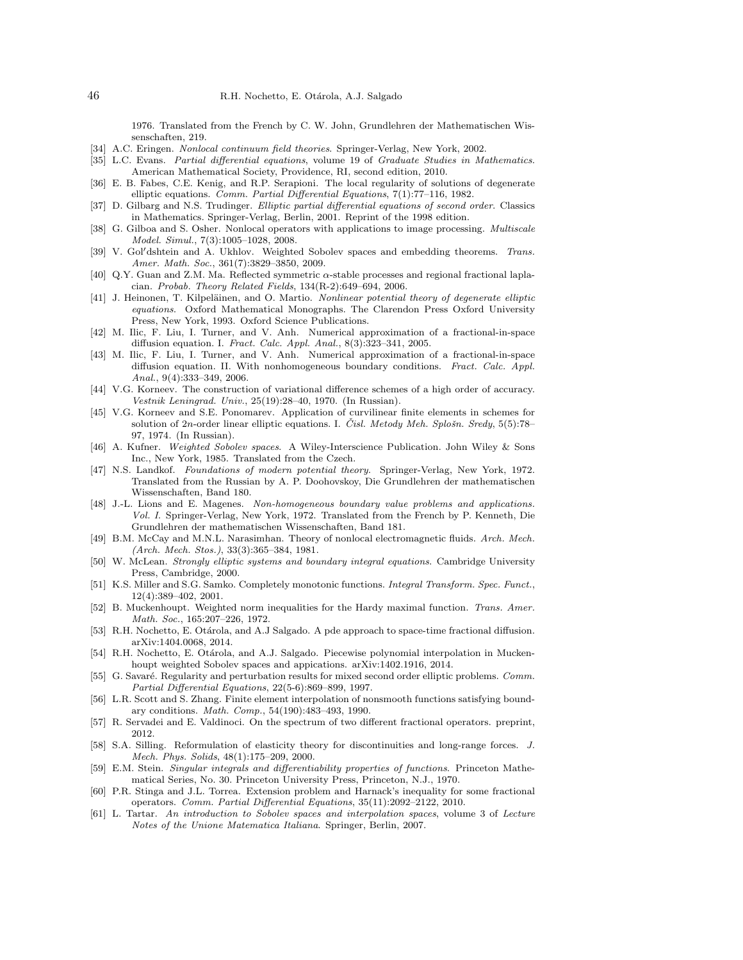1976. Translated from the French by C. W. John, Grundlehren der Mathematischen Wissenschaften, 219.

- <span id="page-45-4"></span>[34] A.C. Eringen. Nonlocal continuum field theories. Springer-Verlag, New York, 2002.
- <span id="page-45-14"></span>[35] L.C. Evans. Partial differential equations, volume 19 of Graduate Studies in Mathematics. American Mathematical Society, Providence, RI, second edition, 2010.
- <span id="page-45-16"></span>[36] E. B. Fabes, C.E. Kenig, and R.P. Serapioni. The local regularity of solutions of degenerate elliptic equations. Comm. Partial Differential Equations, 7(1):77–116, 1982.
- <span id="page-45-15"></span>[37] D. Gilbarg and N.S. Trudinger. Elliptic partial differential equations of second order. Classics in Mathematics. Springer-Verlag, Berlin, 2001. Reprint of the 1998 edition.
- <span id="page-45-2"></span>[38] G. Gilboa and S. Osher. Nonlocal operators with applications to image processing. *Multiscale* Model. Simul., 7(3):1005–1028, 2008.
- <span id="page-45-19"></span>[39] V. Gol'dshtein and A. Ukhlov. Weighted Sobolev spaces and embedding theorems. Trans. Amer. Math. Soc., 361(7):3829–3850, 2009.
- <span id="page-45-12"></span>[40] Q.Y. Guan and Z.M. Ma. Reflected symmetric  $\alpha$ -stable processes and regional fractional laplacian. Probab. Theory Related Fields, 134(R-2):649–694, 2006.
- <span id="page-45-17"></span>[41] J. Heinonen, T. Kilpeläinen, and O. Martio. Nonlinear potential theory of degenerate elliptic equations. Oxford Mathematical Monographs. The Clarendon Press Oxford University Press, New York, 1993. Oxford Science Publications.
- <span id="page-45-7"></span>[42] M. Ilic, F. Liu, I. Turner, and V. Anh. Numerical approximation of a fractional-in-space diffusion equation. I. Fract. Calc. Appl. Anal., 8(3):323–341, 2005.
- <span id="page-45-8"></span>[43] M. Ilic, F. Liu, I. Turner, and V. Anh. Numerical approximation of a fractional-in-space diffusion equation. II. With nonhomogeneous boundary conditions. Fract. Calc. Appl. Anal., 9(4):333–349, 2006.
- <span id="page-45-25"></span>[44] V.G. Korneev. The construction of variational difference schemes of a high order of accuracy. Vestnik Leningrad. Univ., 25(19):28–40, 1970. (In Russian).
- <span id="page-45-26"></span>[45] V.G. Korneev and S.E. Ponomarev. Application of curvilinear finite elements in schemes for solution of 2n-order linear elliptic equations. I. Cisl. Metody Meh. Splošn. Sredy,  $5(5)$ :78– 97, 1974. (In Russian).
- <span id="page-45-18"></span>[46] A. Kufner. Weighted Sobolev spaces. A Wiley-Interscience Publication. John Wiley & Sons Inc., New York, 1985. Translated from the Czech.
- <span id="page-45-5"></span>[47] N.S. Landkof. Foundations of modern potential theory. Springer-Verlag, New York, 1972. Translated from the Russian by A. P. Doohovskoy, Die Grundlehren der mathematischen Wissenschaften, Band 180.
- <span id="page-45-9"></span>[48] J.-L. Lions and E. Magenes. Non-homogeneous boundary value problems and applications. Vol. I. Springer-Verlag, New York, 1972. Translated from the French by P. Kenneth, Die Grundlehren der mathematischen Wissenschaften, Band 181.
- <span id="page-45-1"></span>[49] B.M. McCay and M.N.L. Narasimhan. Theory of nonlocal electromagnetic fluids. Arch. Mech. (Arch. Mech. Stos.), 33(3):365–384, 1981.
- <span id="page-45-10"></span>[50] W. McLean. Strongly elliptic systems and boundary integral equations. Cambridge University Press, Cambridge, 2000.
- <span id="page-45-21"></span>[51] K.S. Miller and S.G. Samko. Completely monotonic functions. Integral Transform. Spec. Funct., 12(4):389–402, 2001.
- <span id="page-45-20"></span>[52] B. Muckenhoupt. Weighted norm inequalities for the Hardy maximal function. Trans. Amer. Math. Soc., 165:207–226, 1972.
- <span id="page-45-27"></span>[53] R.H. Nochetto, E. Otárola, and A.J Salgado. A pde approach to space-time fractional diffusion. arXiv:1404.0068, 2014.
- <span id="page-45-24"></span>[54] R.H. Nochetto, E. Otárola, and A.J. Salgado. Piecewise polynomial interpolation in Muckenhoupt weighted Sobolev spaces and appications. arXiv:1402.1916, 2014.
- <span id="page-45-22"></span>[55] G. Savaré. Regularity and perturbation results for mixed second order elliptic problems. Comm. Partial Differential Equations, 22(5-6):869–899, 1997.
- <span id="page-45-23"></span>[56] L.R. Scott and S. Zhang. Finite element interpolation of nonsmooth functions satisfying boundary conditions. Math. Comp., 54(190):483–493, 1990.
- <span id="page-45-13"></span>[57] R. Servadei and E. Valdinoci. On the spectrum of two different fractional operators. preprint, 2012.
- <span id="page-45-3"></span>[58] S.A. Silling. Reformulation of elasticity theory for discontinuities and long-range forces. J. Mech. Phys. Solids, 48(1):175–209, 2000.
- <span id="page-45-0"></span>[59] E.M. Stein. Singular integrals and differentiability properties of functions. Princeton Mathematical Series, No. 30. Princeton University Press, Princeton, N.J., 1970.
- <span id="page-45-6"></span>[60] P.R. Stinga and J.L. Torrea. Extension problem and Harnack's inequality for some fractional operators. Comm. Partial Differential Equations, 35(11):2092–2122, 2010.
- <span id="page-45-11"></span>[61] L. Tartar. An introduction to Sobolev spaces and interpolation spaces, volume 3 of Lecture Notes of the Unione Matematica Italiana. Springer, Berlin, 2007.